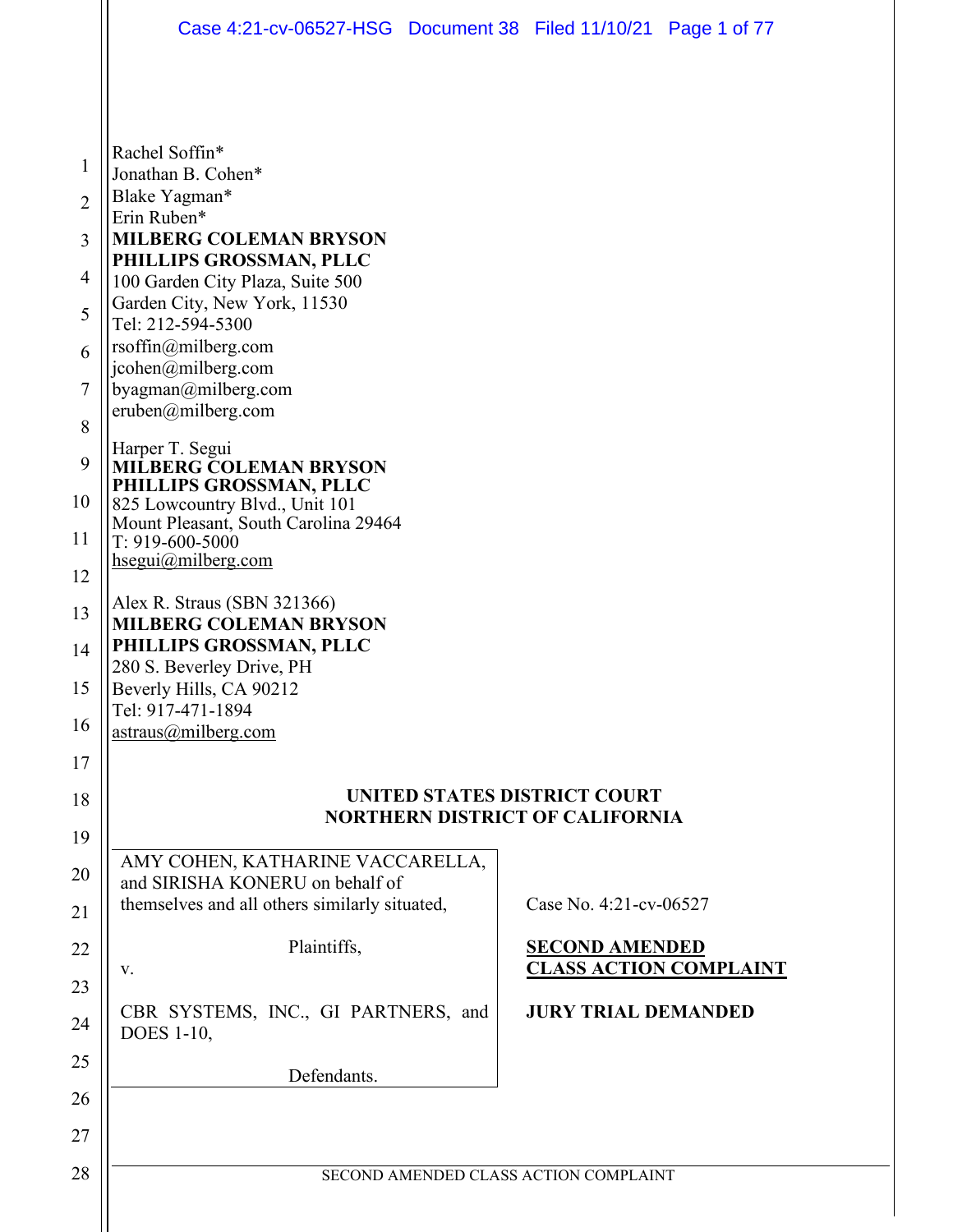|                | Case 4:21-cv-06527-HSG  Document 38  Filed 11/10/21  Page 1 of 77             |  |                                                        |  |
|----------------|-------------------------------------------------------------------------------|--|--------------------------------------------------------|--|
|                |                                                                               |  |                                                        |  |
|                |                                                                               |  |                                                        |  |
| 1              | Rachel Soffin*<br>Jonathan B. Cohen*                                          |  |                                                        |  |
| $\overline{2}$ | Blake Yagman*                                                                 |  |                                                        |  |
| 3              | Erin Ruben*<br><b>MILBERG COLEMAN BRYSON</b>                                  |  |                                                        |  |
| 4              | PHILLIPS GROSSMAN, PLLC<br>100 Garden City Plaza, Suite 500                   |  |                                                        |  |
| 5              | Garden City, New York, 11530<br>Tel: 212-594-5300                             |  |                                                        |  |
| 6              | rsoffin@milberg.com                                                           |  |                                                        |  |
| 7              | jcohen@milberg.com<br>byagman@milberg.com                                     |  |                                                        |  |
| 8              | eruben@milberg.com                                                            |  |                                                        |  |
| 9              | Harper T. Segui<br><b>MILBERG COLEMAN BRYSON</b>                              |  |                                                        |  |
| 10             | PHILLIPS GROSSMAN, PLLC<br>825 Lowcountry Blvd., Unit 101                     |  |                                                        |  |
| 11             | Mount Pleasant, South Carolina 29464<br>T: 919-600-5000                       |  |                                                        |  |
| 12             | hsegui@milberg.com                                                            |  |                                                        |  |
| 13             | Alex R. Straus (SBN 321366)<br><b>MILBERG COLEMAN BRYSON</b>                  |  |                                                        |  |
| 14             | PHILLIPS GROSSMAN, PLLC<br>280 S. Beverley Drive, PH                          |  |                                                        |  |
| 15             | Beverly Hills, CA 90212<br>Tel: 917-471-1894                                  |  |                                                        |  |
| 16             | astraus@milberg.com                                                           |  |                                                        |  |
| 17             |                                                                               |  |                                                        |  |
| 18             | <b>UNITED STATES DISTRICT COURT</b><br><b>NORTHERN DISTRICT OF CALIFORNIA</b> |  |                                                        |  |
| 19             | AMY COHEN, KATHARINE VACCARELLA,                                              |  |                                                        |  |
| 20             | and SIRISHA KONERU on behalf of                                               |  |                                                        |  |
| 21             | themselves and all others similarly situated,                                 |  | Case No. 4:21-cv-06527                                 |  |
| 22             | Plaintiffs,<br>V.                                                             |  | <b>SECOND AMENDED</b><br><b>CLASS ACTION COMPLAINT</b> |  |
| 23             | CBR SYSTEMS, INC., GI PARTNERS, and                                           |  | <b>JURY TRIAL DEMANDED</b>                             |  |
| 24             | <b>DOES</b> 1-10,                                                             |  |                                                        |  |
| 25             | Defendants.                                                                   |  |                                                        |  |
| 26             |                                                                               |  |                                                        |  |
| 27             |                                                                               |  |                                                        |  |
| 28             | SECOND AMENDED CLASS ACTION COMPLAINT                                         |  |                                                        |  |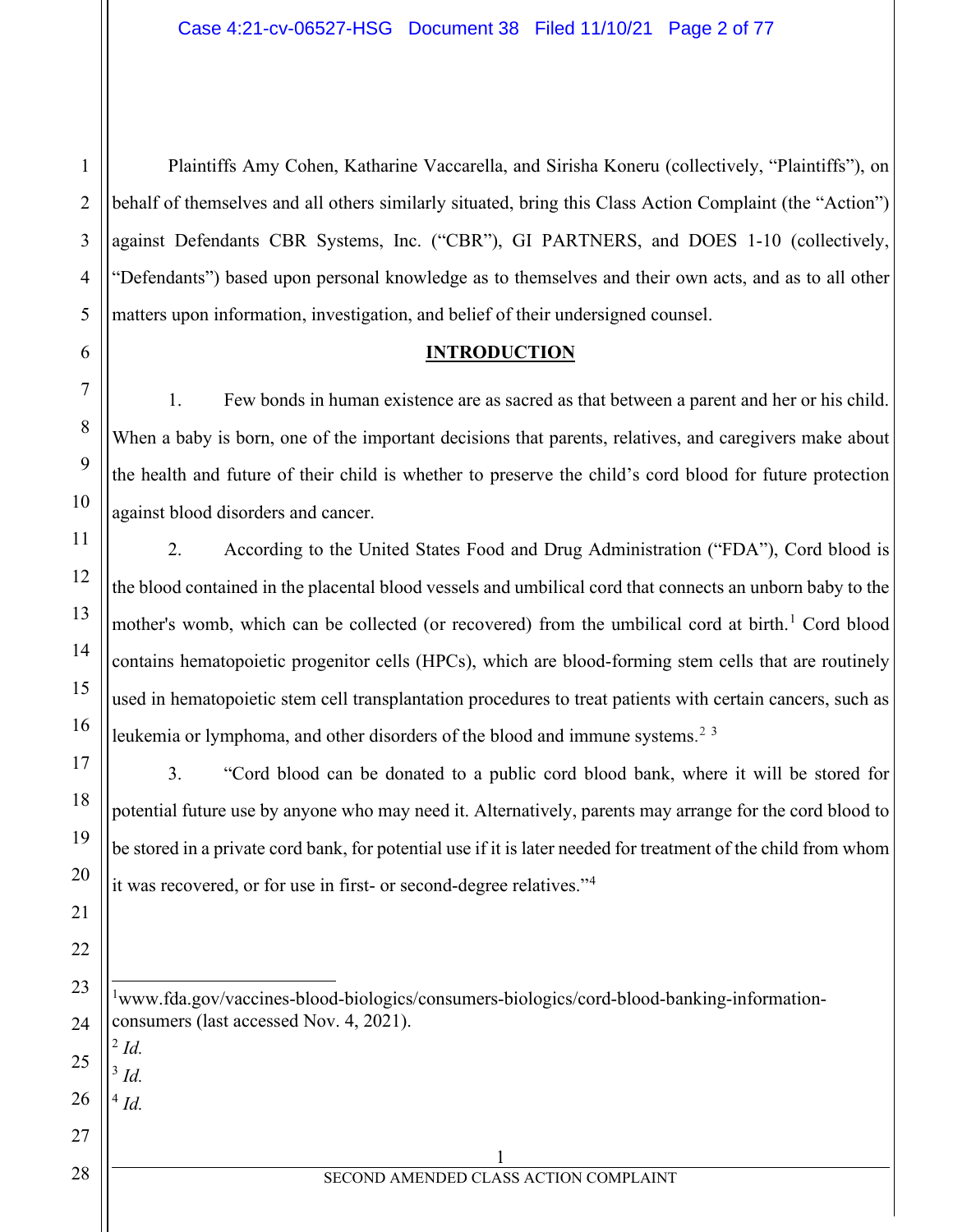Plaintiffs Amy Cohen, Katharine Vaccarella, and Sirisha Koneru (collectively, "Plaintiffs"), on behalf of themselves and all others similarly situated, bring this Class Action Complaint (the "Action") against Defendants CBR Systems, Inc. ("CBR"), GI PARTNERS, and DOES 1-10 (collectively, "Defendants") based upon personal knowledge as to themselves and their own acts, and as to all other matters upon information, investigation, and belief of their undersigned counsel.

## **INTRODUCTION**

1. Few bonds in human existence are as sacred as that between a parent and her or his child. When a baby is born, one of the important decisions that parents, relatives, and caregivers make about the health and future of their child is whether to preserve the child's cord blood for future protection against blood disorders and cancer.

2. According to the United States Food and Drug Administration ("FDA"), Cord blood is the blood contained in the placental blood vessels and umbilical cord that connects an unborn baby to the mother's womb, which can be collected (or recovered) from the umbilical cord at birth.<sup>[1](#page-1-0)</sup> Cord blood contains hematopoietic progenitor cells (HPCs), which are blood-forming stem cells that are routinely used in hematopoietic stem cell transplantation procedures to treat patients with certain cancers, such as leukemia or lymphoma, and other disorders of the blood and immune systems.<sup>[2](#page-1-1)[3](#page-1-2)</sup>

3. "Cord blood can be donated to a public cord blood bank, where it will be stored for potential future use by anyone who may need it. Alternatively, parents may arrange for the cord blood to be stored in a private cord bank, for potential use if it is later needed for treatment of the child from whom it was recovered, or for use in first- or second-degree relatives."[4](#page-1-3)

- <span id="page-1-0"></span>1 www.fda.gov/vaccines-blood-biologics/consumers-biologics/cord-blood-banking-informationconsumers (last accessed Nov. 4, 2021).
- <span id="page-1-1"></span> $2$  *Id.*

<span id="page-1-2"></span> $3$   $Id$ .

<span id="page-1-3"></span> $^{4}$  *Id.* 

1 SECOND AMENDED CLASS ACTION COMPLAINT

1

2

3

4

5

6

7

8

9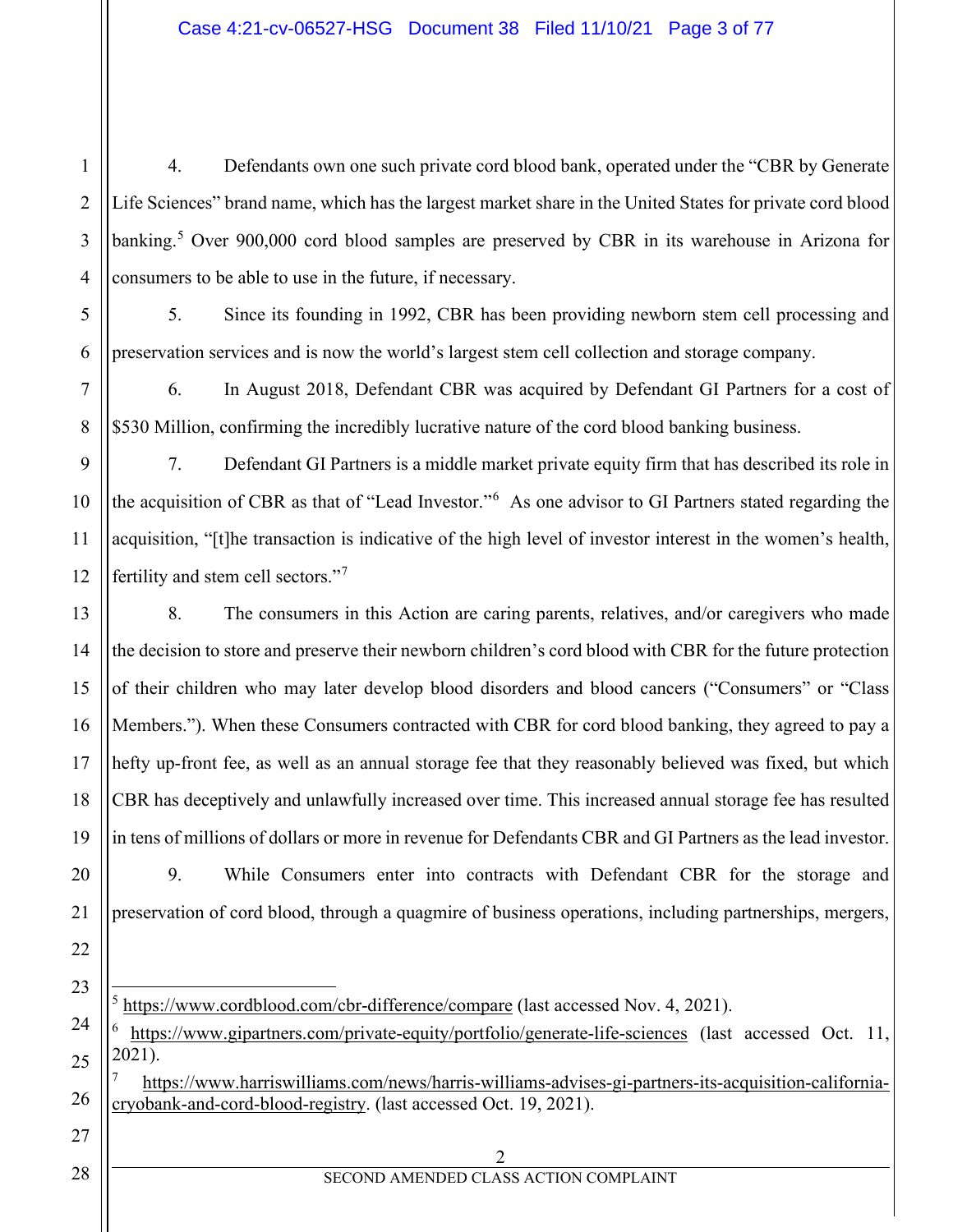4. Defendants own one such private cord blood bank, operated under the "CBR by Generate Life Sciences" brand name, which has the largest market share in the United States for private cord blood banking.<sup>[5](#page-2-0)</sup> Over 900,000 cord blood samples are preserved by CBR in its warehouse in Arizona for consumers to be able to use in the future, if necessary.

5. Since its founding in 1992, CBR has been providing newborn stem cell processing and preservation services and is now the world's largest stem cell collection and storage company.

6. In August 2018, Defendant CBR was acquired by Defendant GI Partners for a cost of \$530 Million, confirming the incredibly lucrative nature of the cord blood banking business.

7. Defendant GI Partners is a middle market private equity firm that has described its role in the acquisition of CBR as that of "Lead Investor."[6](#page-2-1) As one advisor to GI Partners stated regarding the acquisition, "[t]he transaction is indicative of the high level of investor interest in the women's health, fertility and stem cell sectors."[7](#page-2-2)

8. The consumers in this Action are caring parents, relatives, and/or caregivers who made the decision to store and preserve their newborn children's cord blood with CBR for the future protection of their children who may later develop blood disorders and blood cancers ("Consumers" or "Class Members."). When these Consumers contracted with CBR for cord blood banking, they agreed to pay a hefty up-front fee, as well as an annual storage fee that they reasonably believed was fixed, but which CBR has deceptively and unlawfully increased over time. This increased annual storage fee has resulted in tens of millions of dollars or more in revenue for Defendants CBR and GI Partners as the lead investor.

9. While Consumers enter into contracts with Defendant CBR for the storage and preservation of cord blood, through a quagmire of business operations, including partnerships, mergers,

 $5 \text{ https://www.cordblood.com/cbr-difference/compare}$  $5 \text{ https://www.cordblood.com/cbr-difference/compare}$  $5 \text{ https://www.cordblood.com/cbr-difference/compare}$  (last accessed Nov. 4, 2021).

<span id="page-2-1"></span><span id="page-2-0"></span><https://www.gipartners.com/private-equity/portfolio/generate-life-sciences> (last accessed Oct. 11, 2021).

<span id="page-2-2"></span><sup>7</sup> [https://www.harriswilliams.com/news/harris-williams-advises-gi-partners-its-acquisition-california](https://www.harriswilliams.com/news/harris-williams-advises-gi-partners-its-acquisition-california-cryobank-and-cord-blood-registry)[cryobank-and-cord-blood-registry.](https://www.harriswilliams.com/news/harris-williams-advises-gi-partners-its-acquisition-california-cryobank-and-cord-blood-registry) (last accessed Oct. 19, 2021).

1

2

3

4

5

6

7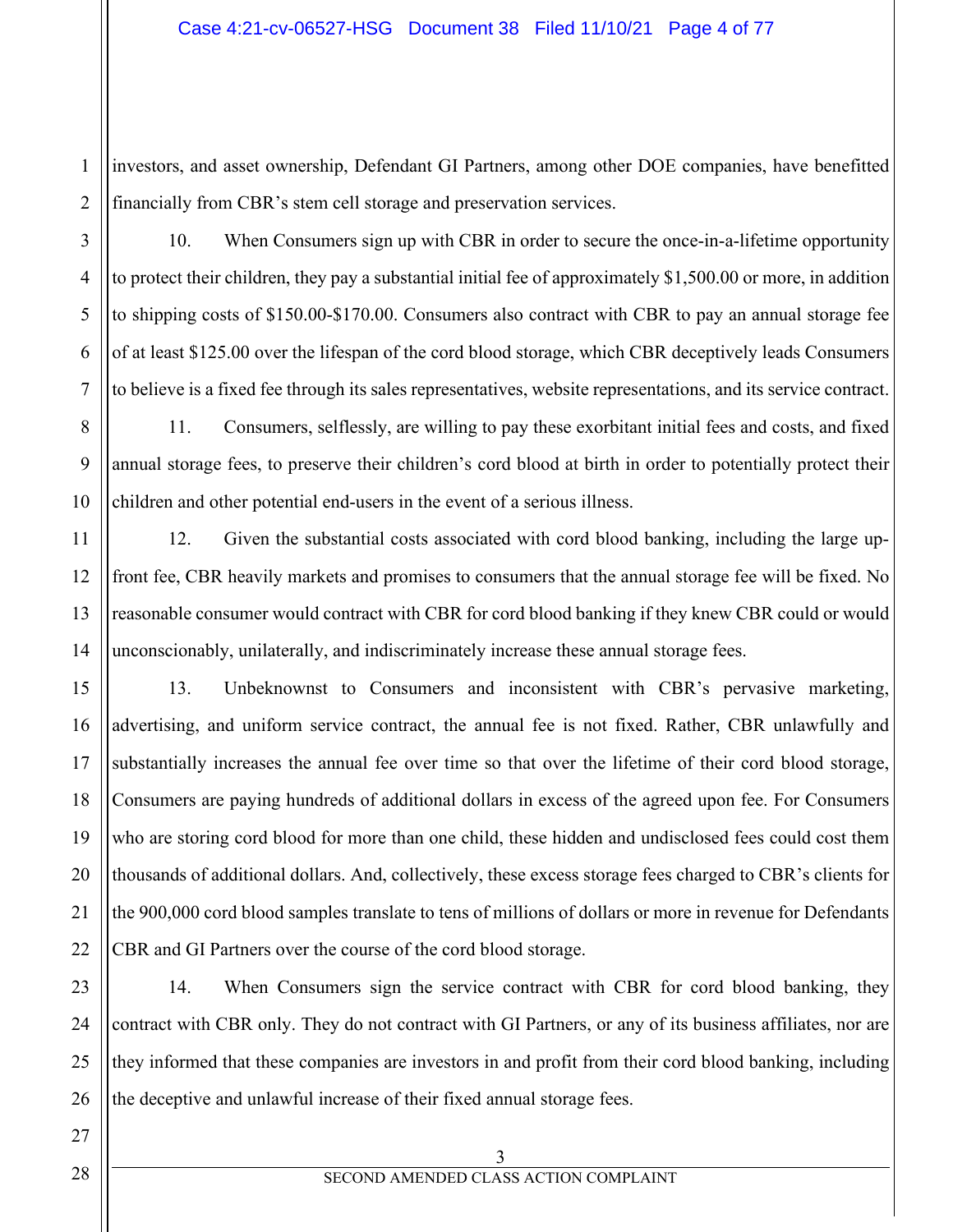1 investors, and asset ownership, Defendant GI Partners, among other DOE companies, have benefitted financially from CBR's stem cell storage and preservation services.

10. When Consumers sign up with CBR in order to secure the once-in-a-lifetime opportunity to protect their children, they pay a substantial initial fee of approximately \$1,500.00 or more, in addition to shipping costs of \$150.00-\$170.00. Consumers also contract with CBR to pay an annual storage fee of at least \$125.00 over the lifespan of the cord blood storage, which CBR deceptively leads Consumers to believe is a fixed fee through its sales representatives, website representations, and its service contract.

11. Consumers, selflessly, are willing to pay these exorbitant initial fees and costs, and fixed annual storage fees, to preserve their children's cord blood at birth in order to potentially protect their children and other potential end-users in the event of a serious illness.

12. Given the substantial costs associated with cord blood banking, including the large upfront fee, CBR heavily markets and promises to consumers that the annual storage fee will be fixed. No reasonable consumer would contract with CBR for cord blood banking if they knew CBR could or would unconscionably, unilaterally, and indiscriminately increase these annual storage fees.

13. Unbeknownst to Consumers and inconsistent with CBR's pervasive marketing, advertising, and uniform service contract, the annual fee is not fixed. Rather, CBR unlawfully and substantially increases the annual fee over time so that over the lifetime of their cord blood storage, Consumers are paying hundreds of additional dollars in excess of the agreed upon fee. For Consumers who are storing cord blood for more than one child, these hidden and undisclosed fees could cost them thousands of additional dollars. And, collectively, these excess storage fees charged to CBR's clients for the 900,000 cord blood samples translate to tens of millions of dollars or more in revenue for Defendants CBR and GI Partners over the course of the cord blood storage.

14. When Consumers sign the service contract with CBR for cord blood banking, they contract with CBR only. They do not contract with GI Partners, or any of its business affiliates, nor are they informed that these companies are investors in and profit from their cord blood banking, including the deceptive and unlawful increase of their fixed annual storage fees.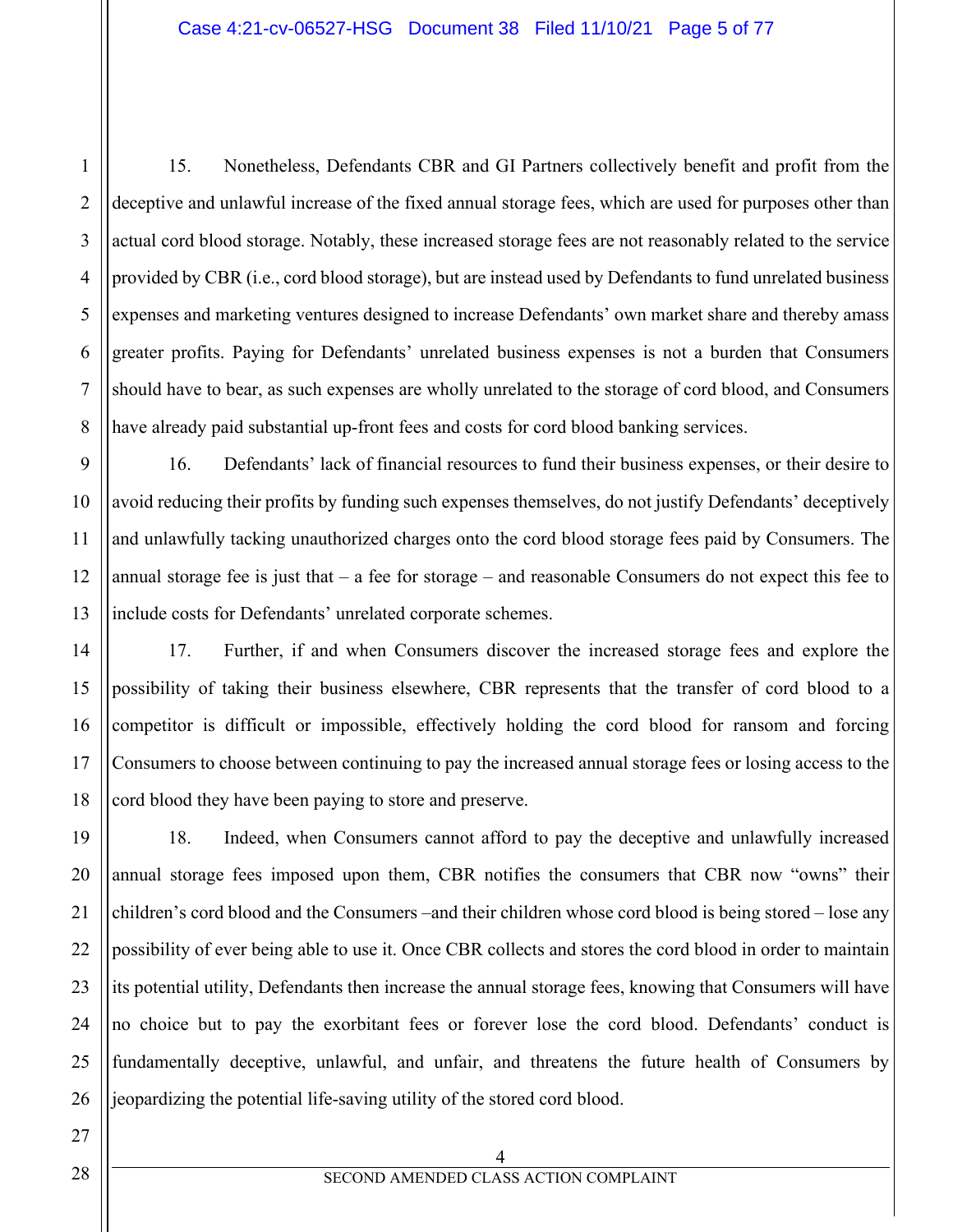15. Nonetheless, Defendants CBR and GI Partners collectively benefit and profit from the deceptive and unlawful increase of the fixed annual storage fees, which are used for purposes other than actual cord blood storage. Notably, these increased storage fees are not reasonably related to the service provided by CBR (i.e., cord blood storage), but are instead used by Defendants to fund unrelated business expenses and marketing ventures designed to increase Defendants' own market share and thereby amass greater profits. Paying for Defendants' unrelated business expenses is not a burden that Consumers should have to bear, as such expenses are wholly unrelated to the storage of cord blood, and Consumers have already paid substantial up-front fees and costs for cord blood banking services.

16. Defendants' lack of financial resources to fund their business expenses, or their desire to avoid reducing their profits by funding such expenses themselves, do not justify Defendants' deceptively and unlawfully tacking unauthorized charges onto the cord blood storage fees paid by Consumers. The annual storage fee is just that – a fee for storage – and reasonable Consumers do not expect this fee to include costs for Defendants' unrelated corporate schemes.

17. Further, if and when Consumers discover the increased storage fees and explore the possibility of taking their business elsewhere, CBR represents that the transfer of cord blood to a competitor is difficult or impossible, effectively holding the cord blood for ransom and forcing Consumers to choose between continuing to pay the increased annual storage fees or losing access to the cord blood they have been paying to store and preserve.

18. Indeed, when Consumers cannot afford to pay the deceptive and unlawfully increased annual storage fees imposed upon them, CBR notifies the consumers that CBR now "owns" their children's cord blood and the Consumers –and their children whose cord blood is being stored – lose any possibility of ever being able to use it. Once CBR collects and stores the cord blood in order to maintain its potential utility, Defendants then increase the annual storage fees, knowing that Consumers will have no choice but to pay the exorbitant fees or forever lose the cord blood. Defendants' conduct is fundamentally deceptive, unlawful, and unfair, and threatens the future health of Consumers by jeopardizing the potential life-saving utility of the stored cord blood.

1

2

4 SECOND AMENDED CLASS ACTION COMPLAINT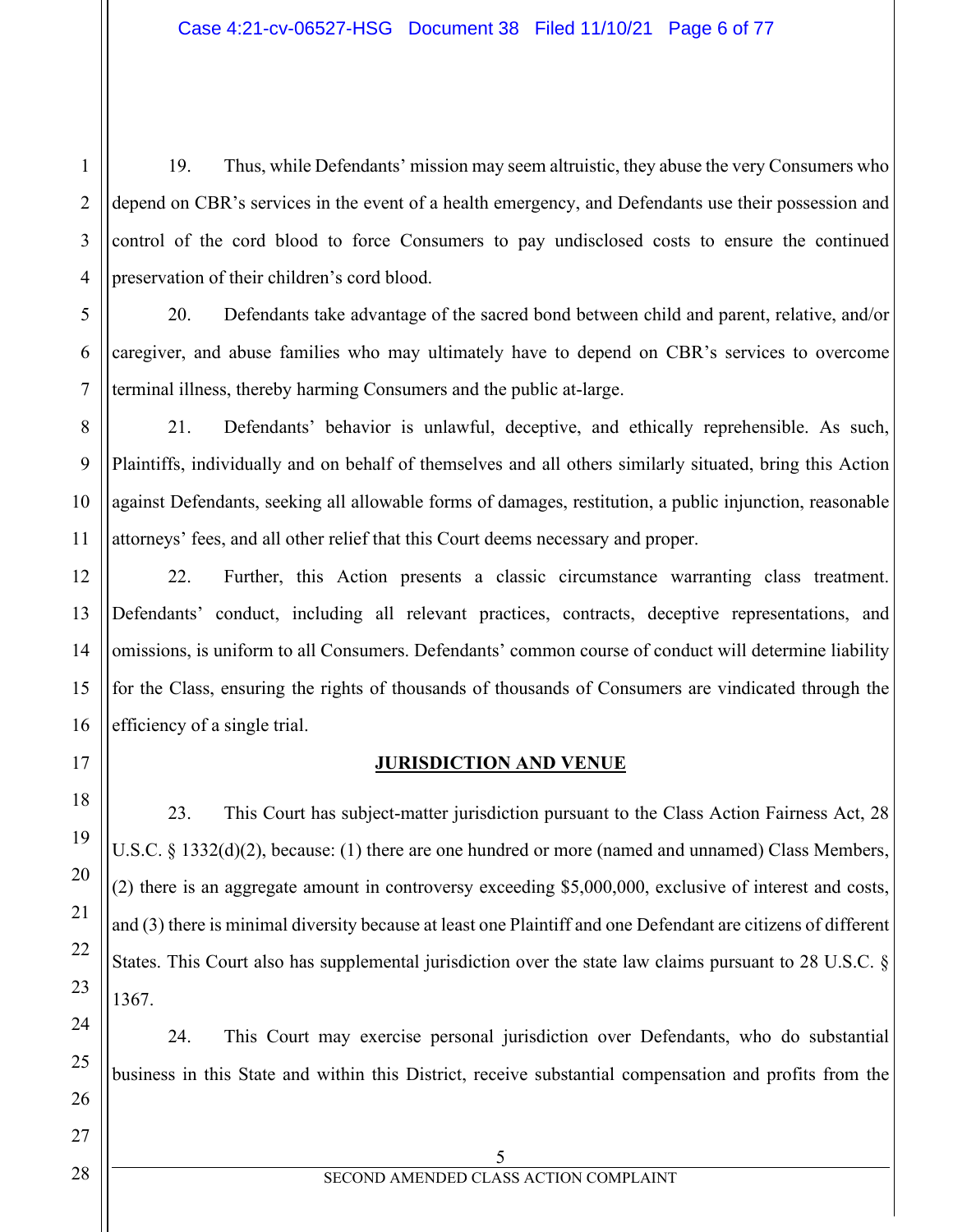19. Thus, while Defendants' mission may seem altruistic, they abuse the very Consumers who depend on CBR's services in the event of a health emergency, and Defendants use their possession and control of the cord blood to force Consumers to pay undisclosed costs to ensure the continued preservation of their children's cord blood.

20. Defendants take advantage of the sacred bond between child and parent, relative, and/or caregiver, and abuse families who may ultimately have to depend on CBR's services to overcome terminal illness, thereby harming Consumers and the public at-large.

21. Defendants' behavior is unlawful, deceptive, and ethically reprehensible. As such, Plaintiffs, individually and on behalf of themselves and all others similarly situated, bring this Action against Defendants, seeking all allowable forms of damages, restitution, a public injunction, reasonable attorneys' fees, and all other relief that this Court deems necessary and proper.

22. Further, this Action presents a classic circumstance warranting class treatment. Defendants' conduct, including all relevant practices, contracts, deceptive representations, and omissions, is uniform to all Consumers. Defendants' common course of conduct will determine liability for the Class, ensuring the rights of thousands of thousands of Consumers are vindicated through the efficiency of a single trial.

# **JURISDICTION AND VENUE**

23. This Court has subject-matter jurisdiction pursuant to the Class Action Fairness Act, 28 U.S.C. § 1332(d)(2), because: (1) there are one hundred or more (named and unnamed) Class Members, (2) there is an aggregate amount in controversy exceeding \$5,000,000, exclusive of interest and costs, and (3) there is minimal diversity because at least one Plaintiff and one Defendant are citizens of different States. This Court also has supplemental jurisdiction over the state law claims pursuant to 28 U.S.C. § 1367.

24. This Court may exercise personal jurisdiction over Defendants, who do substantial business in this State and within this District, receive substantial compensation and profits from the

1

2

3

4

5

6

7

8

9

10

11

12

13

14

15

16

17

18

19

20

21

22

23

24

25

26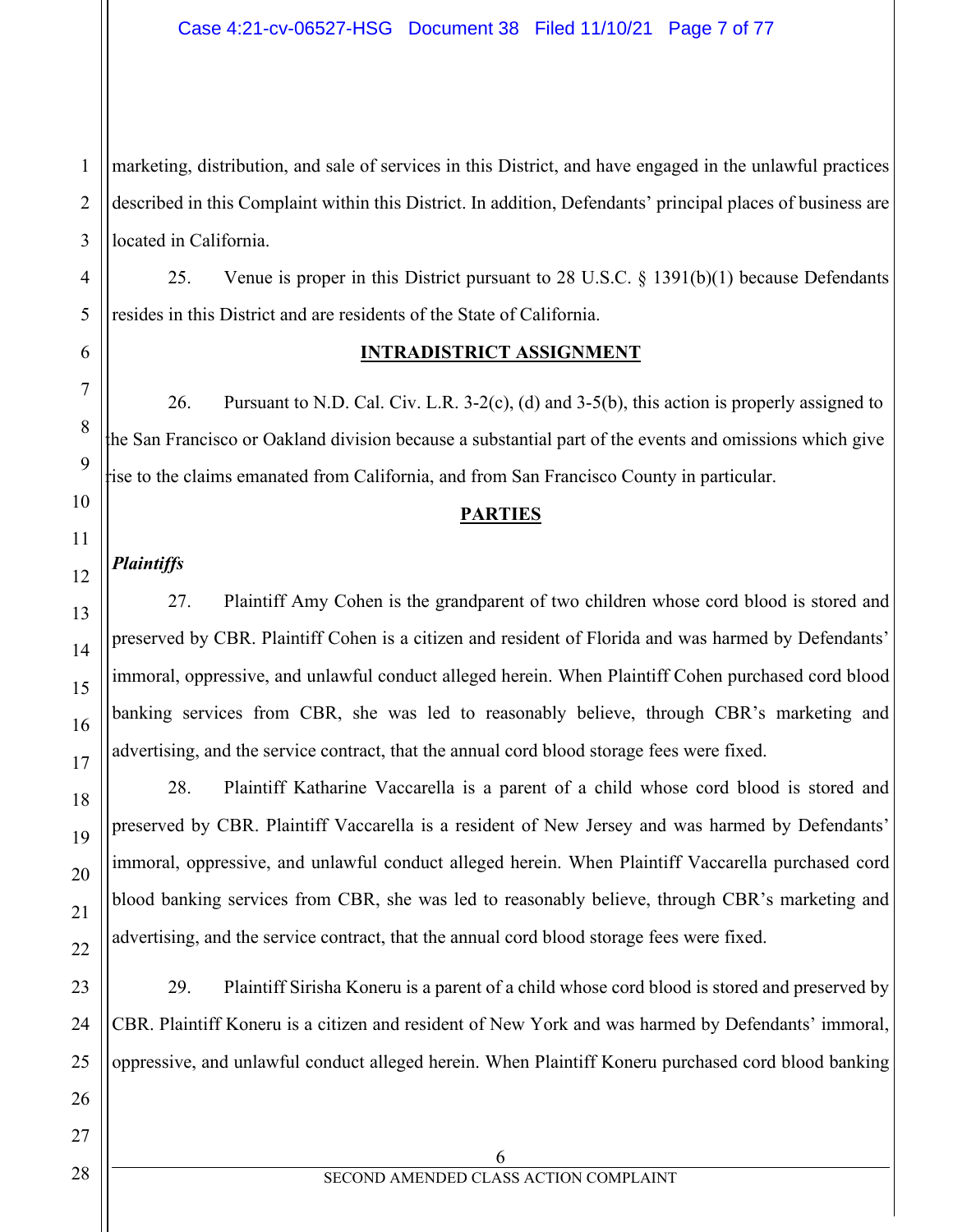marketing, distribution, and sale of services in this District, and have engaged in the unlawful practices described in this Complaint within this District. In addition, Defendants' principal places of business are located in California.

25. Venue is proper in this District pursuant to 28 U.S.C. § 1391(b)(1) because Defendants resides in this District and are residents of the State of California.

## **INTRADISTRICT ASSIGNMENT**

26. Pursuant to N.D. Cal. Civ. L.R. 3-2(c), (d) and 3-5(b), this action is properly assigned to the San Francisco or Oakland division because a substantial part of the events and omissions which give rise to the claims emanated from California, and from San Francisco County in particular.

#### **PARTIES**

# *Plaintiffs*

27. Plaintiff Amy Cohen is the grandparent of two children whose cord blood is stored and preserved by CBR. Plaintiff Cohen is a citizen and resident of Florida and was harmed by Defendants' immoral, oppressive, and unlawful conduct alleged herein. When Plaintiff Cohen purchased cord blood banking services from CBR, she was led to reasonably believe, through CBR's marketing and advertising, and the service contract, that the annual cord blood storage fees were fixed.

28. Plaintiff Katharine Vaccarella is a parent of a child whose cord blood is stored and preserved by CBR. Plaintiff Vaccarella is a resident of New Jersey and was harmed by Defendants' immoral, oppressive, and unlawful conduct alleged herein. When Plaintiff Vaccarella purchased cord blood banking services from CBR, she was led to reasonably believe, through CBR's marketing and advertising, and the service contract, that the annual cord blood storage fees were fixed.

29. Plaintiff Sirisha Koneru is a parent of a child whose cord blood is stored and preserved by CBR. Plaintiff Koneru is a citizen and resident of New York and was harmed by Defendants' immoral, oppressive, and unlawful conduct alleged herein. When Plaintiff Koneru purchased cord blood banking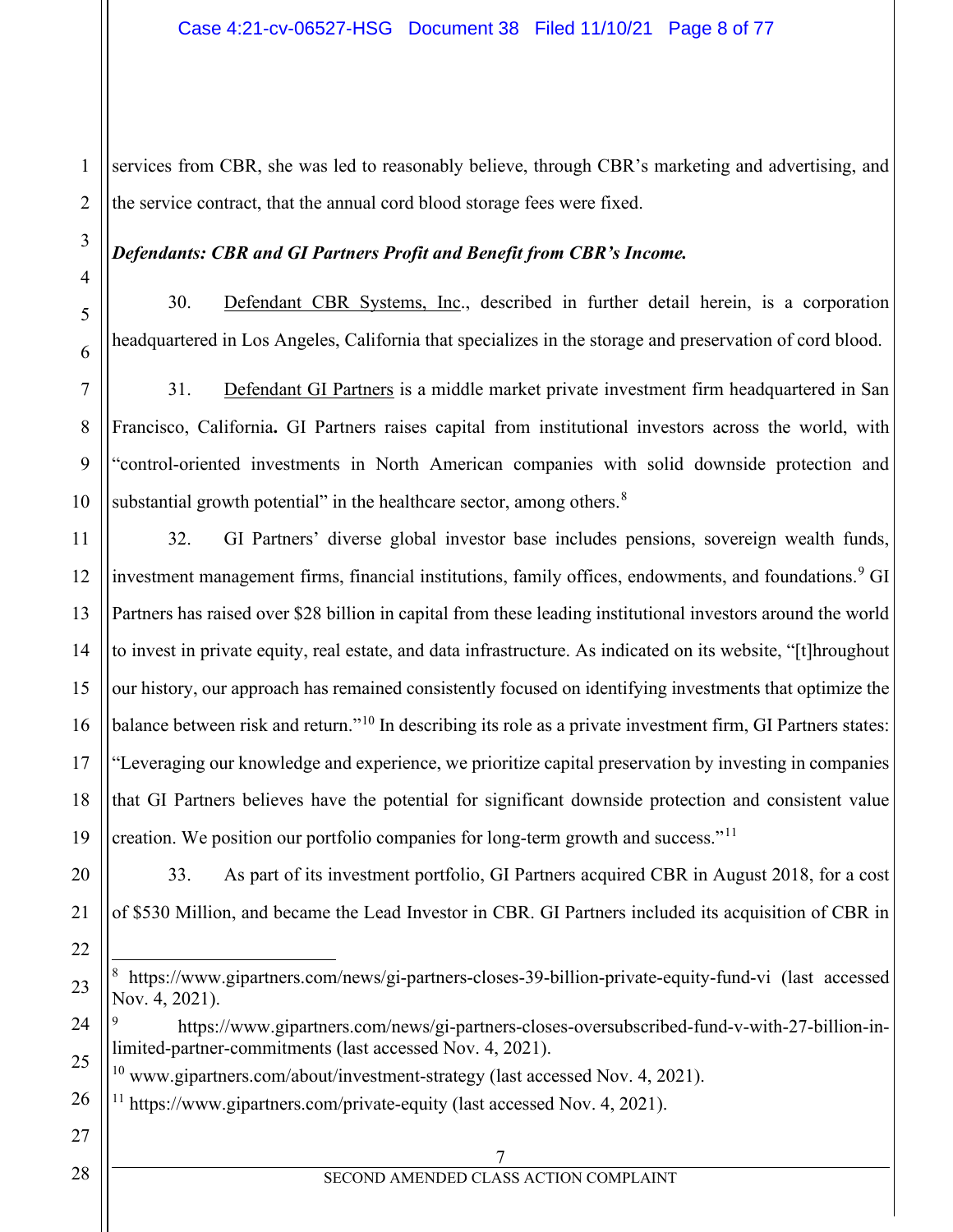1 services from CBR, she was led to reasonably believe, through CBR's marketing and advertising, and the service contract, that the annual cord blood storage fees were fixed.

#### *Defendants: CBR and GI Partners Profit and Benefit from CBR's Income.*

30. Defendant CBR Systems, Inc., described in further detail herein, is a corporation headquartered in Los Angeles, California that specializes in the storage and preservation of cord blood.

31. Defendant GI Partners is a middle market private investment firm headquartered in San Francisco, California**.** GI Partners raises capital from institutional investors across the world, with "control-oriented investments in North American companies with solid downside protection and substantial growth potential" in the healthcare sector, among others.<sup>[8](#page-7-0)</sup>

32. GI Partners' diverse global investor base includes pensions, sovereign wealth funds, investment management firms, financial institutions, family offices, endowments, and foundations.<sup>[9](#page-7-1)</sup> GI Partners has raised over \$28 billion in capital from these leading institutional investors around the world to invest in private equity, real estate, and data infrastructure. As indicated on its website, "[t]hroughout our history, our approach has remained consistently focused on identifying investments that optimize the balance between risk and return."<sup>[10](#page-7-2)</sup> In describing its role as a private investment firm, GI Partners states: "Leveraging our knowledge and experience, we prioritize capital preservation by investing in companies that GI Partners believes have the potential for significant downside protection and consistent value creation. We position our portfolio companies for long-term growth and success."<sup>11</sup>

33. As part of its investment portfolio, GI Partners acquired CBR in August 2018, for a cost of \$530 Million, and became the Lead Investor in CBR. GI Partners included its acquisition of CBR in

<span id="page-7-1"></span><sup>9</sup> [https://www.gipartners.com/news/gi-partners-closes-oversubscribed-fund-v-with-27-billion-in](https://www.gipartners.com/news/gi-partners-closes-oversubscribed-fund-v-with-27-billion-in-limited-partner-commitments)[limited-partner-commitments](https://www.gipartners.com/news/gi-partners-closes-oversubscribed-fund-v-with-27-billion-in-limited-partner-commitments) (last accessed Nov. 4, 2021).

<span id="page-7-2"></span> $10$  www.gipartners.com/about/investment-strategy (last accessed Nov. 4, 2021).

<span id="page-7-3"></span> $11$  <https://www.gipartners.com/private-equity> (last accessed Nov. 4, 2021).

#### 7 SECOND AMENDED CLASS ACTION COMPLAINT

<span id="page-7-0"></span><sup>8</sup> <https://www.gipartners.com/news/gi-partners-closes-39-billion-private-equity-fund-vi> (last accessed Nov. 4, 2021).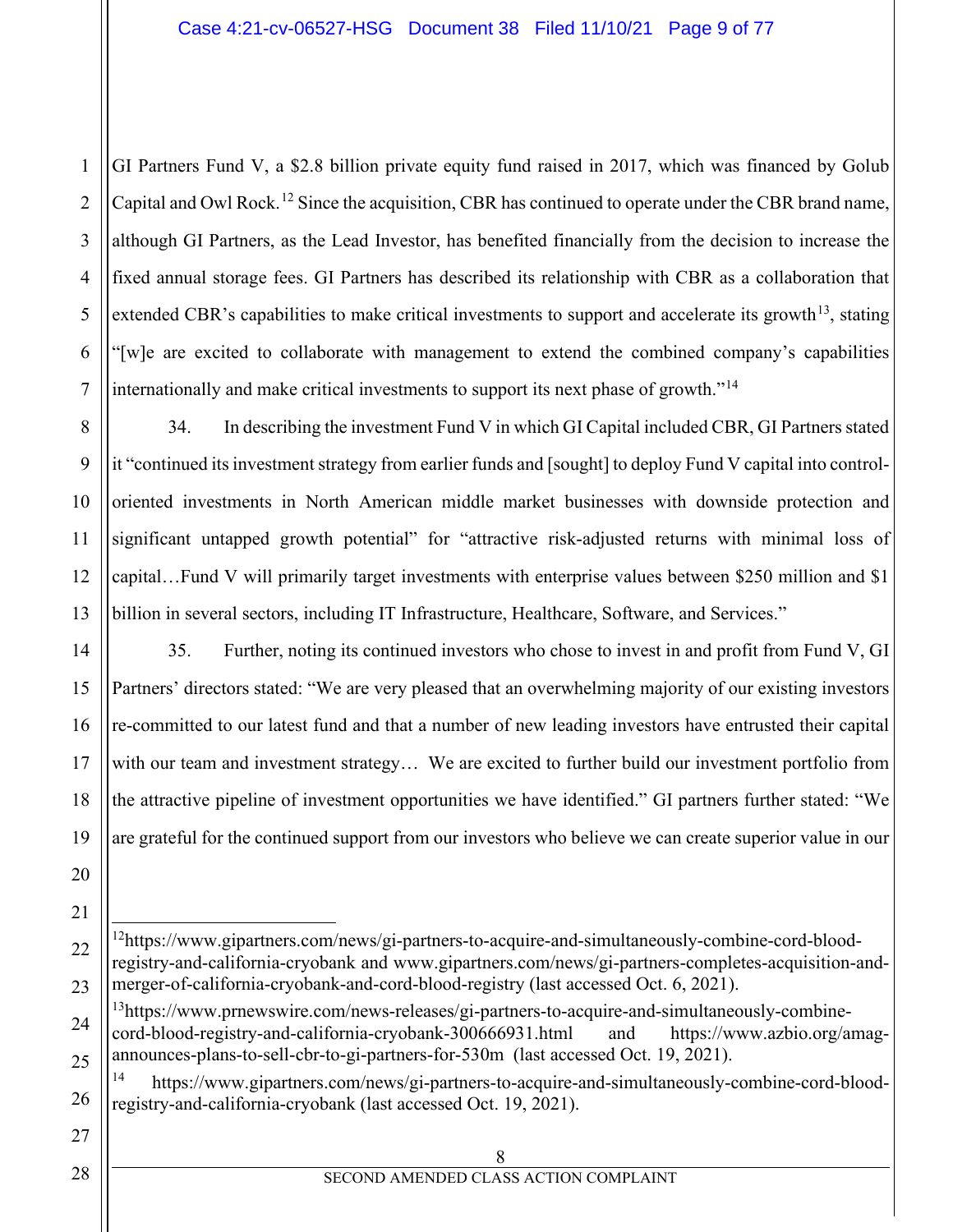1 2 3 4 5 6 7 GI Partners Fund V, a \$2.8 billion private equity fund raised in 2017, which was financed by Golub Capital and Owl Rock.<sup>[12](#page-8-0)</sup> Since the acquisition, CBR has continued to operate under the CBR brand name, although GI Partners, as the Lead Investor, has benefited financially from the decision to increase the fixed annual storage fees. GI Partners has described its relationship with CBR as a collaboration that extended CBR's capabilities to make critical investments to support and accelerate its growth<sup>[13](#page-8-1)</sup>, stating "[w]e are excited to collaborate with management to extend the combined company's capabilities internationally and make critical investments to support its next phase of growth."[14](#page-8-2) 

8 34. In describing the investment Fund V in which GI Capital included CBR, GI Partners stated it "continued its investment strategy from earlier funds and [sought] to deploy Fund V capital into controloriented investments in North American middle market businesses with downside protection and significant untapped growth potential" for "attractive risk-adjusted returns with minimal loss of capital…Fund V will primarily target investments with enterprise values between \$250 million and \$1 billion in several sectors, including IT Infrastructure, Healthcare, Software, and Services."

35. Further, noting its continued investors who chose to invest in and profit from Fund V, GI Partners' directors stated: "We are very pleased that an overwhelming majority of our existing investors re-committed to our latest fund and that a number of new leading investors have entrusted their capital with our team and investment strategy… We are excited to further build our investment portfolio from the attractive pipeline of investment opportunities we have identified." GI partners further stated: "We are grateful for the continued support from our investors who believe we can create superior value in our

<span id="page-8-0"></span><sup>&</sup>lt;sup>12</sup>https://www.gipartners.com/news/gi-partners-to-acquire-and-simultaneously-combine-cord-blood[registry-and-california-cryobank](https://www.gipartners.com/news/gi-partners-to-acquire-and-simultaneously-combine-cord-blood-registry-and-california-cryobank) and [www.gipartners.com/news/gi-partners-completes-acquisition-and](http://www.gipartners.com/news/gi-partners-completes-acquisition-and-merger-of-california-cryobank-and-cord-blood-registry)[merger-of-california-cryobank-and-cord-blood-registry](http://www.gipartners.com/news/gi-partners-completes-acquisition-and-merger-of-california-cryobank-and-cord-blood-registry) (last accessed Oct. 6, 2021).

<span id="page-8-1"></span><sup>&</sup>lt;sup>13</sup>https://www.prnewswire.com/news-releases/gi-partners-to-acquire-and-simultaneously-combine[cord-blood-registry-and-california-cryobank-300666931.html](https://www.prnewswire.com/news-releases/gi-partners-to-acquire-and-simultaneously-combine-cord-blood-registry-and-california-cryobank-300666931.html) and [https://www.azbio.org/amag](https://www.azbio.org/amag-announces-plans-to-sell-cbr-to-gi-partners-for-530m)[announces-plans-to-sell-cbr-to-gi-partners-for-530m](https://www.azbio.org/amag-announces-plans-to-sell-cbr-to-gi-partners-for-530m) (last accessed Oct. 19, 2021).

<span id="page-8-2"></span>[https://www.gipartners.com/news/gi-partners-to-acquire-and-simultaneously-combine-cord-blood](https://www.gipartners.com/news/gi-partners-to-acquire-and-simultaneously-combine-cord-blood-registry-and-california-cryobank)[registry-and-california-cryobank](https://www.gipartners.com/news/gi-partners-to-acquire-and-simultaneously-combine-cord-blood-registry-and-california-cryobank) (last accessed Oct. 19, 2021).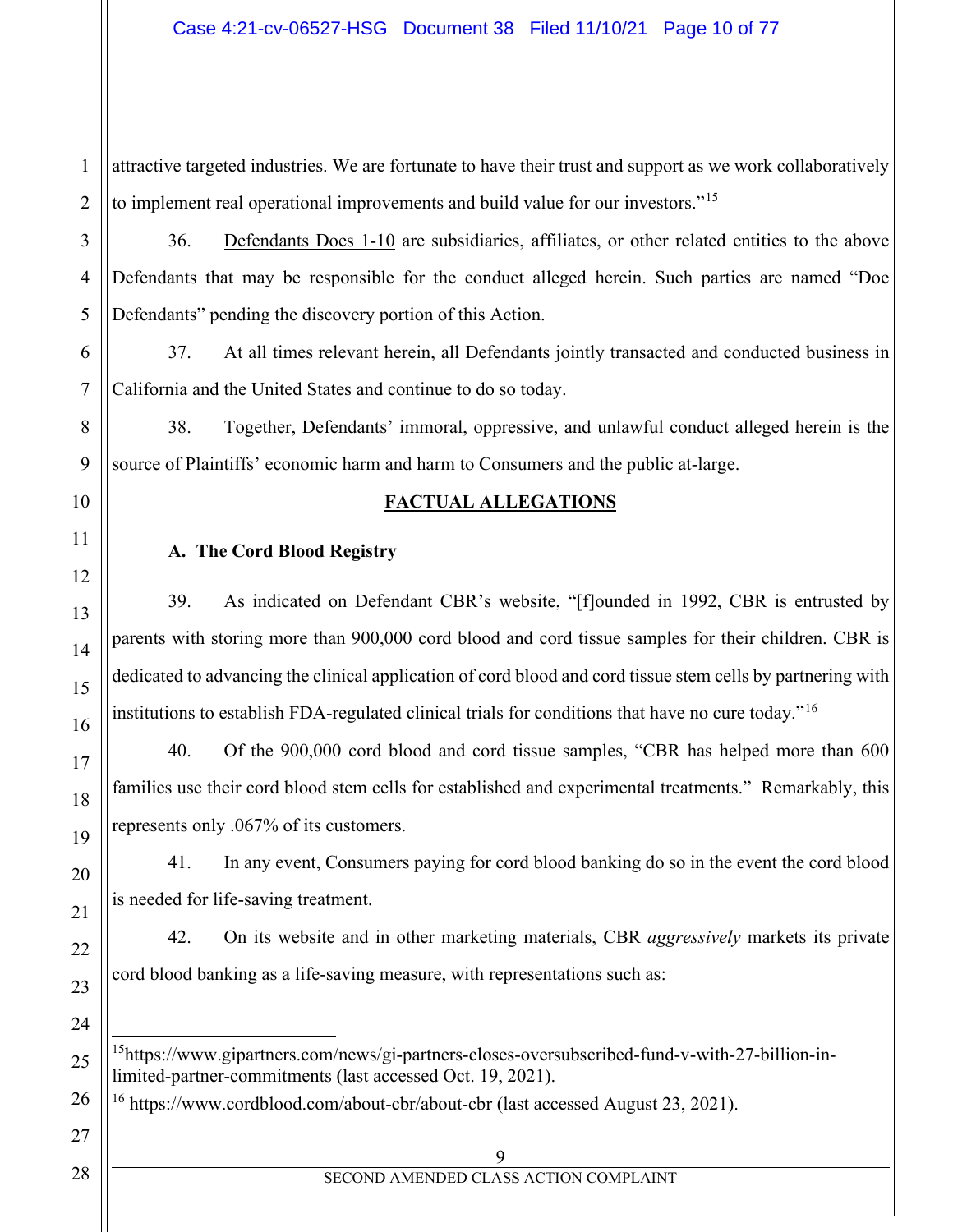#### Case 4:21-cv-06527-HSG Document 38 Filed 11/10/21 Page 10 of 77

1 2 attractive targeted industries. We are fortunate to have their trust and support as we work collaboratively to implement real operational improvements and build value for our investors."<sup>[15](#page-9-0)</sup>

36. Defendants Does 1-10 are subsidiaries, affiliates, or other related entities to the above Defendants that may be responsible for the conduct alleged herein. Such parties are named "Doe Defendants" pending the discovery portion of this Action.

37. At all times relevant herein, all Defendants jointly transacted and conducted business in California and the United States and continue to do so today.

38. Together, Defendants' immoral, oppressive, and unlawful conduct alleged herein is the source of Plaintiffs' economic harm and harm to Consumers and the public at-large.

#### **FACTUAL ALLEGATIONS**

#### **A. The Cord Blood Registry**

39. As indicated on Defendant CBR's website, "[f]ounded in 1992, CBR is entrusted by parents with storing more than 900,000 cord blood and cord tissue samples for their children. CBR is dedicated to advancing the clinical application of cord blood and cord tissue stem cells by partnering with institutions to establish FDA-regulated clinical trials for conditions that have no cure today."<sup>[16](#page-9-1)</sup>

40. Of the 900,000 cord blood and cord tissue samples, "CBR has helped more than 600 families use their cord blood stem cells for established and experimental treatments." Remarkably, this represents only .067% of its customers.

41. In any event, Consumers paying for cord blood banking do so in the event the cord blood is needed for life-saving treatment.

42. On its website and in other marketing materials, CBR *aggressively* markets its private cord blood banking as a life-saving measure, with representations such as:

<span id="page-9-0"></span><sup>15</sup>https://www.gipartners.com/news/gi-partners-closes-oversubscribed-fund-v-with-27-billion-in[limited-partner-commitments](https://www.gipartners.com/news/gi-partners-closes-oversubscribed-fund-v-with-27-billion-in-limited-partner-commitments) (last accessed Oct. 19, 2021).

<sup>16</sup> https://www.cordblood.com/about-cbr/about-cbr (last accessed August 23, 2021).

<span id="page-9-1"></span>28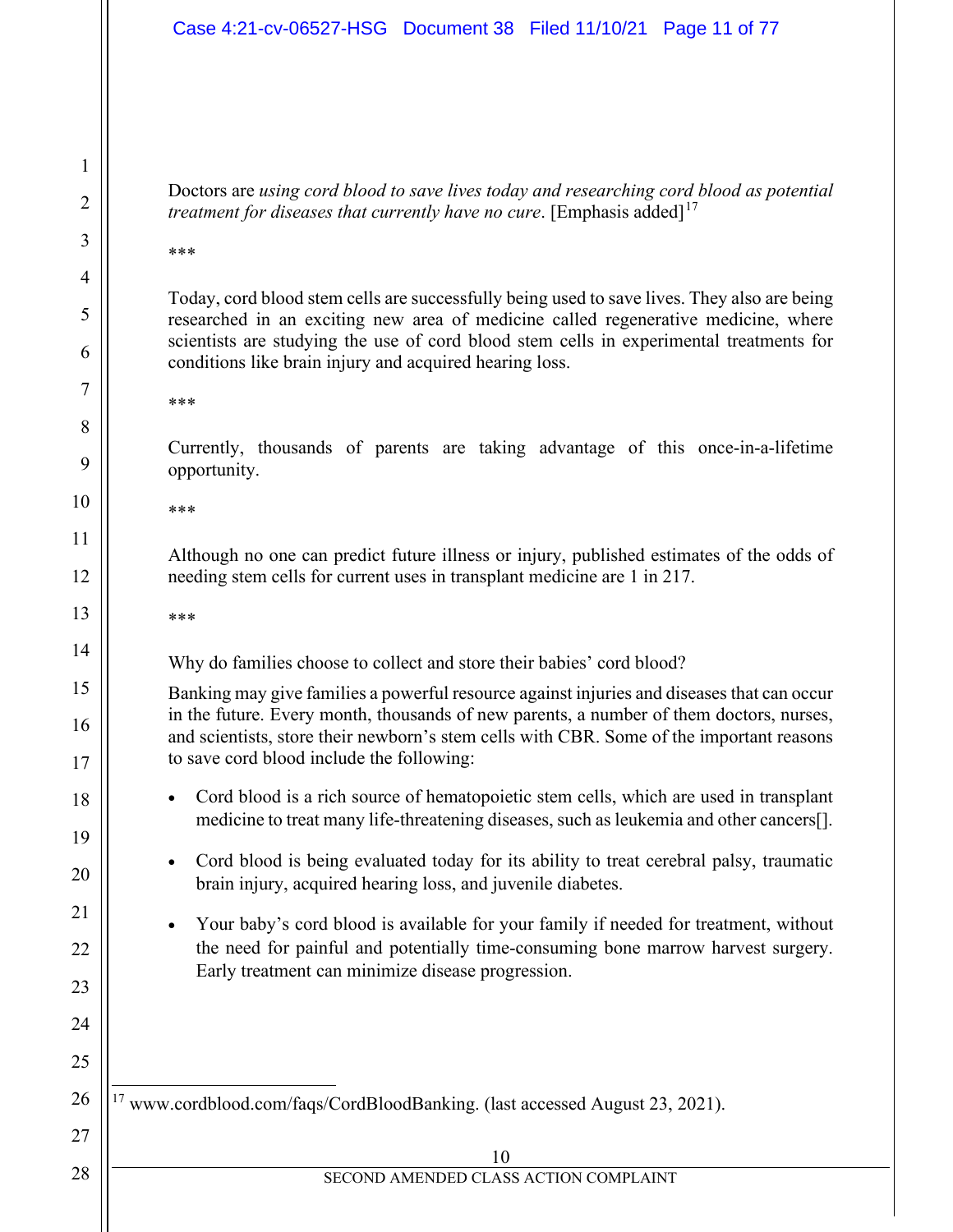#### Case 4:21-cv-06527-HSG Document 38 Filed 11/10/21 Page 11 of 77

Doctors are *using cord blood to save lives today and researching cord blood as potential treatment for diseases that currently have no cure.* [Emphasis added]<sup>[17](#page-10-0)</sup>

\*\*\*

1

2

3

4

5

6

7

11

Today, cord blood stem cells are successfully being used to save lives. They also are being researched in an exciting new area of medicine called regenerative medicine, where scientists are studying the use of cord blood stem cells in experimental treatments for conditions like brain injury and acquired hearing loss.

\*\*\*

Currently, thousands of parents are taking advantage of this once-in-a-lifetime opportunity.

\*\*\*

Although no one can predict future illness or injury, published estimates of the odds of needing stem cells for current uses in transplant medicine are 1 in 217.

\*\*\*

Why do families choose to collect and store their babies' cord blood?

Banking may give families a powerful resource against injuries and diseases that can occur in the future. Every month, thousands of new parents, a number of them doctors, nurses, and scientists, store their newborn's stem cells with CBR. Some of the important reasons to save cord blood include the following:

- Cord blood is a rich source of hematopoietic stem cells, which are used in transplant medicine to treat many life-threatening diseases, such as leukemia and other cancers[].
- Cord blood is being evaluated today for its ability to treat cerebral palsy, traumatic brain injury, acquired hearing loss, and juvenile diabetes.
- Your baby's cord blood is available for your family if needed for treatment, without the need for painful and potentially time-consuming bone marrow harvest surgery. Early treatment can minimize disease progression.

<span id="page-10-0"></span><sup>17</sup> www.cordblood.com/faqs/CordBloodBanking. (last accessed August 23, 2021).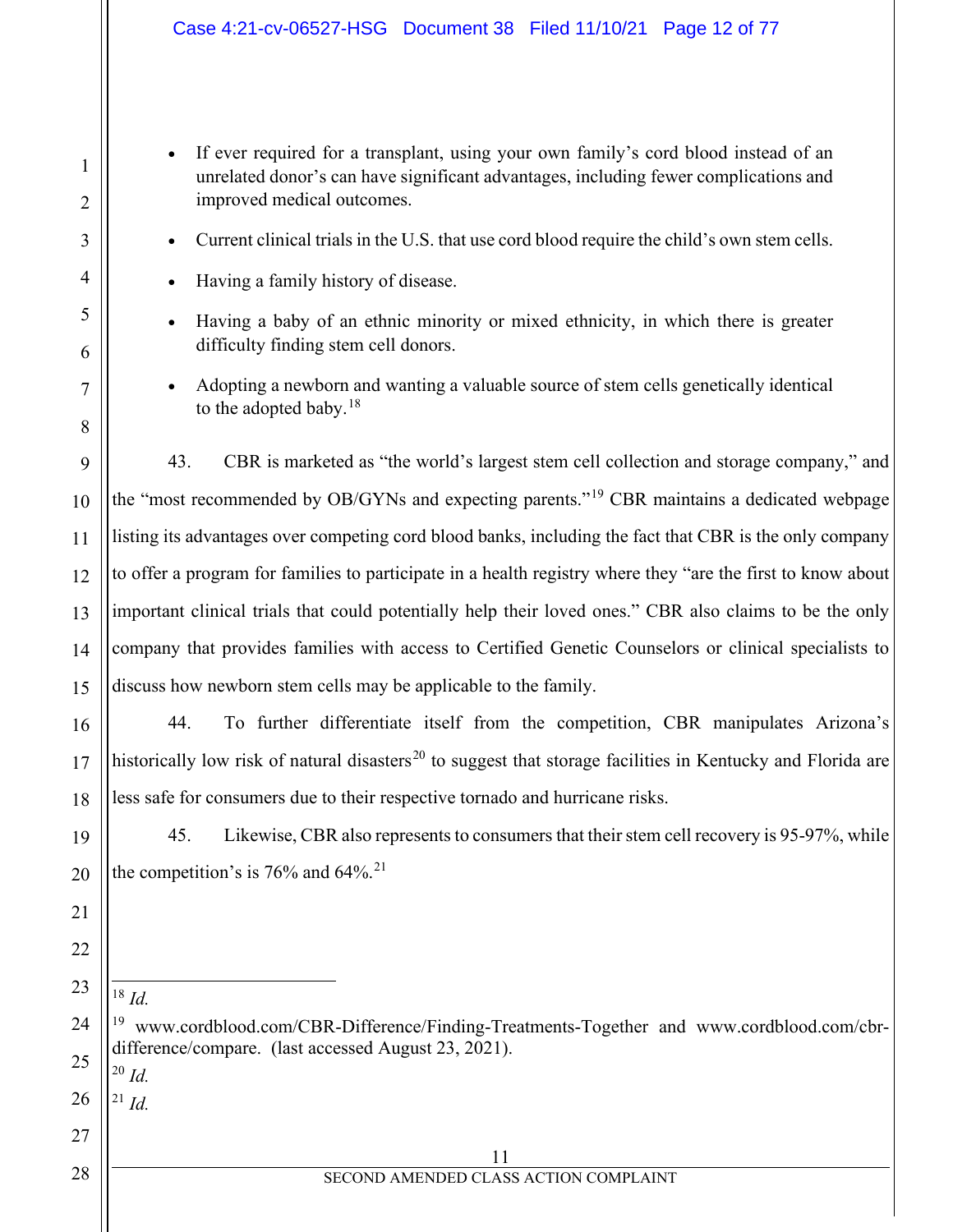• If ever required for a transplant, using your own family's cord blood instead of an unrelated donor's can have significant advantages, including fewer complications and improved medical outcomes.

• Current clinical trials in the U.S. that use cord blood require the child's own stem cells.

- Having a family history of disease.
- Having a baby of an ethnic minority or mixed ethnicity, in which there is greater difficulty finding stem cell donors.
- Adopting a newborn and wanting a valuable source of stem cells genetically identical to the adopted baby.<sup>18</sup>

43. CBR is marketed as "the world's largest stem cell collection and storage company," and the "most recommended by OB/GYNs and expecting parents."[19](#page-11-1) CBR maintains a dedicated webpage listing its advantages over competing cord blood banks, including the fact that CBR is the only company to offer a program for families to participate in a health registry where they "are the first to know about important clinical trials that could potentially help their loved ones." CBR also claims to be the only company that provides families with access to Certified Genetic Counselors or clinical specialists to discuss how newborn stem cells may be applicable to the family.

44. To further differentiate itself from the competition, CBR manipulates Arizona's historically low risk of natural disasters<sup>[20](#page-11-2)</sup> to suggest that storage facilities in Kentucky and Florida are less safe for consumers due to their respective tornado and hurricane risks.

45. Likewise, CBR also represents to consumers that their stem cell recovery is 95-97%, while the competition's is  $76\%$  and  $64\%$ <sup>21</sup>

<sup>18</sup> *Id.*

1

2

3

4

5

6

7

8

9

10

11

12

13

14

15

16

17

18

19

20

21

22

<span id="page-11-0"></span>23

<span id="page-11-1"></span>24

27

28

<span id="page-11-2"></span>25 <sup>20</sup> *Id.*

<span id="page-11-3"></span>26 <sup>21</sup> *Id.*

> 11 SECOND AMENDED CLASS ACTION COMPLAINT

 $19$  www.cordblood.com/CBR-Difference/Finding-Treatments-Together and www.cordblood.com/cbrdifference/compare. (last accessed August 23, 2021).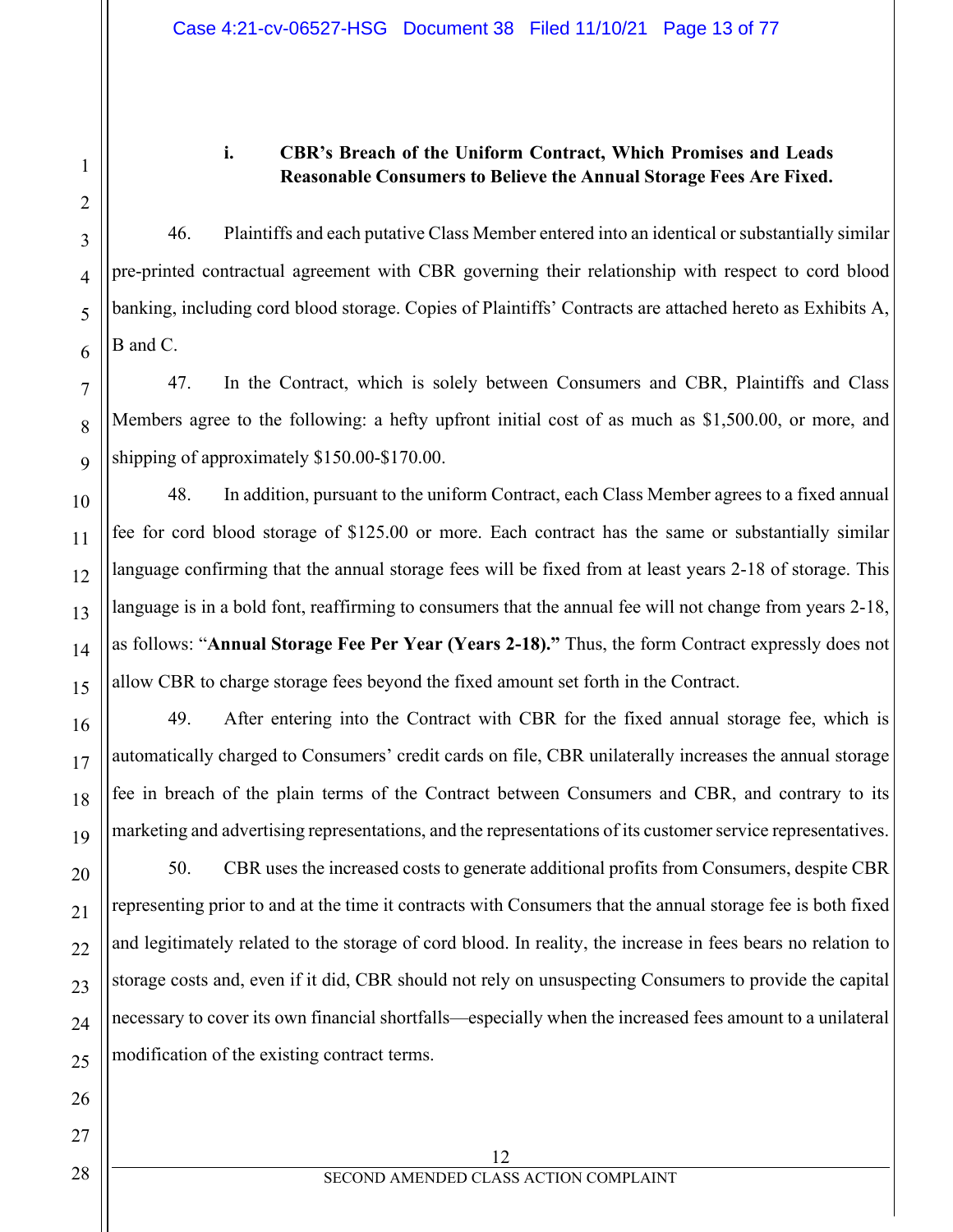# **i. CBR's Breach of the Uniform Contract, Which Promises and Leads Reasonable Consumers to Believe the Annual Storage Fees Are Fixed.**

46. Plaintiffs and each putative Class Member entered into an identical or substantially similar pre-printed contractual agreement with CBR governing their relationship with respect to cord blood banking, including cord blood storage. Copies of Plaintiffs' Contracts are attached hereto as Exhibits A, B and C.

47. In the Contract, which is solely between Consumers and CBR, Plaintiffs and Class Members agree to the following: a hefty upfront initial cost of as much as \$1,500.00, or more, and shipping of approximately \$150.00-\$170.00.

48. In addition, pursuant to the uniform Contract, each Class Member agrees to a fixed annual fee for cord blood storage of \$125.00 or more. Each contract has the same or substantially similar language confirming that the annual storage fees will be fixed from at least years 2-18 of storage. This language is in a bold font, reaffirming to consumers that the annual fee will not change from years 2-18, as follows: "**Annual Storage Fee Per Year (Years 2-18)."** Thus, the form Contract expressly does not allow CBR to charge storage fees beyond the fixed amount set forth in the Contract.

49. After entering into the Contract with CBR for the fixed annual storage fee, which is automatically charged to Consumers' credit cards on file, CBR unilaterally increases the annual storage fee in breach of the plain terms of the Contract between Consumers and CBR, and contrary to its marketing and advertising representations, and the representations of its customer service representatives.

50. CBR uses the increased costs to generate additional profits from Consumers, despite CBR representing prior to and at the time it contracts with Consumers that the annual storage fee is both fixed and legitimately related to the storage of cord blood. In reality, the increase in fees bears no relation to storage costs and, even if it did, CBR should not rely on unsuspecting Consumers to provide the capital necessary to cover its own financial shortfalls—especially when the increased fees amount to a unilateral modification of the existing contract terms.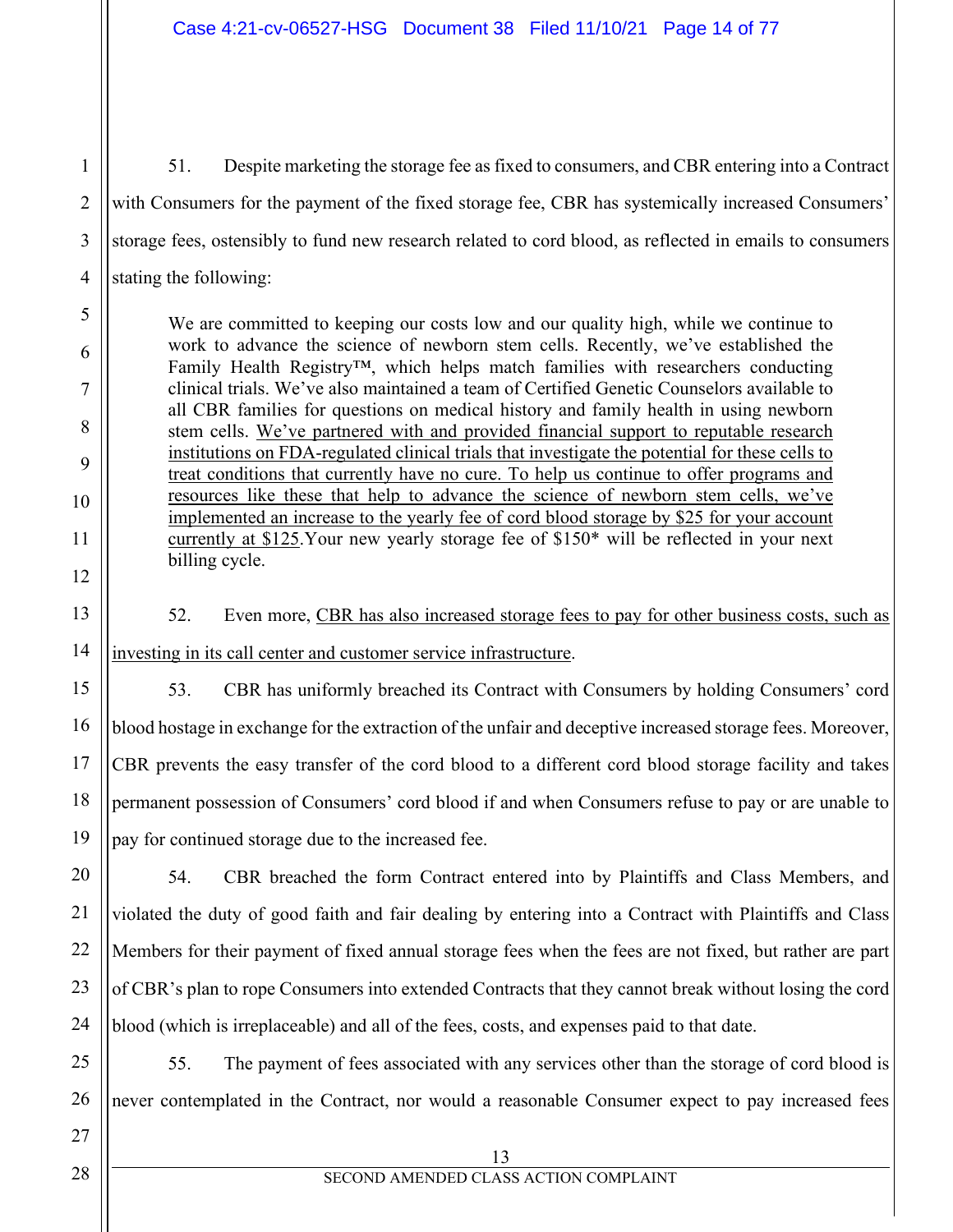51. Despite marketing the storage fee as fixed to consumers, and CBR entering into a Contract with Consumers for the payment of the fixed storage fee, CBR has systemically increased Consumers' storage fees, ostensibly to fund new research related to cord blood, as reflected in emails to consumers stating the following:

We are committed to keeping our costs low and our quality high, while we continue to work to advance the science of newborn stem cells. Recently, we've established the Family Health Registry™, which helps match families with researchers conducting clinical trials. We've also maintained a team of Certified Genetic Counselors available to all CBR families for questions on medical history and family health in using newborn stem cells. We've partnered with and provided financial support to reputable research institutions on FDA-regulated clinical trials that investigate the potential for these cells to treat conditions that currently have no cure. To help us continue to offer programs and resources like these that help to advance the science of newborn stem cells, we've implemented an increase to the yearly fee of cord blood storage by \$25 for your account currently at \$125.Your new yearly storage fee of \$150\* will be reflected in your next billing cycle.

52. Even more, CBR has also increased storage fees to pay for other business costs, such as investing in its call center and customer service infrastructure.

53. CBR has uniformly breached its Contract with Consumers by holding Consumers' cord blood hostage in exchange for the extraction of the unfair and deceptive increased storage fees. Moreover, CBR prevents the easy transfer of the cord blood to a different cord blood storage facility and takes permanent possession of Consumers' cord blood if and when Consumers refuse to pay or are unable to pay for continued storage due to the increased fee.

20 21 22 23 24 54. CBR breached the form Contract entered into by Plaintiffs and Class Members, and violated the duty of good faith and fair dealing by entering into a Contract with Plaintiffs and Class Members for their payment of fixed annual storage fees when the fees are not fixed, but rather are part of CBR's plan to rope Consumers into extended Contracts that they cannot break without losing the cord blood (which is irreplaceable) and all of the fees, costs, and expenses paid to that date.

55. The payment of fees associated with any services other than the storage of cord blood is never contemplated in the Contract, nor would a reasonable Consumer expect to pay increased fees

25

26

27

1

2

3

4

5

6

7

8

9

10

11

12

13

14

15

16

17

18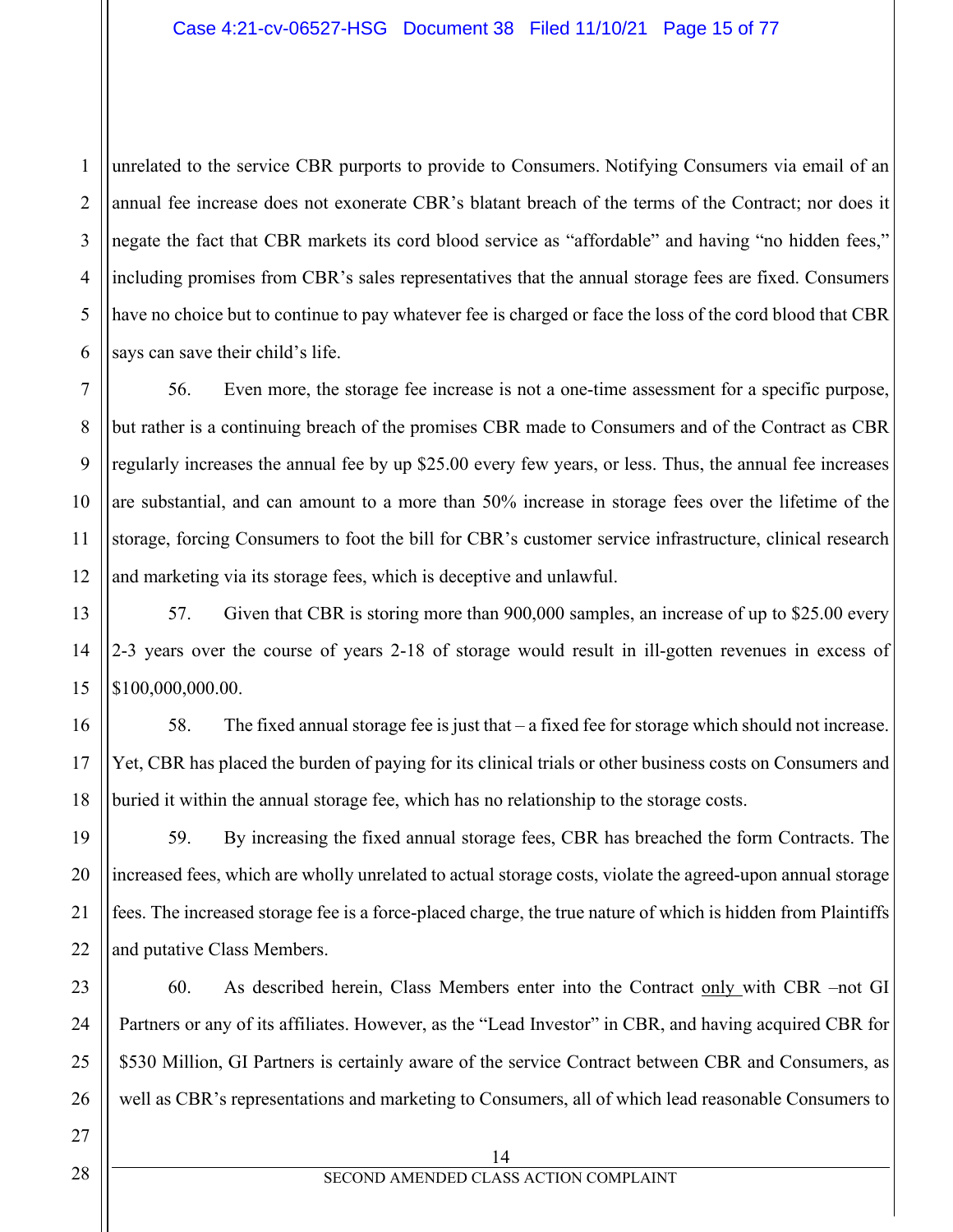1 2 3 4 5 6 unrelated to the service CBR purports to provide to Consumers. Notifying Consumers via email of an annual fee increase does not exonerate CBR's blatant breach of the terms of the Contract; nor does it negate the fact that CBR markets its cord blood service as "affordable" and having "no hidden fees," including promises from CBR's sales representatives that the annual storage fees are fixed. Consumers have no choice but to continue to pay whatever fee is charged or face the loss of the cord blood that CBR says can save their child's life.

7 8 9 10 11 12 56. Even more, the storage fee increase is not a one-time assessment for a specific purpose, but rather is a continuing breach of the promises CBR made to Consumers and of the Contract as CBR regularly increases the annual fee by up \$25.00 every few years, or less. Thus, the annual fee increases are substantial, and can amount to a more than 50% increase in storage fees over the lifetime of the storage, forcing Consumers to foot the bill for CBR's customer service infrastructure, clinical research and marketing via its storage fees, which is deceptive and unlawful.

57. Given that CBR is storing more than 900,000 samples, an increase of up to \$25.00 every 2-3 years over the course of years 2-18 of storage would result in ill-gotten revenues in excess of \$100,000,000.00.

58. The fixed annual storage fee is just that – a fixed fee for storage which should not increase. Yet, CBR has placed the burden of paying for its clinical trials or other business costs on Consumers and buried it within the annual storage fee, which has no relationship to the storage costs.

59. By increasing the fixed annual storage fees, CBR has breached the form Contracts. The increased fees, which are wholly unrelated to actual storage costs, violate the agreed-upon annual storage fees. The increased storage fee is a force-placed charge, the true nature of which is hidden from Plaintiffs and putative Class Members.

60. As described herein, Class Members enter into the Contract only with CBR –not GI Partners or any of its affiliates. However, as the "Lead Investor" in CBR, and having acquired CBR for \$530 Million, GI Partners is certainly aware of the service Contract between CBR and Consumers, as well as CBR's representations and marketing to Consumers, all of which lead reasonable Consumers to

14

13

14

15

16

17

18

19

20

21

22

23

24

25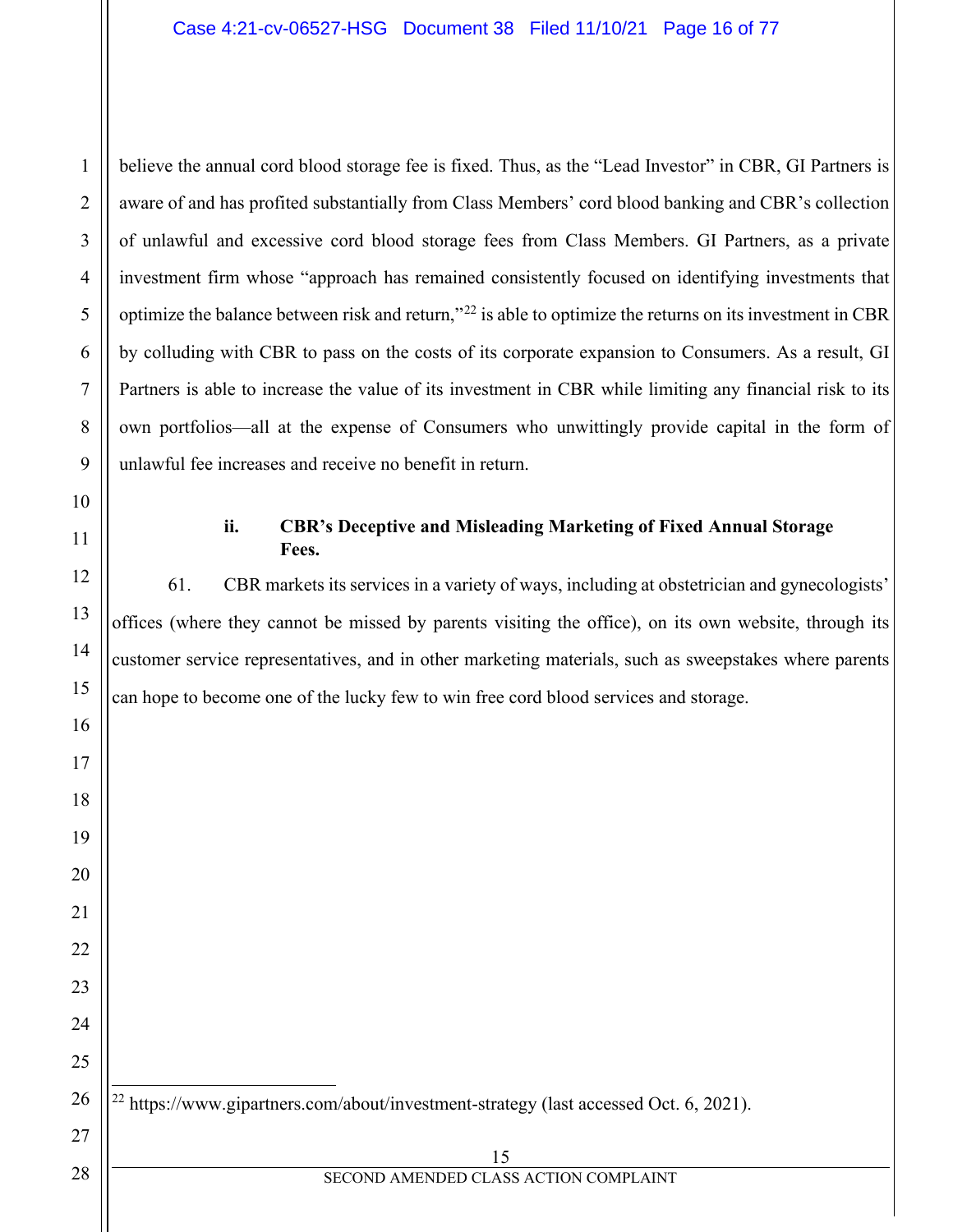believe the annual cord blood storage fee is fixed. Thus, as the "Lead Investor" in CBR, GI Partners is aware of and has profited substantially from Class Members' cord blood banking and CBR's collection of unlawful and excessive cord blood storage fees from Class Members. GI Partners, as a private investment firm whose "approach has remained consistently focused on identifying investments that optimize the balance between risk and return,"[22](#page-15-0) is able to optimize the returns on its investment in CBR by colluding with CBR to pass on the costs of its corporate expansion to Consumers. As a result, GI Partners is able to increase the value of its investment in CBR while limiting any financial risk to its own portfolios—all at the expense of Consumers who unwittingly provide capital in the form of unlawful fee increases and receive no benefit in return.

## **ii. CBR's Deceptive and Misleading Marketing of Fixed Annual Storage Fees.**

61. CBR markets its services in a variety of ways, including at obstetrician and gynecologists' offices (where they cannot be missed by parents visiting the office), on its own website, through its customer service representatives, and in other marketing materials, such as sweepstakes where parents can hope to become one of the lucky few to win free cord blood services and storage.

<span id="page-15-0"></span><https://www.gipartners.com/about/investment-strategy> (last accessed Oct. 6, 2021).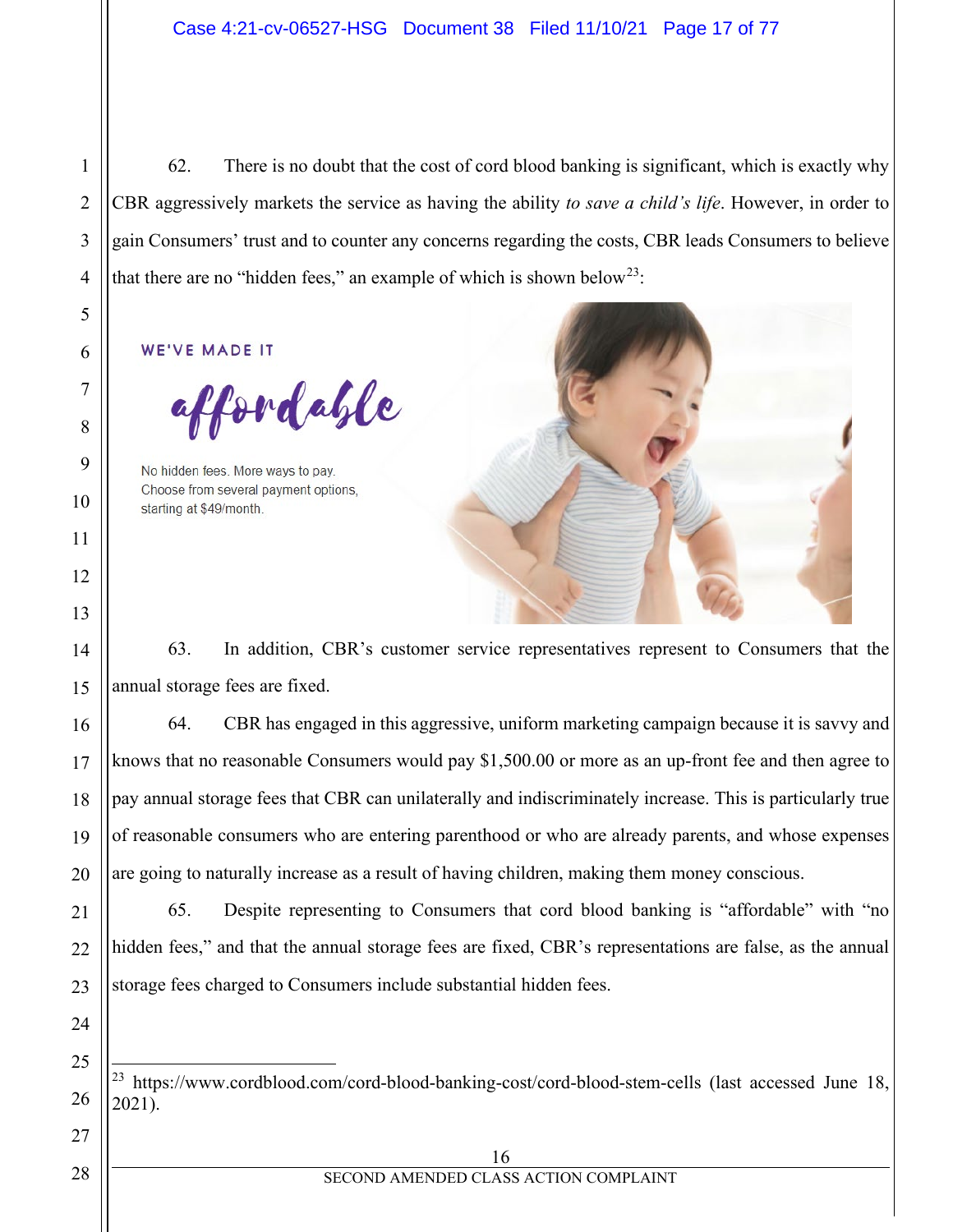62. There is no doubt that the cost of cord blood banking is significant, which is exactly why CBR aggressively markets the service as having the ability *to save a child's life*. However, in order to gain Consumers' trust and to counter any concerns regarding the costs, CBR leads Consumers to believe that there are no "hidden fees," an example of which is shown below<sup>[23](#page-16-0)</sup>:

**WE'VE MADE IT** 

affordable

No hidden fees. More ways to pay. Choose from several payment options. starting at \$49/month.



63. In addition, CBR's customer service representatives represent to Consumers that the annual storage fees are fixed.

64. CBR has engaged in this aggressive, uniform marketing campaign because it is savvy and knows that no reasonable Consumers would pay \$1,500.00 or more as an up-front fee and then agree to pay annual storage fees that CBR can unilaterally and indiscriminately increase. This is particularly true of reasonable consumers who are entering parenthood or who are already parents, and whose expenses are going to naturally increase as a result of having children, making them money conscious.

65. Despite representing to Consumers that cord blood banking is "affordable" with "no hidden fees," and that the annual storage fees are fixed, CBR's representations are false, as the annual storage fees charged to Consumers include substantial hidden fees.

<span id="page-16-0"></span><sup>23</sup> <https://www.cordblood.com/cord-blood-banking-cost/cord-blood-stem-cells> (last accessed June 18, 2021).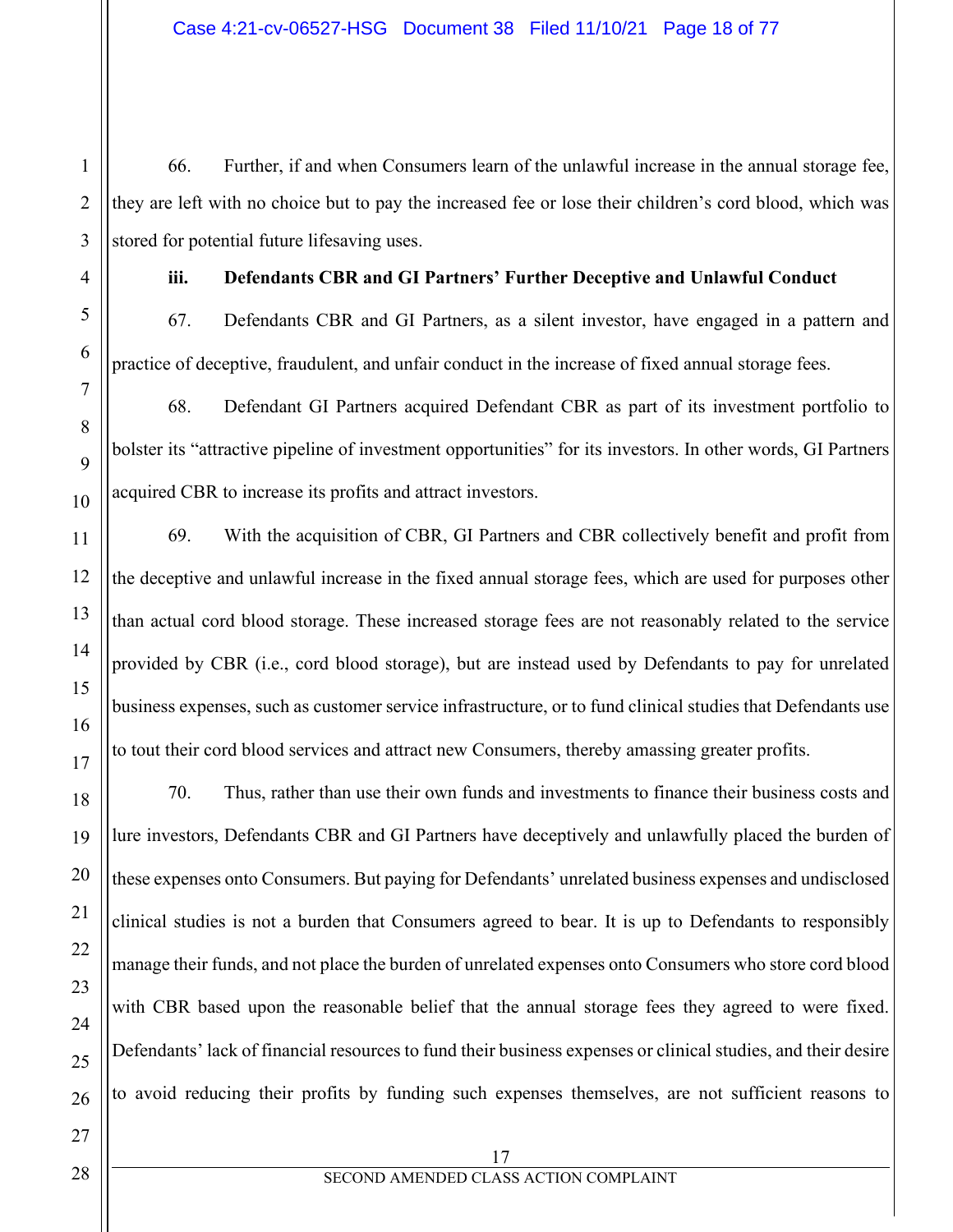66. Further, if and when Consumers learn of the unlawful increase in the annual storage fee, they are left with no choice but to pay the increased fee or lose their children's cord blood, which was stored for potential future lifesaving uses.

1

# **iii. Defendants CBR and GI Partners' Further Deceptive and Unlawful Conduct**

67. Defendants CBR and GI Partners, as a silent investor, have engaged in a pattern and practice of deceptive, fraudulent, and unfair conduct in the increase of fixed annual storage fees.

68. Defendant GI Partners acquired Defendant CBR as part of its investment portfolio to bolster its "attractive pipeline of investment opportunities" for its investors. In other words, GI Partners acquired CBR to increase its profits and attract investors.

69. With the acquisition of CBR, GI Partners and CBR collectively benefit and profit from the deceptive and unlawful increase in the fixed annual storage fees, which are used for purposes other than actual cord blood storage. These increased storage fees are not reasonably related to the service provided by CBR (i.e., cord blood storage), but are instead used by Defendants to pay for unrelated business expenses, such as customer service infrastructure, or to fund clinical studies that Defendants use to tout their cord blood services and attract new Consumers, thereby amassing greater profits.

70. Thus, rather than use their own funds and investments to finance their business costs and lure investors, Defendants CBR and GI Partners have deceptively and unlawfully placed the burden of these expenses onto Consumers. But paying for Defendants' unrelated business expenses and undisclosed clinical studies is not a burden that Consumers agreed to bear. It is up to Defendants to responsibly manage their funds, and not place the burden of unrelated expenses onto Consumers who store cord blood with CBR based upon the reasonable belief that the annual storage fees they agreed to were fixed. Defendants' lack of financial resources to fund their business expenses or clinical studies, and their desire to avoid reducing their profits by funding such expenses themselves, are not sufficient reasons to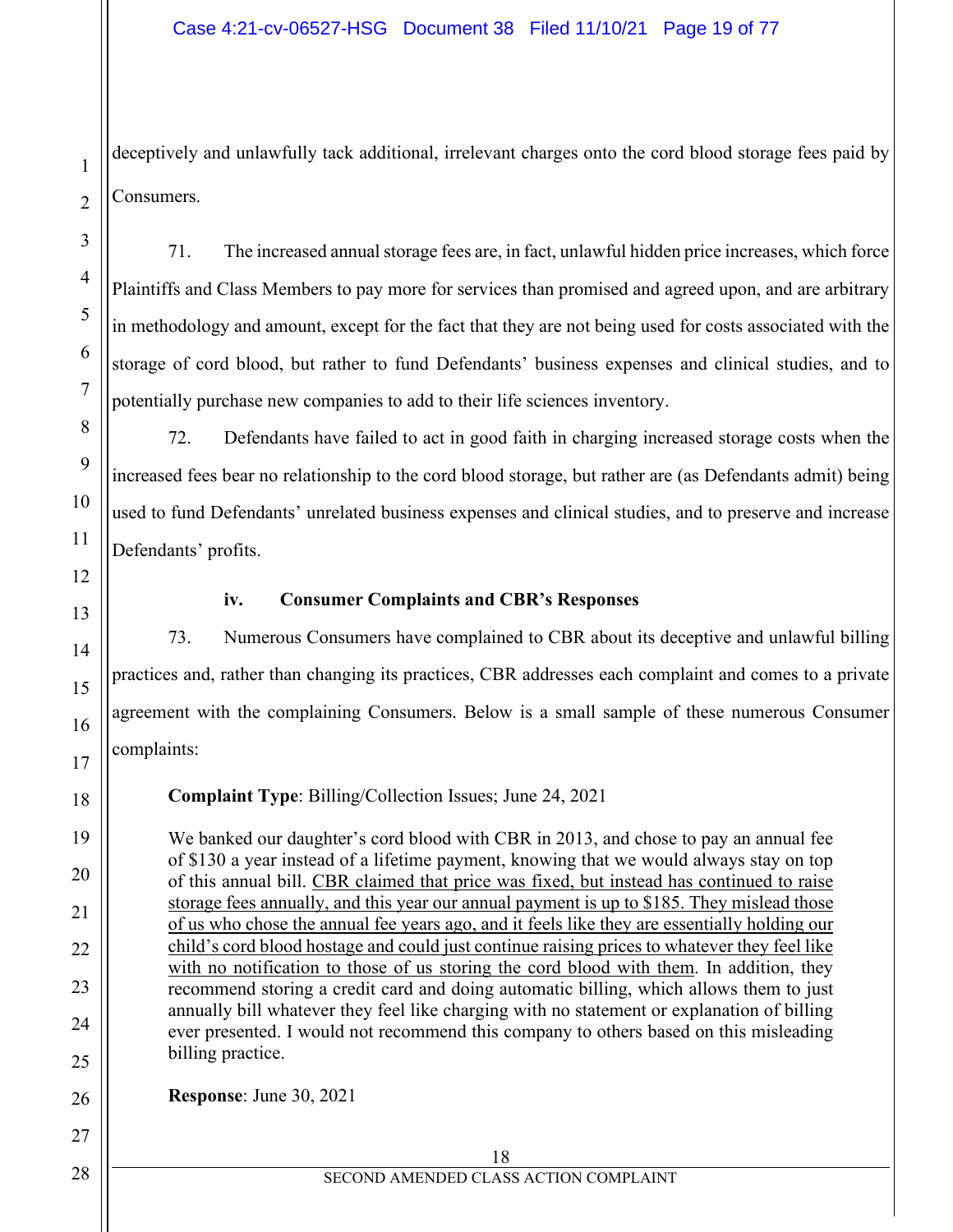deceptively and unlawfully tack additional, irrelevant charges onto the cord blood storage fees paid by Consumers.

71. The increased annual storage fees are, in fact, unlawful hidden price increases, which force Plaintiffs and Class Members to pay more for services than promised and agreed upon, and are arbitrary in methodology and amount, except for the fact that they are not being used for costs associated with the storage of cord blood, but rather to fund Defendants' business expenses and clinical studies, and to potentially purchase new companies to add to their life sciences inventory.

72. Defendants have failed to act in good faith in charging increased storage costs when the increased fees bear no relationship to the cord blood storage, but rather are (as Defendants admit) being used to fund Defendants' unrelated business expenses and clinical studies, and to preserve and increase Defendants' profits.

## **iv. Consumer Complaints and CBR's Responses**

73. Numerous Consumers have complained to CBR about its deceptive and unlawful billing practices and, rather than changing its practices, CBR addresses each complaint and comes to a private agreement with the complaining Consumers. Below is a small sample of these numerous Consumer complaints:

**Complaint Type**: Billing/Collection Issues; June 24, 2021

We banked our daughter's cord blood with CBR in 2013, and chose to pay an annual fee of \$130 a year instead of a lifetime payment, knowing that we would always stay on top of this annual bill. CBR claimed that price was fixed, but instead has continued to raise storage fees annually, and this year our annual payment is up to \$185. They mislead those of us who chose the annual fee years ago, and it feels like they are essentially holding our child's cord blood hostage and could just continue raising prices to whatever they feel like with no notification to those of us storing the cord blood with them. In addition, they recommend storing a credit card and doing automatic billing, which allows them to just annually bill whatever they feel like charging with no statement or explanation of billing ever presented. I would not recommend this company to others based on this misleading billing practice.

**Response**: June 30, 2021

| SECOND AMENDED CLASS ACTION COMPLAINT |
|---------------------------------------|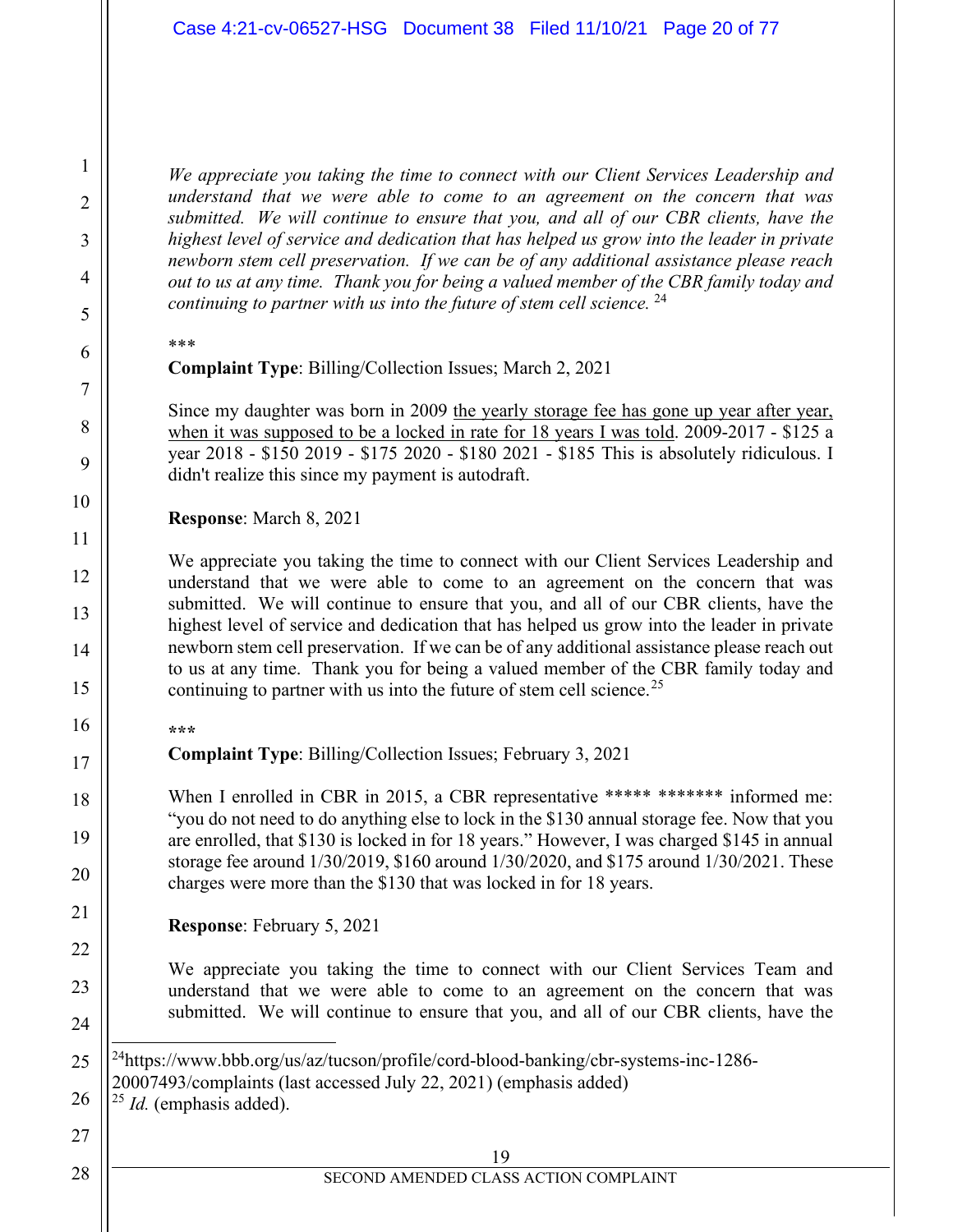*We appreciate you taking the time to connect with our Client Services Leadership and understand that we were able to come to an agreement on the concern that was submitted. We will continue to ensure that you, and all of our CBR clients, have the highest level of service and dedication that has helped us grow into the leader in private newborn stem cell preservation. If we can be of any additional assistance please reach out to us at any time. Thank you for being a valued member of the CBR family today and continuing to partner with us into the future of stem cell science.* [24](#page-19-0)

\*\*\*

1

2

3

4

5

6

7

8

9

10

11

12

13

14

15

16

17

18

19

20

21

22

23

24

<span id="page-19-0"></span>25

<span id="page-19-1"></span>26

27

28

#### **Complaint Type**: Billing/Collection Issues; March 2, 2021

Since my daughter was born in 2009 the yearly storage fee has gone up year after year, when it was supposed to be a locked in rate for 18 years I was told. 2009-2017 - \$125 a year 2018 - \$150 2019 - \$175 2020 - \$180 2021 - \$185 This is absolutely ridiculous. I didn't realize this since my payment is autodraft.

**Response**: March 8, 2021

We appreciate you taking the time to connect with our Client Services Leadership and understand that we were able to come to an agreement on the concern that was submitted. We will continue to ensure that you, and all of our CBR clients, have the highest level of service and dedication that has helped us grow into the leader in private newborn stem cell preservation. If we can be of any additional assistance please reach out to us at any time. Thank you for being a valued member of the CBR family today and continuing to partner with us into the future of stem cell science.<sup>25</sup>

**\*\*\***

**Complaint Type**: Billing/Collection Issues; February 3, 2021

When I enrolled in CBR in 2015, a CBR representative \*\*\*\*\* \*\*\*\*\*\*\*\* informed me: "you do not need to do anything else to lock in the \$130 annual storage fee. Now that you are enrolled, that \$130 is locked in for 18 years." However, I was charged \$145 in annual storage fee around 1/30/2019, \$160 around 1/30/2020, and \$175 around 1/30/2021. These charges were more than the \$130 that was locked in for 18 years.

**Response**: February 5, 2021

We appreciate you taking the time to connect with our Client Services Team and understand that we were able to come to an agreement on the concern that was submitted. We will continue to ensure that you, and all of our CBR clients, have the

<sup>25</sup> *Id.* (emphasis added).

 $^{24}$ https://www.bbb.org/us/az/tucson/profile/cord-blood-banking/cbr-systems-inc-1286-20007493/complaints (last accessed July 22, 2021) (emphasis added)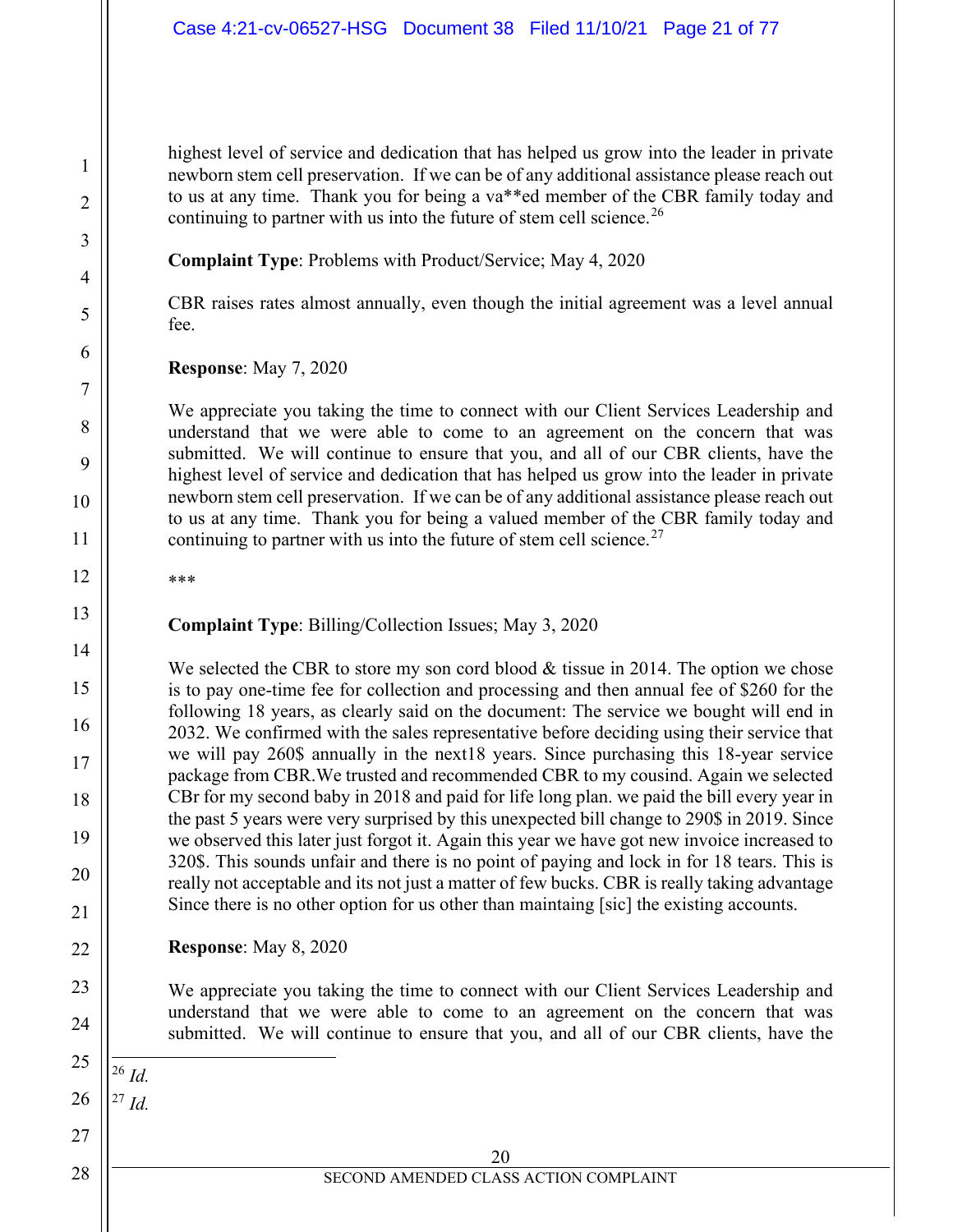highest level of service and dedication that has helped us grow into the leader in private newborn stem cell preservation. If we can be of any additional assistance please reach out to us at any time. Thank you for being a va\*\*ed member of the CBR family today and continuing to partner with us into the future of stem cell science.<sup>[26](#page-20-0)</sup>

**Complaint Type**: Problems with Product/Service; May 4, 2020

CBR raises rates almost annually, even though the initial agreement was a level annual fee.

**Response**: May 7, 2020

We appreciate you taking the time to connect with our Client Services Leadership and understand that we were able to come to an agreement on the concern that was submitted. We will continue to ensure that you, and all of our CBR clients, have the highest level of service and dedication that has helped us grow into the leader in private newborn stem cell preservation. If we can be of any additional assistance please reach out to us at any time. Thank you for being a valued member of the CBR family today and continuing to partner with us into the future of stem cell science.<sup>27</sup>

\*\*\*

**Complaint Type**: Billing/Collection Issues; May 3, 2020

We selected the CBR to store my son cord blood  $&$  tissue in 2014. The option we chose is to pay one-time fee for collection and processing and then annual fee of \$260 for the following 18 years, as clearly said on the document: The service we bought will end in 2032. We confirmed with the sales representative before deciding using their service that we will pay 260\$ annually in the next18 years. Since purchasing this 18-year service package from CBR.We trusted and recommended CBR to my cousind. Again we selected CBr for my second baby in 2018 and paid for life long plan. we paid the bill every year in the past 5 years were very surprised by this unexpected bill change to 290\$ in 2019. Since we observed this later just forgot it. Again this year we have got new invoice increased to 320\$. This sounds unfair and there is no point of paying and lock in for 18 tears. This is really not acceptable and its not just a matter of few bucks. CBR is really taking advantage Since there is no other option for us other than maintaing [sic] the existing accounts.

**Response**: May 8, 2020

We appreciate you taking the time to connect with our Client Services Leadership and understand that we were able to come to an agreement on the concern that was submitted. We will continue to ensure that you, and all of our CBR clients, have the

<span id="page-20-1"></span><span id="page-20-0"></span>

<sup>27</sup> *Id.*

<sup>26</sup> *Id.*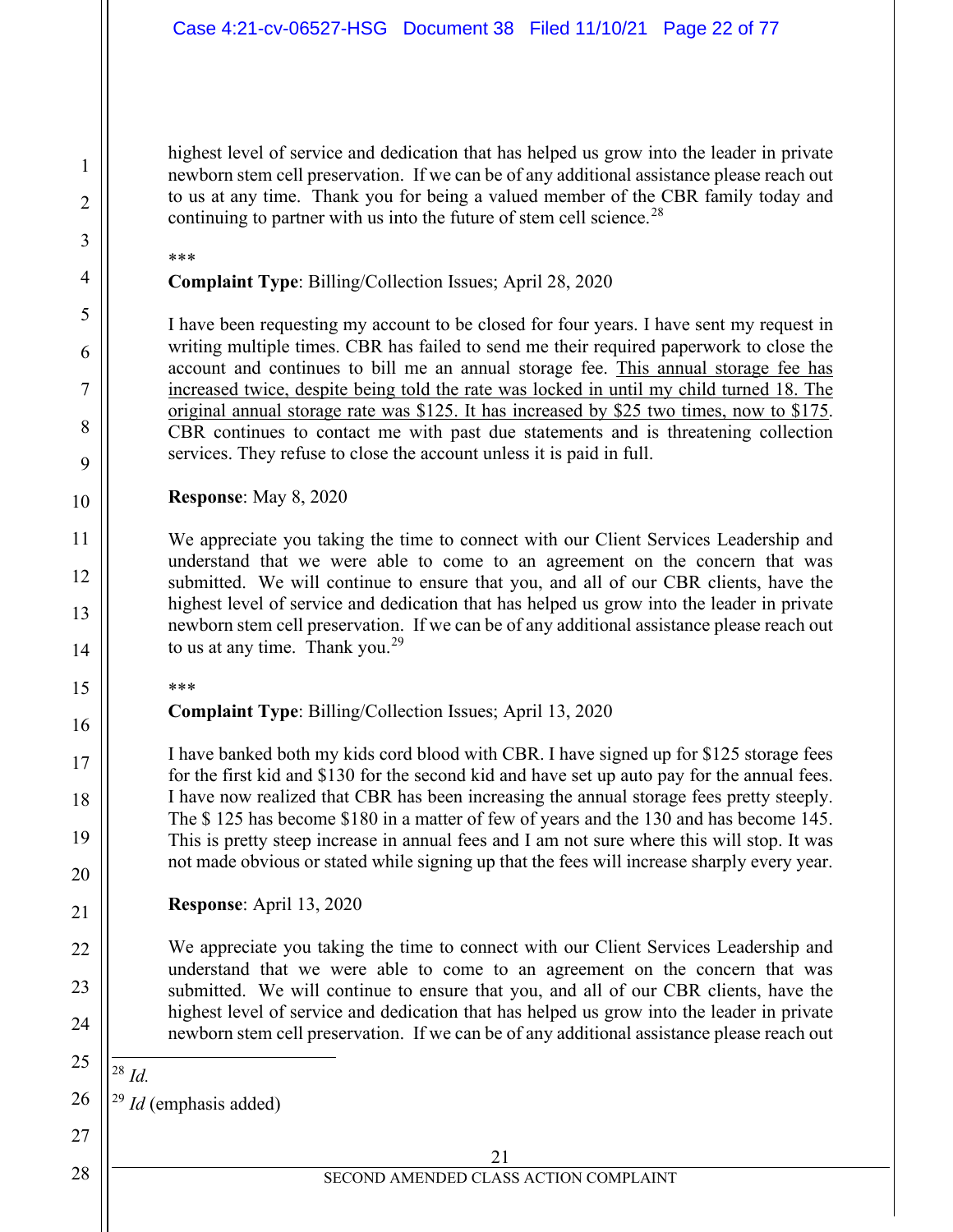highest level of service and dedication that has helped us grow into the leader in private newborn stem cell preservation. If we can be of any additional assistance please reach out to us at any time. Thank you for being a valued member of the CBR family today and continuing to partner with us into the future of stem cell science.<sup>28</sup>

\*\*\*

1

2

3

4

5

6

7

8

9

10

11

12

13

14

15

16

17

18

19

20

21

22

23

24

<span id="page-21-1"></span>26

27

**Complaint Type**: Billing/Collection Issues; April 28, 2020

I have been requesting my account to be closed for four years. I have sent my request in writing multiple times. CBR has failed to send me their required paperwork to close the account and continues to bill me an annual storage fee. This annual storage fee has increased twice, despite being told the rate was locked in until my child turned 18. The original annual storage rate was \$125. It has increased by \$25 two times, now to \$175. CBR continues to contact me with past due statements and is threatening collection services. They refuse to close the account unless it is paid in full.

**Response**: May 8, 2020

We appreciate you taking the time to connect with our Client Services Leadership and understand that we were able to come to an agreement on the concern that was submitted. We will continue to ensure that you, and all of our CBR clients, have the highest level of service and dedication that has helped us grow into the leader in private newborn stem cell preservation. If we can be of any additional assistance please reach out to us at any time. Thank you.<sup>[29](#page-21-1)</sup>

\*\*\*

**Complaint Type**: Billing/Collection Issues; April 13, 2020

I have banked both my kids cord blood with CBR. I have signed up for \$125 storage fees for the first kid and \$130 for the second kid and have set up auto pay for the annual fees. I have now realized that CBR has been increasing the annual storage fees pretty steeply. The \$ 125 has become \$180 in a matter of few of years and the 130 and has become 145. This is pretty steep increase in annual fees and I am not sure where this will stop. It was not made obvious or stated while signing up that the fees will increase sharply every year.

**Response**: April 13, 2020

We appreciate you taking the time to connect with our Client Services Leadership and understand that we were able to come to an agreement on the concern that was submitted. We will continue to ensure that you, and all of our CBR clients, have the highest level of service and dedication that has helped us grow into the leader in private newborn stem cell preservation. If we can be of any additional assistance please reach out

<span id="page-21-0"></span>25 <sup>28</sup> *Id.*

<sup>29</sup> *Id* (emphasis added)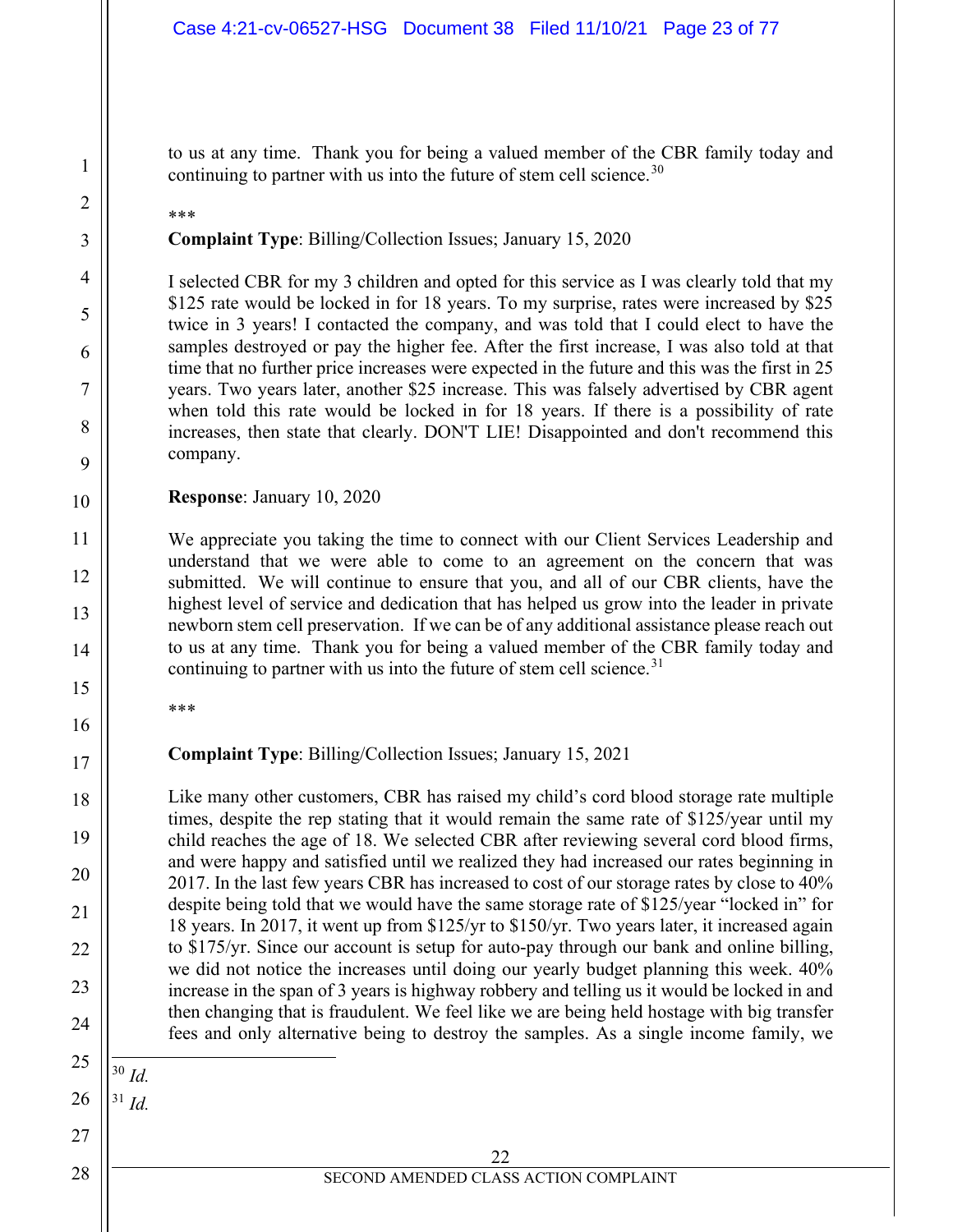to us at any time. Thank you for being a valued member of the CBR family today and continuing to partner with us into the future of stem cell science.<sup>30</sup>

\*\*\*

1

2

3

4

5

6

7

8

9

10

11

12

13

14

15

16

17

18

19

20

21

22

23

24

<span id="page-22-1"></span>26

27

28

**Complaint Type**: Billing/Collection Issues; January 15, 2020

I selected CBR for my 3 children and opted for this service as I was clearly told that my \$125 rate would be locked in for 18 years. To my surprise, rates were increased by \$25 twice in 3 years! I contacted the company, and was told that I could elect to have the samples destroyed or pay the higher fee. After the first increase, I was also told at that time that no further price increases were expected in the future and this was the first in 25 years. Two years later, another \$25 increase. This was falsely advertised by CBR agent when told this rate would be locked in for 18 years. If there is a possibility of rate increases, then state that clearly. DON'T LIE! Disappointed and don't recommend this company.

**Response**: January 10, 2020

We appreciate you taking the time to connect with our Client Services Leadership and understand that we were able to come to an agreement on the concern that was submitted. We will continue to ensure that you, and all of our CBR clients, have the highest level of service and dedication that has helped us grow into the leader in private newborn stem cell preservation. If we can be of any additional assistance please reach out to us at any time. Thank you for being a valued member of the CBR family today and continuing to partner with us into the future of stem cell science.  $31$ 

\*\*\*

**Complaint Type**: Billing/Collection Issues; January 15, 2021

Like many other customers, CBR has raised my child's cord blood storage rate multiple times, despite the rep stating that it would remain the same rate of \$125/year until my child reaches the age of 18. We selected CBR after reviewing several cord blood firms, and were happy and satisfied until we realized they had increased our rates beginning in 2017. In the last few years CBR has increased to cost of our storage rates by close to 40% despite being told that we would have the same storage rate of \$125/year "locked in" for 18 years. In 2017, it went up from \$125/yr to \$150/yr. Two years later, it increased again to \$175/yr. Since our account is setup for auto-pay through our bank and online billing, we did not notice the increases until doing our yearly budget planning this week. 40% increase in the span of 3 years is highway robbery and telling us it would be locked in and then changing that is fraudulent. We feel like we are being held hostage with big transfer fees and only alternative being to destroy the samples. As a single income family, we

<span id="page-22-0"></span>25 <sup>30</sup> *Id.*

<sup>31</sup> *Id.*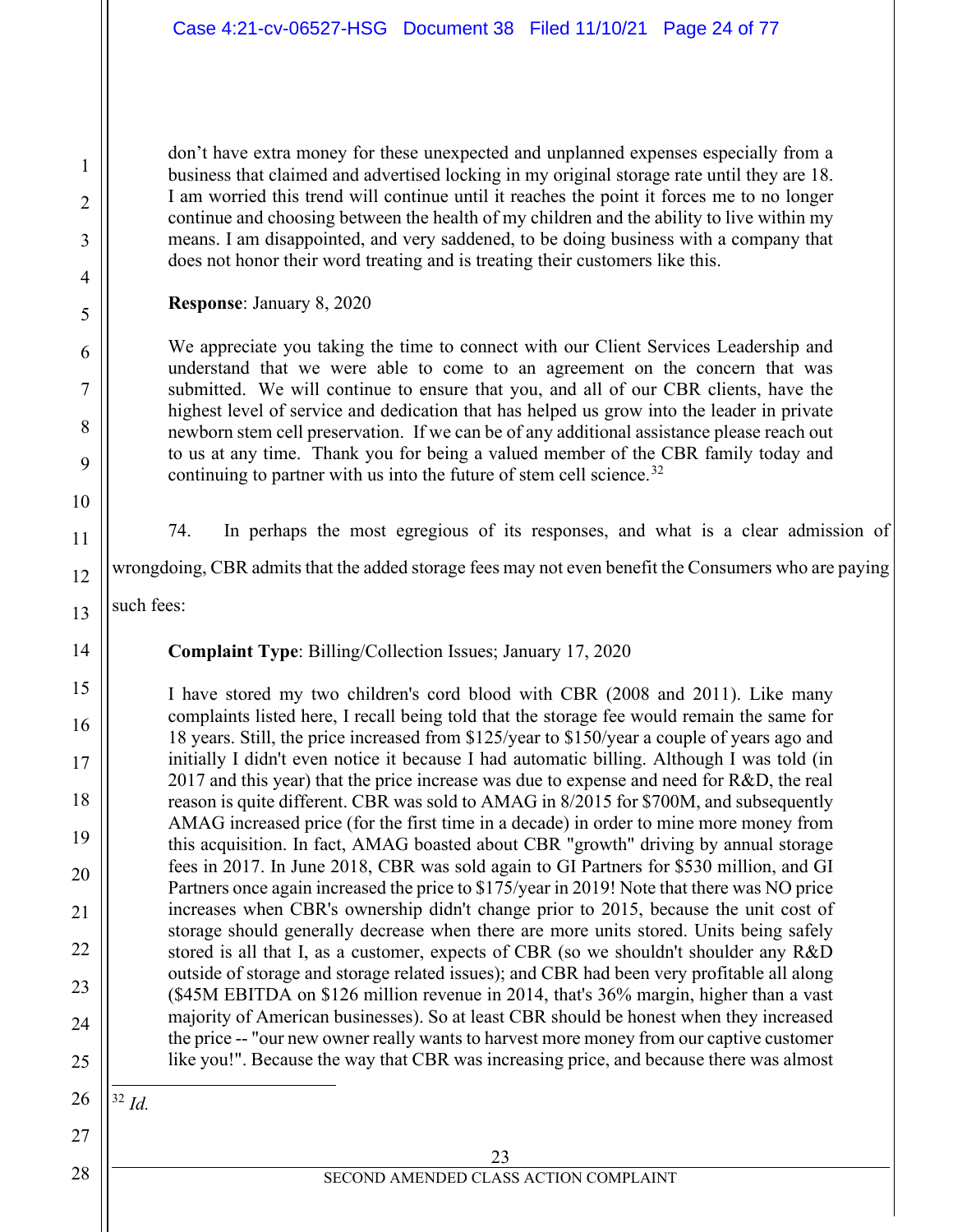don't have extra money for these unexpected and unplanned expenses especially from a business that claimed and advertised locking in my original storage rate until they are 18. I am worried this trend will continue until it reaches the point it forces me to no longer continue and choosing between the health of my children and the ability to live within my means. I am disappointed, and very saddened, to be doing business with a company that does not honor their word treating and is treating their customers like this.

**Response**: January 8, 2020

We appreciate you taking the time to connect with our Client Services Leadership and understand that we were able to come to an agreement on the concern that was submitted. We will continue to ensure that you, and all of our CBR clients, have the highest level of service and dedication that has helped us grow into the leader in private newborn stem cell preservation. If we can be of any additional assistance please reach out to us at any time. Thank you for being a valued member of the CBR family today and continuing to partner with us into the future of stem cell science.<sup>[32](#page-23-0)</sup>

1

2

3

4

5

6

7

8

9

10

11

12

13

14

15

16

17

18

19

20

21

22

23

24

25

27

28

74. In perhaps the most egregious of its responses, and what is a clear admission of

wrongdoing, CBR admits that the added storage fees may not even benefit the Consumers who are paying

such fees:

**Complaint Type**: Billing/Collection Issues; January 17, 2020

I have stored my two children's cord blood with CBR (2008 and 2011). Like many complaints listed here, I recall being told that the storage fee would remain the same for 18 years. Still, the price increased from \$125/year to \$150/year a couple of years ago and initially I didn't even notice it because I had automatic billing. Although I was told (in 2017 and this year) that the price increase was due to expense and need for R&D, the real reason is quite different. CBR was sold to AMAG in 8/2015 for \$700M, and subsequently AMAG increased price (for the first time in a decade) in order to mine more money from this acquisition. In fact, AMAG boasted about CBR "growth" driving by annual storage fees in 2017. In June 2018, CBR was sold again to GI Partners for \$530 million, and GI Partners once again increased the price to \$175/year in 2019! Note that there was NO price increases when CBR's ownership didn't change prior to 2015, because the unit cost of storage should generally decrease when there are more units stored. Units being safely stored is all that I, as a customer, expects of CBR (so we shouldn't shoulder any R&D outside of storage and storage related issues); and CBR had been very profitable all along (\$45M EBITDA on \$126 million revenue in 2014, that's 36% margin, higher than a vast majority of American businesses). So at least CBR should be honest when they increased the price -- "our new owner really wants to harvest more money from our captive customer like you!". Because the way that CBR was increasing price, and because there was almost

<span id="page-23-0"></span>26

<sup>32</sup> *Id.*

23 SECOND AMENDED CLASS ACTION COMPLAINT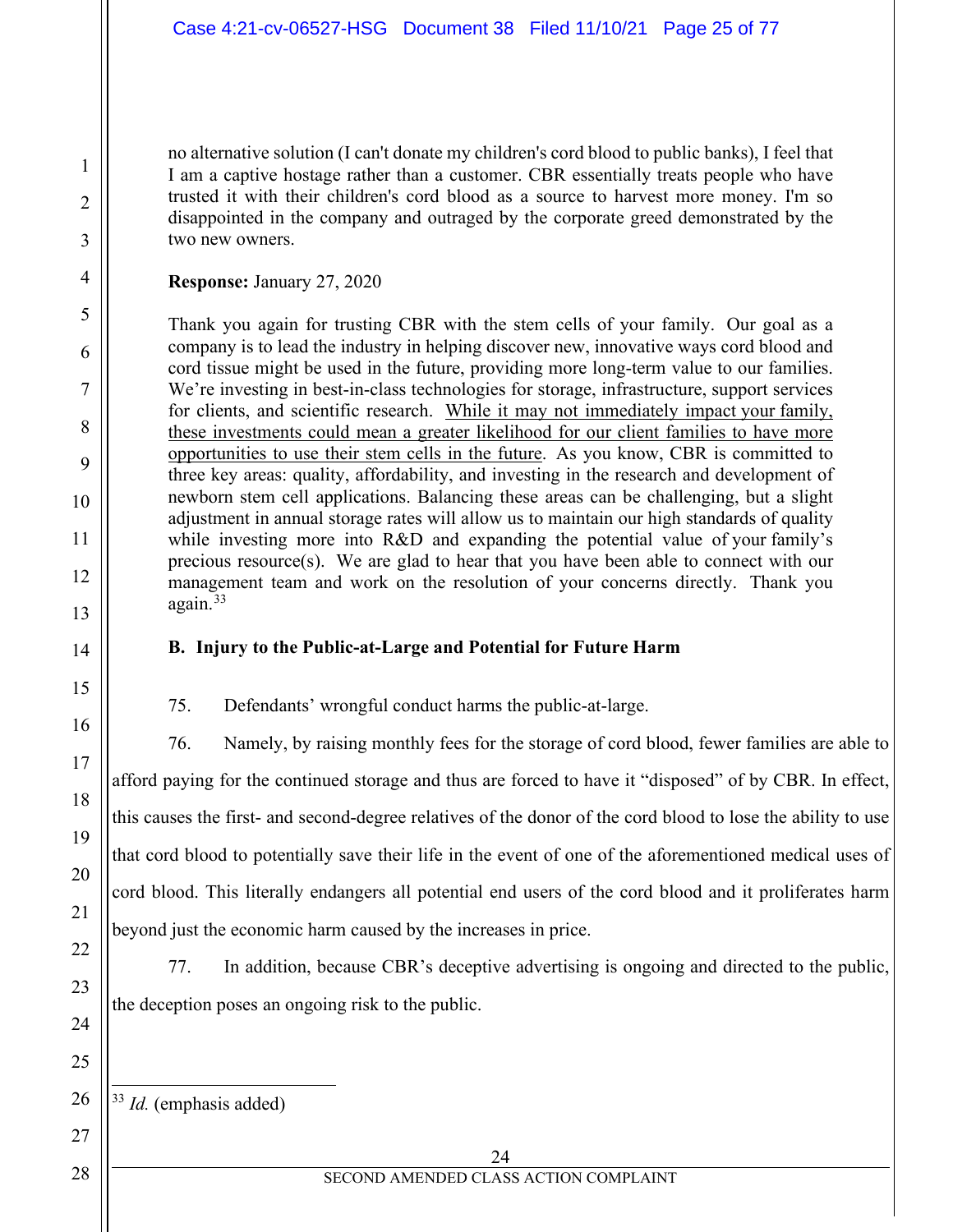no alternative solution (I can't donate my children's cord blood to public banks), I feel that I am a captive hostage rather than a customer. CBR essentially treats people who have trusted it with their children's cord blood as a source to harvest more money. I'm so disappointed in the company and outraged by the corporate greed demonstrated by the two new owners.

#### **Response:** January 27, 2020

Thank you again for trusting CBR with the stem cells of your family. Our goal as a company is to lead the industry in helping discover new, innovative ways cord blood and cord tissue might be used in the future, providing more long-term value to our families. We're investing in best-in-class technologies for storage, infrastructure, support services for clients, and scientific research. While it may not immediately impact your family, these investments could mean a greater likelihood for our client families to have more opportunities to use their stem cells in the future. As you know, CBR is committed to three key areas: quality, affordability, and investing in the research and development of newborn stem cell applications. Balancing these areas can be challenging, but a slight adjustment in annual storage rates will allow us to maintain our high standards of quality while investing more into R&D and expanding the potential value of your family's precious resource(s). We are glad to hear that you have been able to connect with our management team and work on the resolution of your concerns directly. Thank you  $a$ gain. $33$ 

## **B. Injury to the Public-at-Large and Potential for Future Harm**

75. Defendants' wrongful conduct harms the public-at-large.

76. Namely, by raising monthly fees for the storage of cord blood, fewer families are able to afford paying for the continued storage and thus are forced to have it "disposed" of by CBR. In effect, this causes the first- and second-degree relatives of the donor of the cord blood to lose the ability to use that cord blood to potentially save their life in the event of one of the aforementioned medical uses of cord blood. This literally endangers all potential end users of the cord blood and it proliferates harm beyond just the economic harm caused by the increases in price.

77. In addition, because CBR's deceptive advertising is ongoing and directed to the public, the deception poses an ongoing risk to the public.

<span id="page-24-0"></span><sup>33</sup> *Id.* (emphasis added)

#### 24 SECOND AMENDED CLASS ACTION COMPLAINT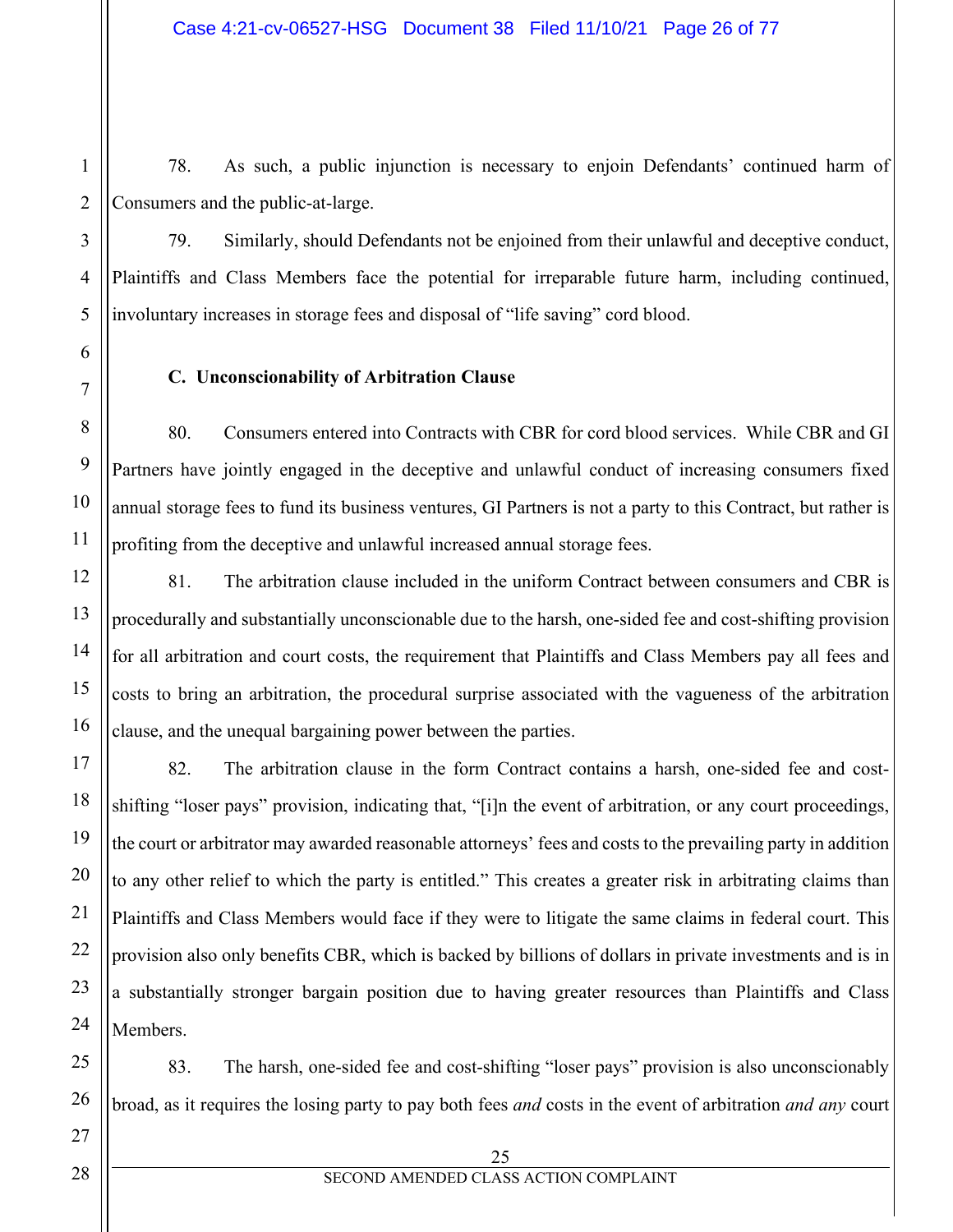78. As such, a public injunction is necessary to enjoin Defendants' continued harm of Consumers and the public-at-large.

79. Similarly, should Defendants not be enjoined from their unlawful and deceptive conduct, Plaintiffs and Class Members face the potential for irreparable future harm, including continued, involuntary increases in storage fees and disposal of "life saving" cord blood.

## **C. Unconscionability of Arbitration Clause**

80. Consumers entered into Contracts with CBR for cord blood services. While CBR and GI Partners have jointly engaged in the deceptive and unlawful conduct of increasing consumers fixed annual storage fees to fund its business ventures, GI Partners is not a party to this Contract, but rather is profiting from the deceptive and unlawful increased annual storage fees.

81. The arbitration clause included in the uniform Contract between consumers and CBR is procedurally and substantially unconscionable due to the harsh, one-sided fee and cost-shifting provision for all arbitration and court costs, the requirement that Plaintiffs and Class Members pay all fees and costs to bring an arbitration, the procedural surprise associated with the vagueness of the arbitration clause, and the unequal bargaining power between the parties.

82. The arbitration clause in the form Contract contains a harsh, one-sided fee and costshifting "loser pays" provision, indicating that, "[i]n the event of arbitration, or any court proceedings, the court or arbitrator may awarded reasonable attorneys' fees and costs to the prevailing party in addition to any other relief to which the party is entitled." This creates a greater risk in arbitrating claims than Plaintiffs and Class Members would face if they were to litigate the same claims in federal court. This provision also only benefits CBR, which is backed by billions of dollars in private investments and is in a substantially stronger bargain position due to having greater resources than Plaintiffs and Class Members.

83. The harsh, one-sided fee and cost-shifting "loser pays" provision is also unconscionably broad, as it requires the losing party to pay both fees *and* costs in the event of arbitration *and any* court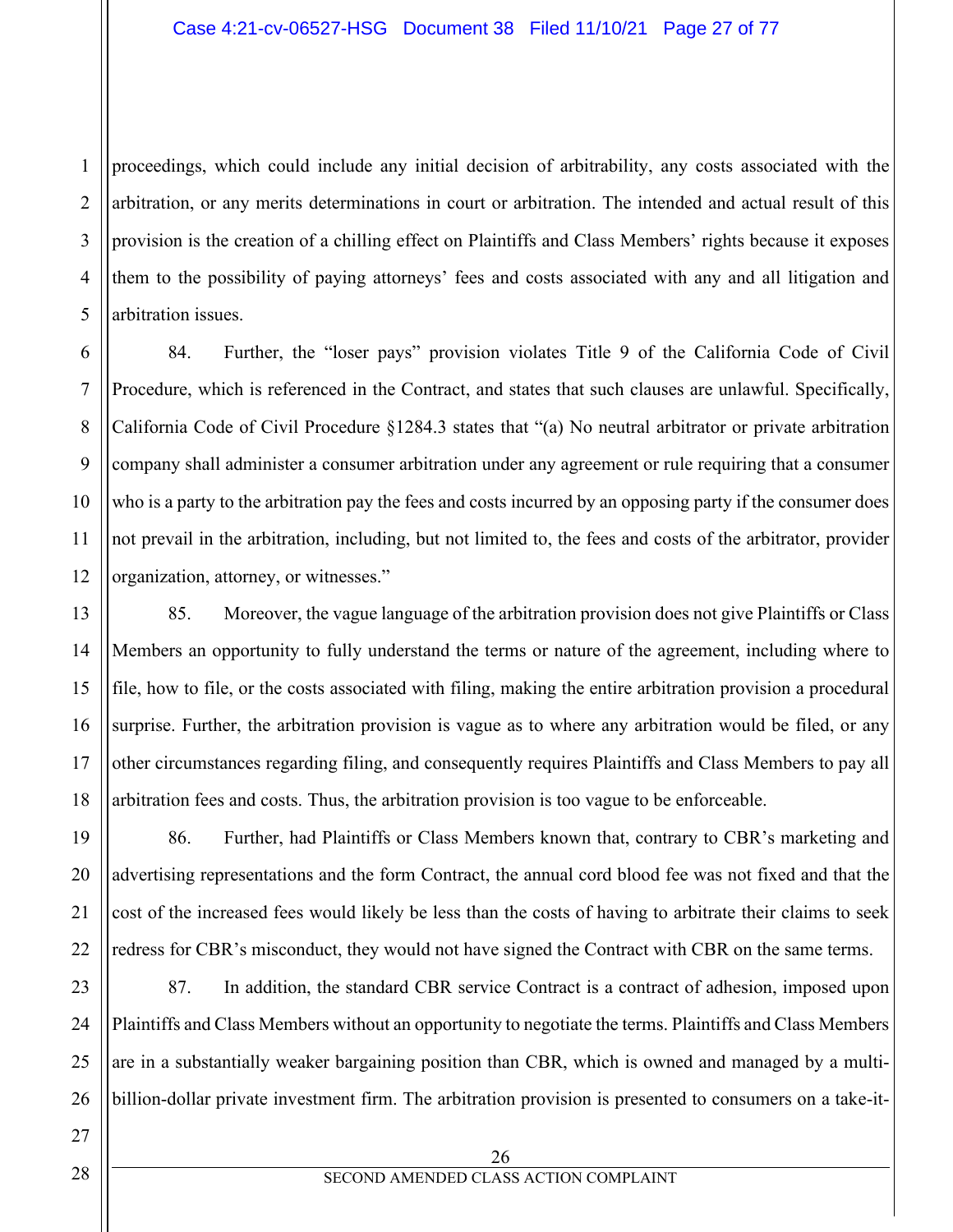1 proceedings, which could include any initial decision of arbitrability, any costs associated with the arbitration, or any merits determinations in court or arbitration. The intended and actual result of this provision is the creation of a chilling effect on Plaintiffs and Class Members' rights because it exposes them to the possibility of paying attorneys' fees and costs associated with any and all litigation and arbitration issues.

84. Further, the "loser pays" provision violates Title 9 of the California Code of Civil Procedure, which is referenced in the Contract, and states that such clauses are unlawful. Specifically, California Code of Civil Procedure §1284.3 states that "(a) No neutral arbitrator or private arbitration company shall administer a consumer arbitration under any agreement or rule requiring that a consumer who is a party to the arbitration pay the fees and costs incurred by an opposing party if the consumer does not prevail in the arbitration, including, but not limited to, the fees and costs of the arbitrator, provider organization, attorney, or witnesses."

85. Moreover, the vague language of the arbitration provision does not give Plaintiffs or Class Members an opportunity to fully understand the terms or nature of the agreement, including where to file, how to file, or the costs associated with filing, making the entire arbitration provision a procedural surprise. Further, the arbitration provision is vague as to where any arbitration would be filed, or any other circumstances regarding filing, and consequently requires Plaintiffs and Class Members to pay all arbitration fees and costs. Thus, the arbitration provision is too vague to be enforceable.

86. Further, had Plaintiffs or Class Members known that, contrary to CBR's marketing and advertising representations and the form Contract, the annual cord blood fee was not fixed and that the cost of the increased fees would likely be less than the costs of having to arbitrate their claims to seek redress for CBR's misconduct, they would not have signed the Contract with CBR on the same terms.

87. In addition, the standard CBR service Contract is a contract of adhesion, imposed upon Plaintiffs and Class Members without an opportunity to negotiate the terms. Plaintiffs and Class Members are in a substantially weaker bargaining position than CBR, which is owned and managed by a multibillion-dollar private investment firm. The arbitration provision is presented to consumers on a take-it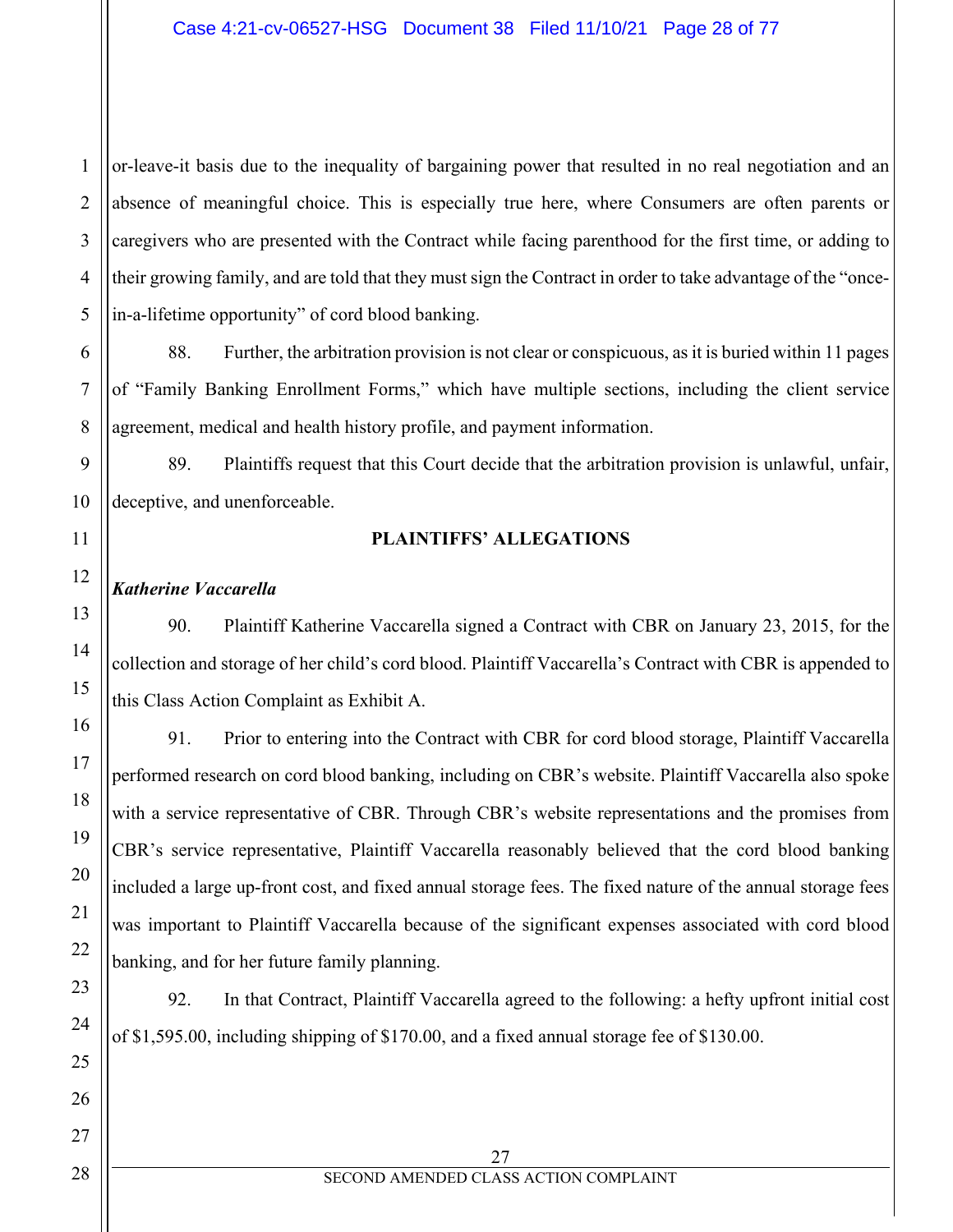or-leave-it basis due to the inequality of bargaining power that resulted in no real negotiation and an absence of meaningful choice. This is especially true here, where Consumers are often parents or caregivers who are presented with the Contract while facing parenthood for the first time, or adding to their growing family, and are told that they must sign the Contract in order to take advantage of the "oncein-a-lifetime opportunity" of cord blood banking.

88. Further, the arbitration provision is not clear or conspicuous, as it is buried within 11 pages of "Family Banking Enrollment Forms," which have multiple sections, including the client service agreement, medical and health history profile, and payment information.

89. Plaintiffs request that this Court decide that the arbitration provision is unlawful, unfair, deceptive, and unenforceable.

## **PLAINTIFFS' ALLEGATIONS**

## *Katherine Vaccarella*

90. Plaintiff Katherine Vaccarella signed a Contract with CBR on January 23, 2015, for the collection and storage of her child's cord blood. Plaintiff Vaccarella's Contract with CBR is appended to this Class Action Complaint as Exhibit A.

91. Prior to entering into the Contract with CBR for cord blood storage, Plaintiff Vaccarella performed research on cord blood banking, including on CBR's website. Plaintiff Vaccarella also spoke with a service representative of CBR. Through CBR's website representations and the promises from CBR's service representative, Plaintiff Vaccarella reasonably believed that the cord blood banking included a large up-front cost, and fixed annual storage fees. The fixed nature of the annual storage fees was important to Plaintiff Vaccarella because of the significant expenses associated with cord blood banking, and for her future family planning.

92. In that Contract, Plaintiff Vaccarella agreed to the following: a hefty upfront initial cost of \$1,595.00, including shipping of \$170.00, and a fixed annual storage fee of \$130.00.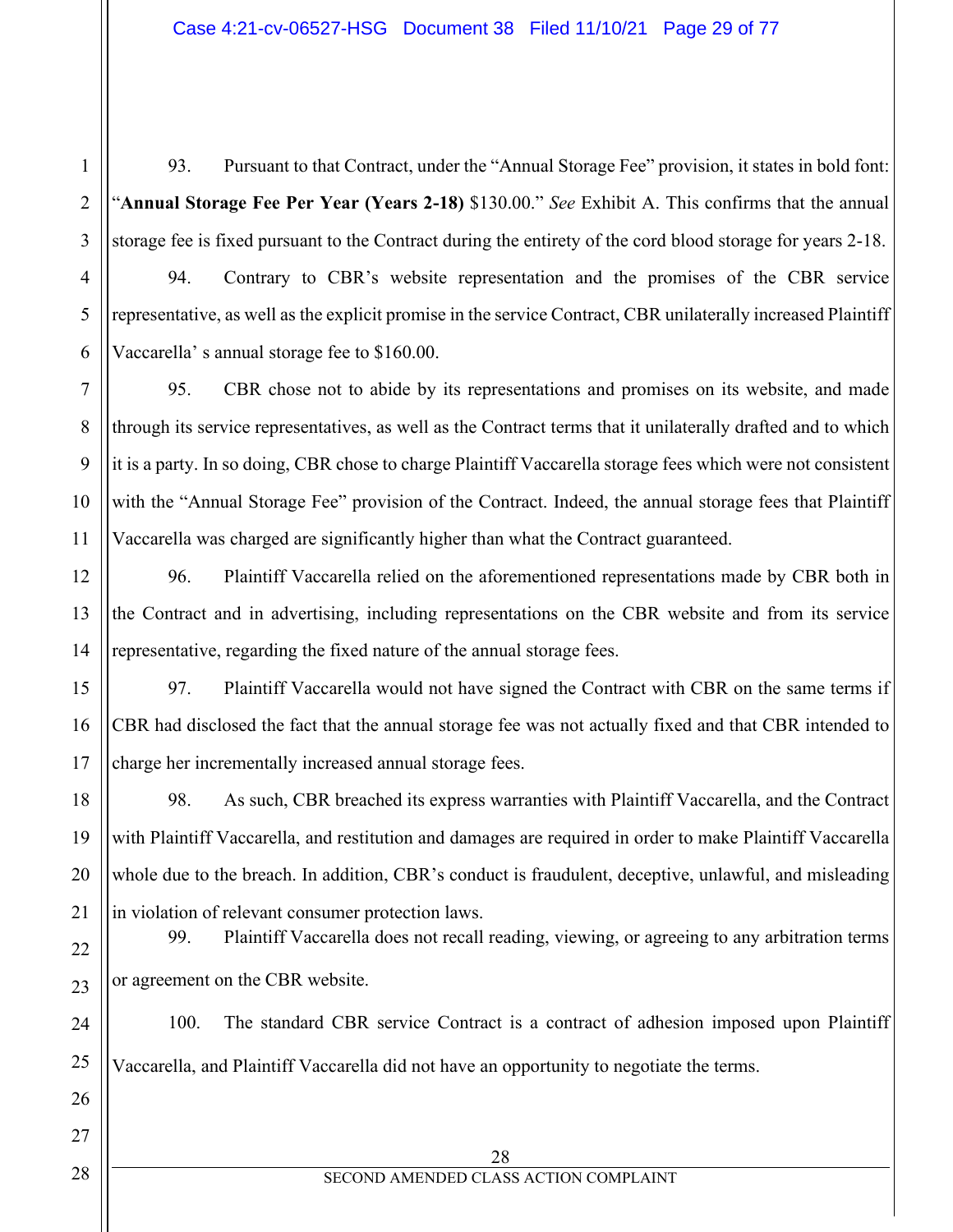93. Pursuant to that Contract, under the "Annual Storage Fee" provision, it states in bold font: "**Annual Storage Fee Per Year (Years 2-18)** \$130.00." *See* Exhibit A. This confirms that the annual storage fee is fixed pursuant to the Contract during the entirety of the cord blood storage for years 2-18.

94. Contrary to CBR's website representation and the promises of the CBR service representative, as well as the explicit promise in the service Contract, CBR unilaterally increased Plaintiff Vaccarella' s annual storage fee to \$160.00.

95. CBR chose not to abide by its representations and promises on its website, and made through its service representatives, as well as the Contract terms that it unilaterally drafted and to which it is a party. In so doing, CBR chose to charge Plaintiff Vaccarella storage fees which were not consistent with the "Annual Storage Fee" provision of the Contract. Indeed, the annual storage fees that Plaintiff Vaccarella was charged are significantly higher than what the Contract guaranteed.

96. Plaintiff Vaccarella relied on the aforementioned representations made by CBR both in the Contract and in advertising, including representations on the CBR website and from its service representative, regarding the fixed nature of the annual storage fees.

97. Plaintiff Vaccarella would not have signed the Contract with CBR on the same terms if CBR had disclosed the fact that the annual storage fee was not actually fixed and that CBR intended to charge her incrementally increased annual storage fees.

98. As such, CBR breached its express warranties with Plaintiff Vaccarella, and the Contract with Plaintiff Vaccarella, and restitution and damages are required in order to make Plaintiff Vaccarella whole due to the breach. In addition, CBR's conduct is fraudulent, deceptive, unlawful, and misleading in violation of relevant consumer protection laws.

99. Plaintiff Vaccarella does not recall reading, viewing, or agreeing to any arbitration terms or agreement on the CBR website.

100. The standard CBR service Contract is a contract of adhesion imposed upon Plaintiff Vaccarella, and Plaintiff Vaccarella did not have an opportunity to negotiate the terms.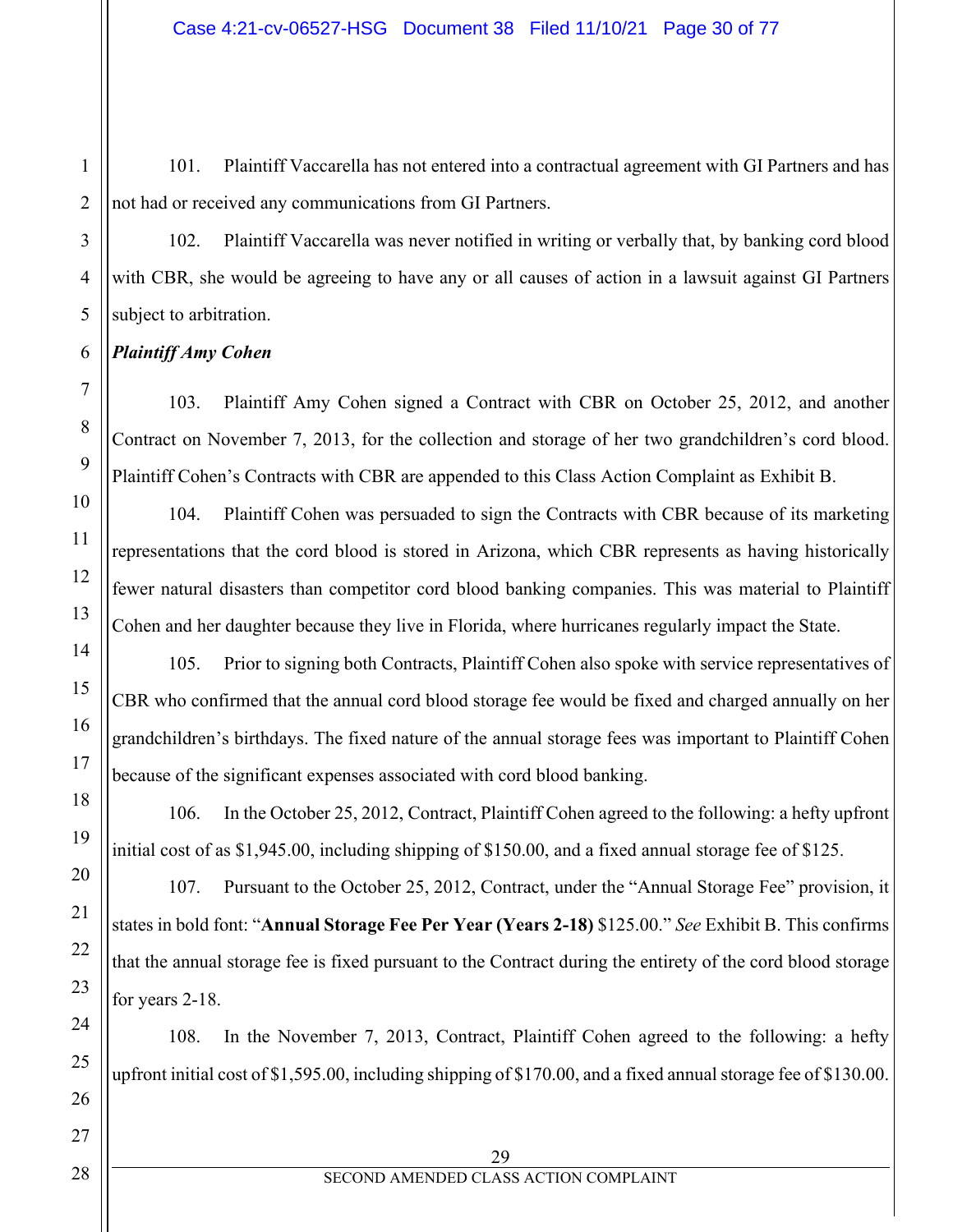101. Plaintiff Vaccarella has not entered into a contractual agreement with GI Partners and has not had or received any communications from GI Partners.

102. Plaintiff Vaccarella was never notified in writing or verbally that, by banking cord blood with CBR, she would be agreeing to have any or all causes of action in a lawsuit against GI Partners subject to arbitration.

## *Plaintiff Amy Cohen*

103. Plaintiff Amy Cohen signed a Contract with CBR on October 25, 2012, and another Contract on November 7, 2013, for the collection and storage of her two grandchildren's cord blood. Plaintiff Cohen's Contracts with CBR are appended to this Class Action Complaint as Exhibit B.

104. Plaintiff Cohen was persuaded to sign the Contracts with CBR because of its marketing representations that the cord blood is stored in Arizona, which CBR represents as having historically fewer natural disasters than competitor cord blood banking companies. This was material to Plaintiff Cohen and her daughter because they live in Florida, where hurricanes regularly impact the State.

105. Prior to signing both Contracts, Plaintiff Cohen also spoke with service representatives of CBR who confirmed that the annual cord blood storage fee would be fixed and charged annually on her grandchildren's birthdays. The fixed nature of the annual storage fees was important to Plaintiff Cohen because of the significant expenses associated with cord blood banking.

106. In the October 25, 2012, Contract, Plaintiff Cohen agreed to the following: a hefty upfront initial cost of as \$1,945.00, including shipping of \$150.00, and a fixed annual storage fee of \$125.

107. Pursuant to the October 25, 2012, Contract, under the "Annual Storage Fee" provision, it states in bold font: "**Annual Storage Fee Per Year (Years 2-18)** \$125.00." *See* Exhibit B. This confirms that the annual storage fee is fixed pursuant to the Contract during the entirety of the cord blood storage for years 2-18.

108. In the November 7, 2013, Contract, Plaintiff Cohen agreed to the following: a hefty upfront initial cost of \$1,595.00, including shipping of \$170.00, and a fixed annual storage fee of \$130.00.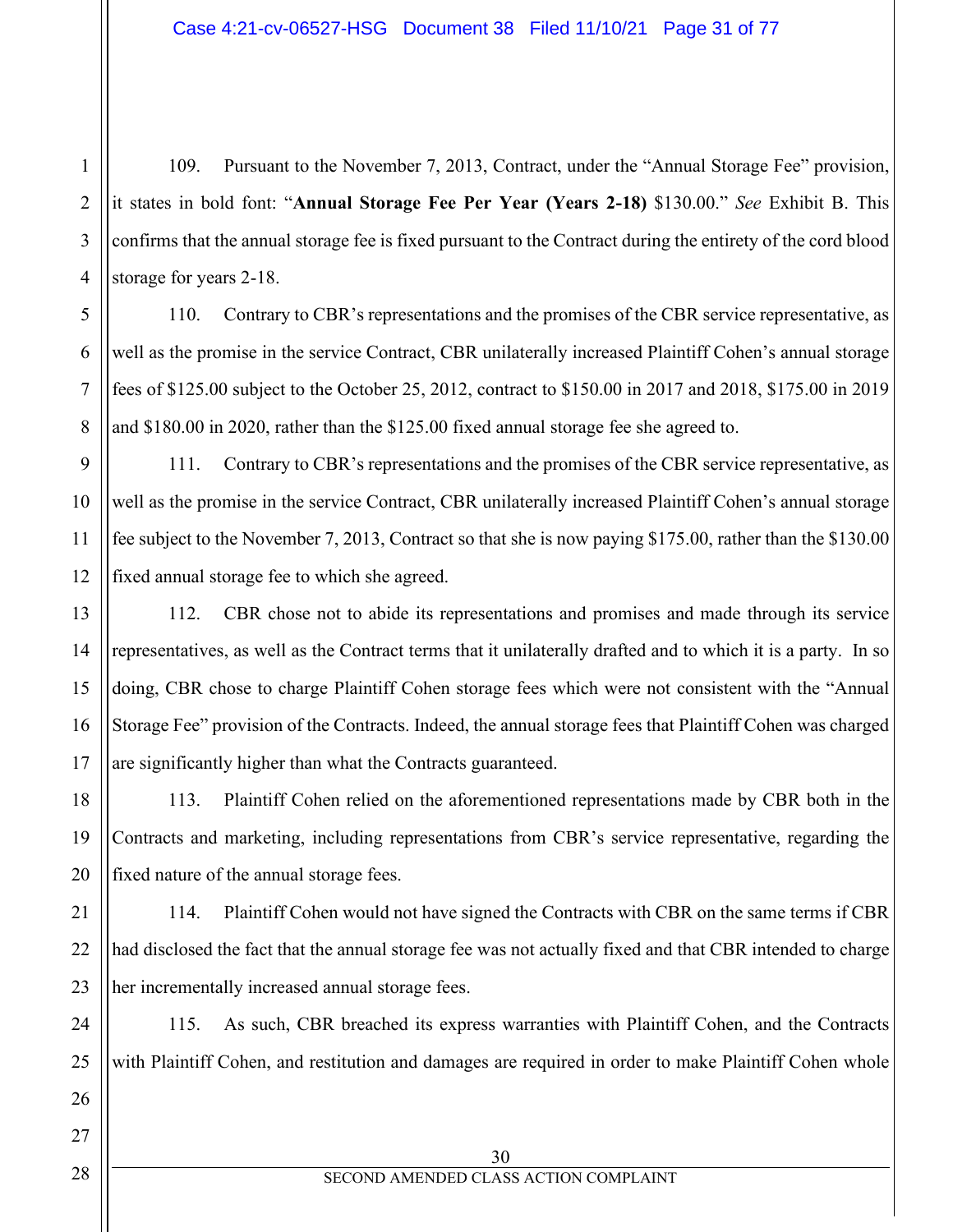109. Pursuant to the November 7, 2013, Contract, under the "Annual Storage Fee" provision, it states in bold font: "**Annual Storage Fee Per Year (Years 2-18)** \$130.00." *See* Exhibit B. This confirms that the annual storage fee is fixed pursuant to the Contract during the entirety of the cord blood storage for years 2-18.

110. Contrary to CBR's representations and the promises of the CBR service representative, as well as the promise in the service Contract, CBR unilaterally increased Plaintiff Cohen's annual storage fees of \$125.00 subject to the October 25, 2012, contract to \$150.00 in 2017 and 2018, \$175.00 in 2019 and \$180.00 in 2020, rather than the \$125.00 fixed annual storage fee she agreed to.

9 10 11 12 111. Contrary to CBR's representations and the promises of the CBR service representative, as well as the promise in the service Contract, CBR unilaterally increased Plaintiff Cohen's annual storage fee subject to the November 7, 2013, Contract so that she is now paying \$175.00, rather than the \$130.00 fixed annual storage fee to which she agreed.

112. CBR chose not to abide its representations and promises and made through its service representatives, as well as the Contract terms that it unilaterally drafted and to which it is a party. In so doing, CBR chose to charge Plaintiff Cohen storage fees which were not consistent with the "Annual Storage Fee" provision of the Contracts. Indeed, the annual storage fees that Plaintiff Cohen was charged are significantly higher than what the Contracts guaranteed.

113. Plaintiff Cohen relied on the aforementioned representations made by CBR both in the Contracts and marketing, including representations from CBR's service representative, regarding the fixed nature of the annual storage fees.

114. Plaintiff Cohen would not have signed the Contracts with CBR on the same terms if CBR had disclosed the fact that the annual storage fee was not actually fixed and that CBR intended to charge her incrementally increased annual storage fees.

115. As such, CBR breached its express warranties with Plaintiff Cohen, and the Contracts with Plaintiff Cohen, and restitution and damages are required in order to make Plaintiff Cohen whole

1

2

3

4

5

6

7

8

13

14

15

16

17

18

19

20

21

22

23

24

25

26

30 SECOND AMENDED CLASS ACTION COMPLAINT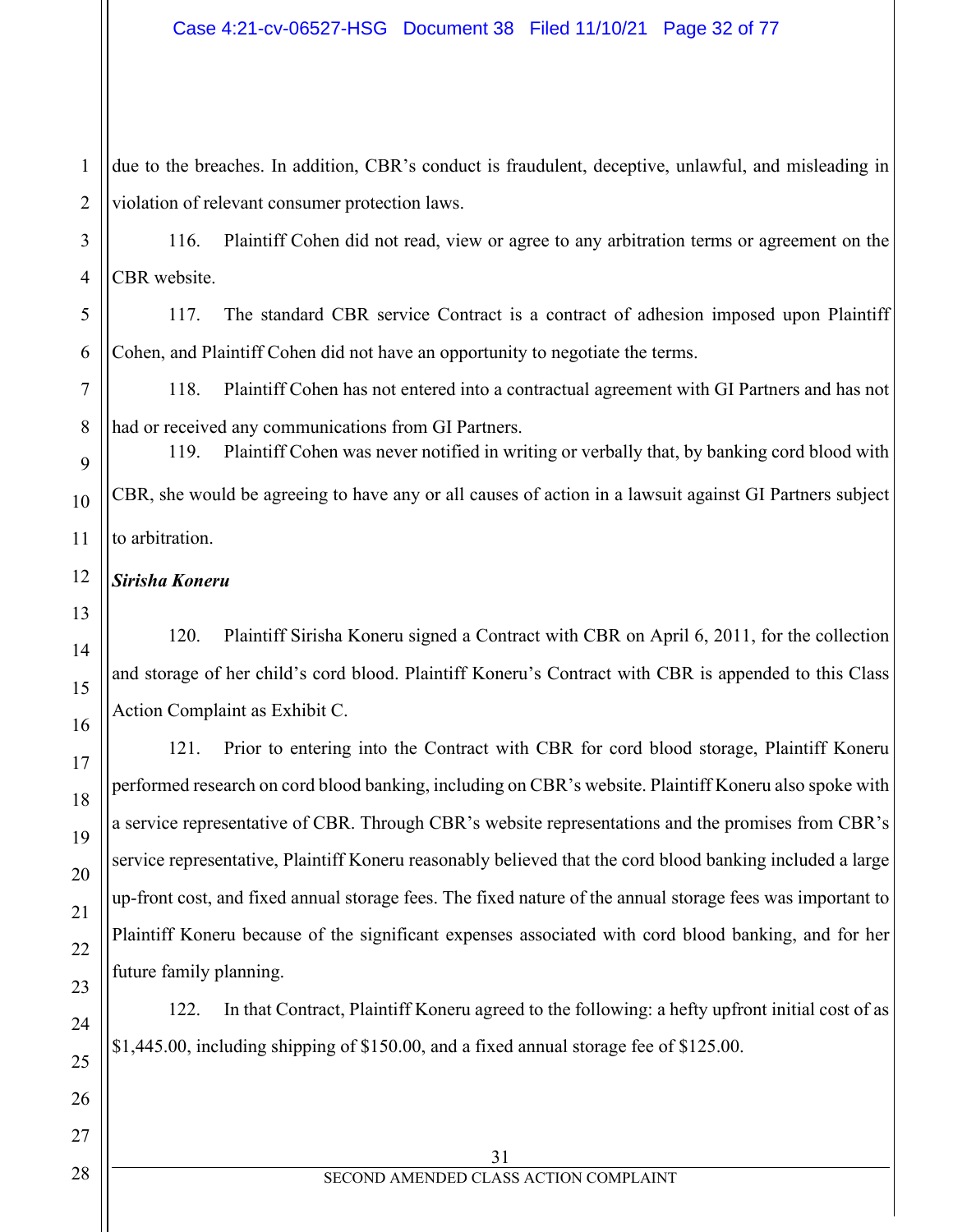1 2 due to the breaches. In addition, CBR's conduct is fraudulent, deceptive, unlawful, and misleading in violation of relevant consumer protection laws.

3 116. Plaintiff Cohen did not read, view or agree to any arbitration terms or agreement on the CBR website.

117. The standard CBR service Contract is a contract of adhesion imposed upon Plaintiff Cohen, and Plaintiff Cohen did not have an opportunity to negotiate the terms.

118. Plaintiff Cohen has not entered into a contractual agreement with GI Partners and has not had or received any communications from GI Partners.

119. Plaintiff Cohen was never notified in writing or verbally that, by banking cord blood with CBR, she would be agreeing to have any or all causes of action in a lawsuit against GI Partners subject to arbitration.

*Sirisha Koneru*

120. Plaintiff Sirisha Koneru signed a Contract with CBR on April 6, 2011, for the collection and storage of her child's cord blood. Plaintiff Koneru's Contract with CBR is appended to this Class Action Complaint as Exhibit C.

121. Prior to entering into the Contract with CBR for cord blood storage, Plaintiff Koneru performed research on cord blood banking, including on CBR's website. Plaintiff Koneru also spoke with a service representative of CBR. Through CBR's website representations and the promises from CBR's service representative, Plaintiff Koneru reasonably believed that the cord blood banking included a large up-front cost, and fixed annual storage fees. The fixed nature of the annual storage fees was important to Plaintiff Koneru because of the significant expenses associated with cord blood banking, and for her future family planning.

122. In that Contract, Plaintiff Koneru agreed to the following: a hefty upfront initial cost of as \$1,445.00, including shipping of \$150.00, and a fixed annual storage fee of \$125.00.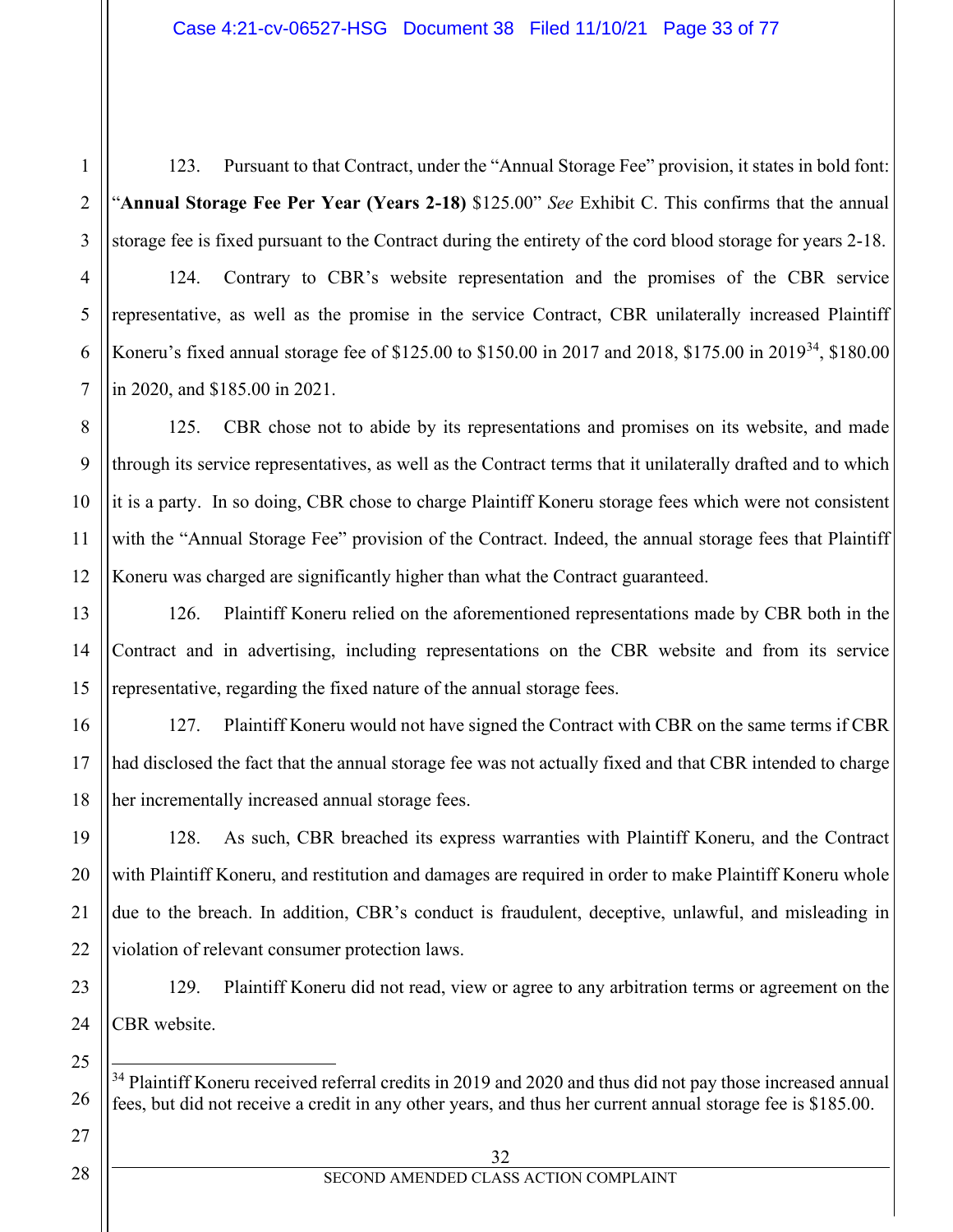123. Pursuant to that Contract, under the "Annual Storage Fee" provision, it states in bold font: "**Annual Storage Fee Per Year (Years 2-18)** \$125.00" *See* Exhibit C. This confirms that the annual storage fee is fixed pursuant to the Contract during the entirety of the cord blood storage for years 2-18.

124. Contrary to CBR's website representation and the promises of the CBR service representative, as well as the promise in the service Contract, CBR unilaterally increased Plaintiff Koneru's fixed annual storage fee of \$125.00 to \$150.00 in 2017 and 2018, \$175.00 in 2019<sup>34</sup>, \$180.00 in 2020, and \$185.00 in 2021.

125. CBR chose not to abide by its representations and promises on its website, and made through its service representatives, as well as the Contract terms that it unilaterally drafted and to which it is a party. In so doing, CBR chose to charge Plaintiff Koneru storage fees which were not consistent with the "Annual Storage Fee" provision of the Contract. Indeed, the annual storage fees that Plaintiff Koneru was charged are significantly higher than what the Contract guaranteed.

126. Plaintiff Koneru relied on the aforementioned representations made by CBR both in the Contract and in advertising, including representations on the CBR website and from its service representative, regarding the fixed nature of the annual storage fees.

127. Plaintiff Koneru would not have signed the Contract with CBR on the same terms if CBR had disclosed the fact that the annual storage fee was not actually fixed and that CBR intended to charge her incrementally increased annual storage fees.

128. As such, CBR breached its express warranties with Plaintiff Koneru, and the Contract with Plaintiff Koneru, and restitution and damages are required in order to make Plaintiff Koneru whole due to the breach. In addition, CBR's conduct is fraudulent, deceptive, unlawful, and misleading in violation of relevant consumer protection laws.

129. Plaintiff Koneru did not read, view or agree to any arbitration terms or agreement on the CBR website.

<span id="page-32-0"></span><sup>34</sup> Plaintiff Koneru received referral credits in 2019 and 2020 and thus did not pay those increased annual fees, but did not receive a credit in any other years, and thus her current annual storage fee is \$185.00.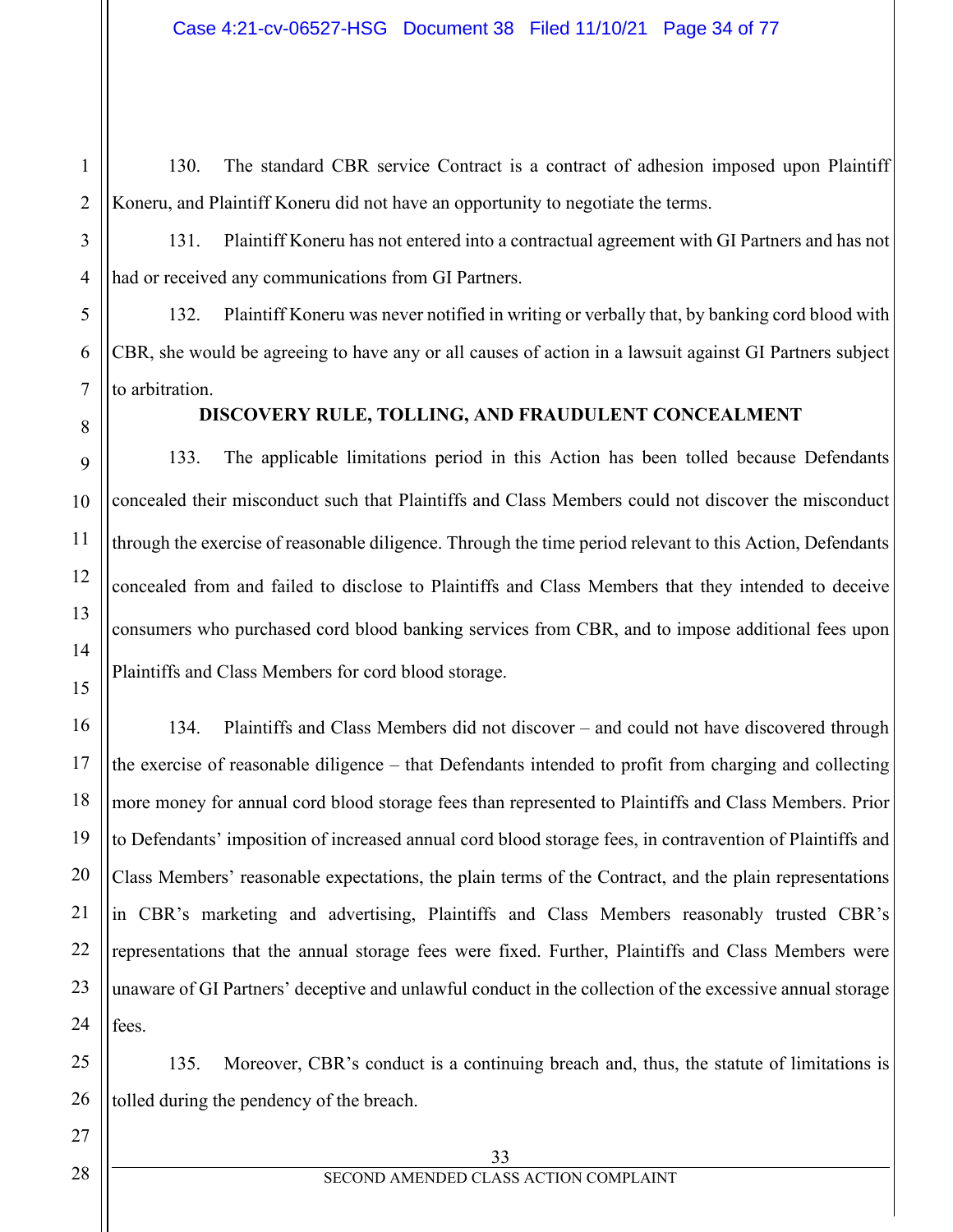130. The standard CBR service Contract is a contract of adhesion imposed upon Plaintiff Koneru, and Plaintiff Koneru did not have an opportunity to negotiate the terms.

131. Plaintiff Koneru has not entered into a contractual agreement with GI Partners and has not had or received any communications from GI Partners.

132. Plaintiff Koneru was never notified in writing or verbally that, by banking cord blood with CBR, she would be agreeing to have any or all causes of action in a lawsuit against GI Partners subject to arbitration.

## **DISCOVERY RULE, TOLLING, AND FRAUDULENT CONCEALMENT**

133. The applicable limitations period in this Action has been tolled because Defendants concealed their misconduct such that Plaintiffs and Class Members could not discover the misconduct through the exercise of reasonable diligence. Through the time period relevant to this Action, Defendants concealed from and failed to disclose to Plaintiffs and Class Members that they intended to deceive consumers who purchased cord blood banking services from CBR, and to impose additional fees upon Plaintiffs and Class Members for cord blood storage.

134. Plaintiffs and Class Members did not discover – and could not have discovered through the exercise of reasonable diligence – that Defendants intended to profit from charging and collecting more money for annual cord blood storage fees than represented to Plaintiffs and Class Members. Prior to Defendants' imposition of increased annual cord blood storage fees, in contravention of Plaintiffs and Class Members' reasonable expectations, the plain terms of the Contract, and the plain representations in CBR's marketing and advertising, Plaintiffs and Class Members reasonably trusted CBR's representations that the annual storage fees were fixed. Further, Plaintiffs and Class Members were unaware of GI Partners' deceptive and unlawful conduct in the collection of the excessive annual storage fees.

135. Moreover, CBR's conduct is a continuing breach and, thus, the statute of limitations is tolled during the pendency of the breach.

1

2

3

4

5

6

7

8

9

10

11

12

13

14

15

16

17

18

19

20

21

22

23

24

25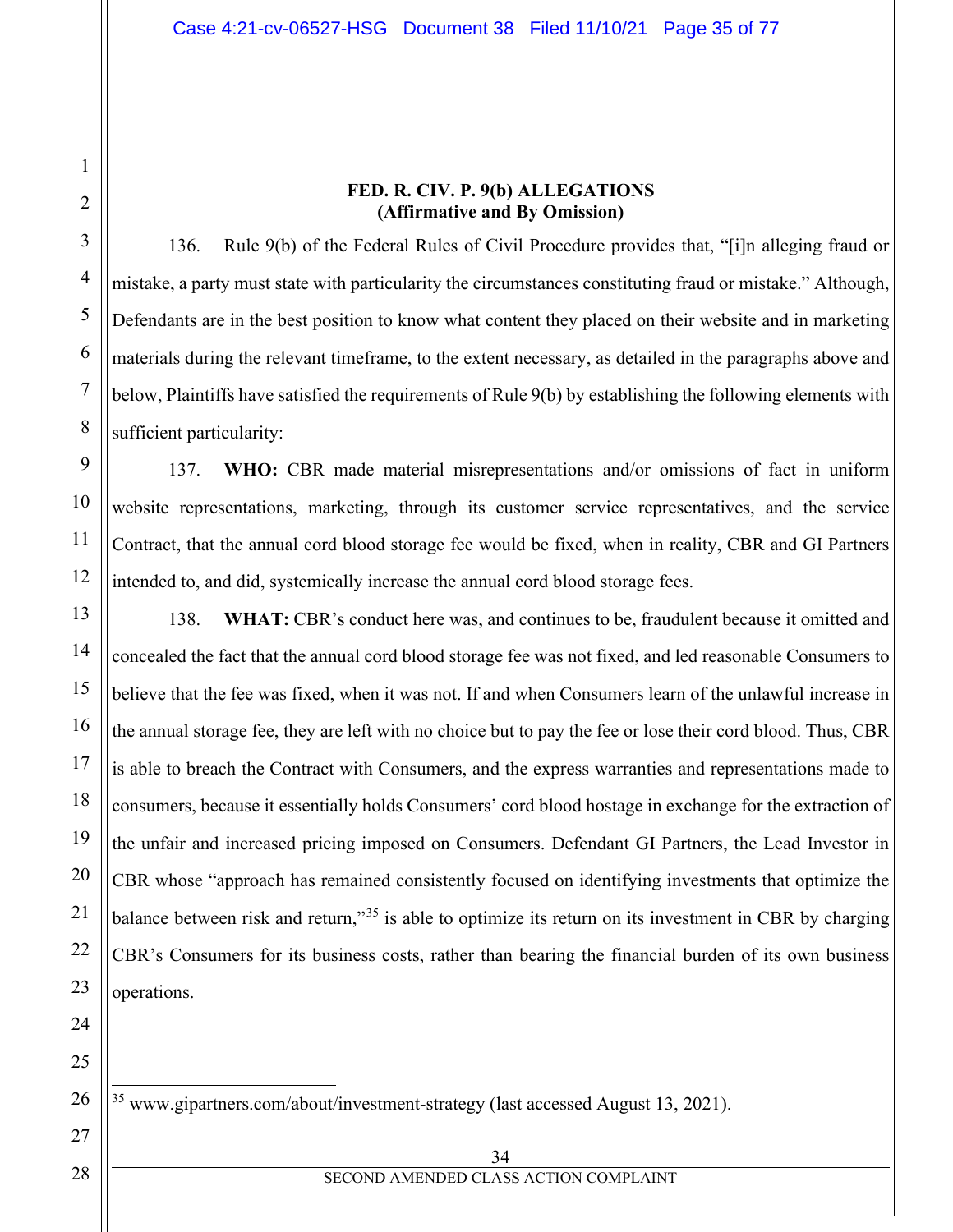**FED. R. CIV. P. 9(b) ALLEGATIONS (Affirmative and By Omission)**

136. Rule 9(b) of the Federal Rules of Civil Procedure provides that, "[i]n alleging fraud or mistake, a party must state with particularity the circumstances constituting fraud or mistake." Although, Defendants are in the best position to know what content they placed on their website and in marketing materials during the relevant timeframe, to the extent necessary, as detailed in the paragraphs above and below, Plaintiffs have satisfied the requirements of Rule 9(b) by establishing the following elements with sufficient particularity:

137. **WHO:** CBR made material misrepresentations and/or omissions of fact in uniform website representations, marketing, through its customer service representatives, and the service Contract, that the annual cord blood storage fee would be fixed, when in reality, CBR and GI Partners intended to, and did, systemically increase the annual cord blood storage fees.

138. **WHAT:** CBR's conduct here was, and continues to be, fraudulent because it omitted and concealed the fact that the annual cord blood storage fee was not fixed, and led reasonable Consumers to believe that the fee was fixed, when it was not. If and when Consumers learn of the unlawful increase in the annual storage fee, they are left with no choice but to pay the fee or lose their cord blood. Thus, CBR is able to breach the Contract with Consumers, and the express warranties and representations made to consumers, because it essentially holds Consumers' cord blood hostage in exchange for the extraction of the unfair and increased pricing imposed on Consumers. Defendant GI Partners, the Lead Investor in CBR whose "approach has remained consistently focused on identifying investments that optimize the balance between risk and return,"<sup>[35](#page-34-0)</sup> is able to optimize its return on its investment in CBR by charging CBR's Consumers for its business costs, rather than bearing the financial burden of its own business operations.

<sup>35</sup> www.gipartners.com/about/investment-strategy (last accessed August 13, 2021).

1

2

3

4

5

6

7

8

9

10

11

12

13

14

15

16

17

18

19

20

21

22

23

24

25

<span id="page-34-0"></span>26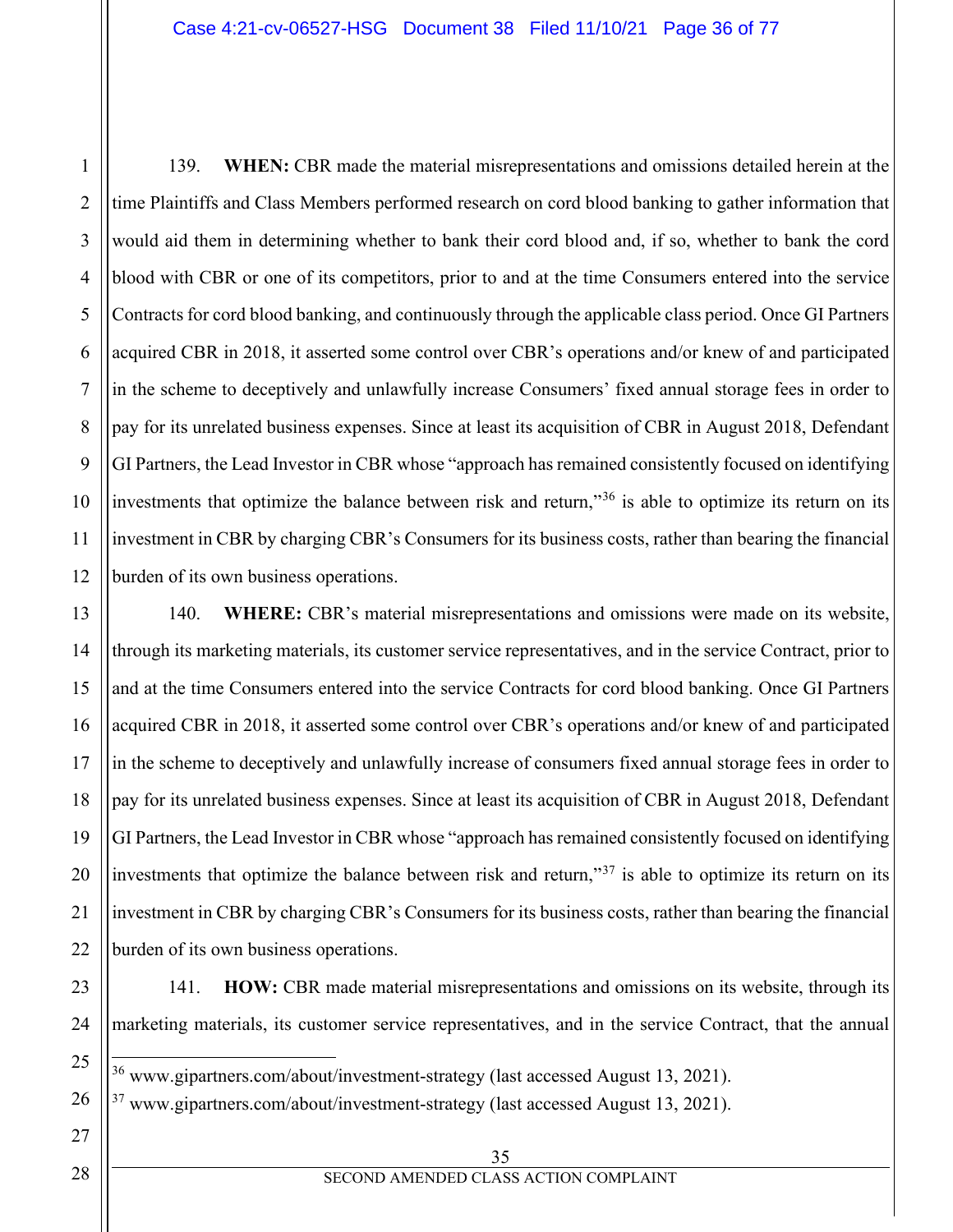139. **WHEN:** CBR made the material misrepresentations and omissions detailed herein at the time Plaintiffs and Class Members performed research on cord blood banking to gather information that would aid them in determining whether to bank their cord blood and, if so, whether to bank the cord blood with CBR or one of its competitors, prior to and at the time Consumers entered into the service Contracts for cord blood banking, and continuously through the applicable class period. Once GI Partners acquired CBR in 2018, it asserted some control over CBR's operations and/or knew of and participated in the scheme to deceptively and unlawfully increase Consumers' fixed annual storage fees in order to pay for its unrelated business expenses. Since at least its acquisition of CBR in August 2018, Defendant GI Partners, the Lead Investor in CBR whose "approach has remained consistently focused on identifying investments that optimize the balance between risk and return,"[36](#page-35-0) is able to optimize its return on its investment in CBR by charging CBR's Consumers for its business costs, rather than bearing the financial burden of its own business operations.

14 19 20 140. **WHERE:** CBR's material misrepresentations and omissions were made on its website, through its marketing materials, its customer service representatives, and in the service Contract, prior to and at the time Consumers entered into the service Contracts for cord blood banking. Once GI Partners acquired CBR in 2018, it asserted some control over CBR's operations and/or knew of and participated in the scheme to deceptively and unlawfully increase of consumers fixed annual storage fees in order to pay for its unrelated business expenses. Since at least its acquisition of CBR in August 2018, Defendant GI Partners, the Lead Investor in CBR whose "approach has remained consistently focused on identifying investments that optimize the balance between risk and return," $37$  is able to optimize its return on its investment in CBR by charging CBR's Consumers for its business costs, rather than bearing the financial burden of its own business operations.

23 24

<span id="page-35-0"></span>25

<span id="page-35-1"></span>26

21

22

1

2

3

4

5

6

7

8

9

10

11

12

13

15

16

17

18

141. **HOW:** CBR made material misrepresentations and omissions on its website, through its marketing materials, its customer service representatives, and in the service Contract, that the annual

<sup>36</sup> www.gipartners.com/about/investment-strategy (last accessed August 13, 2021).

 $37$  www.gipartners.com/about/investment-strategy (last accessed August 13, 2021).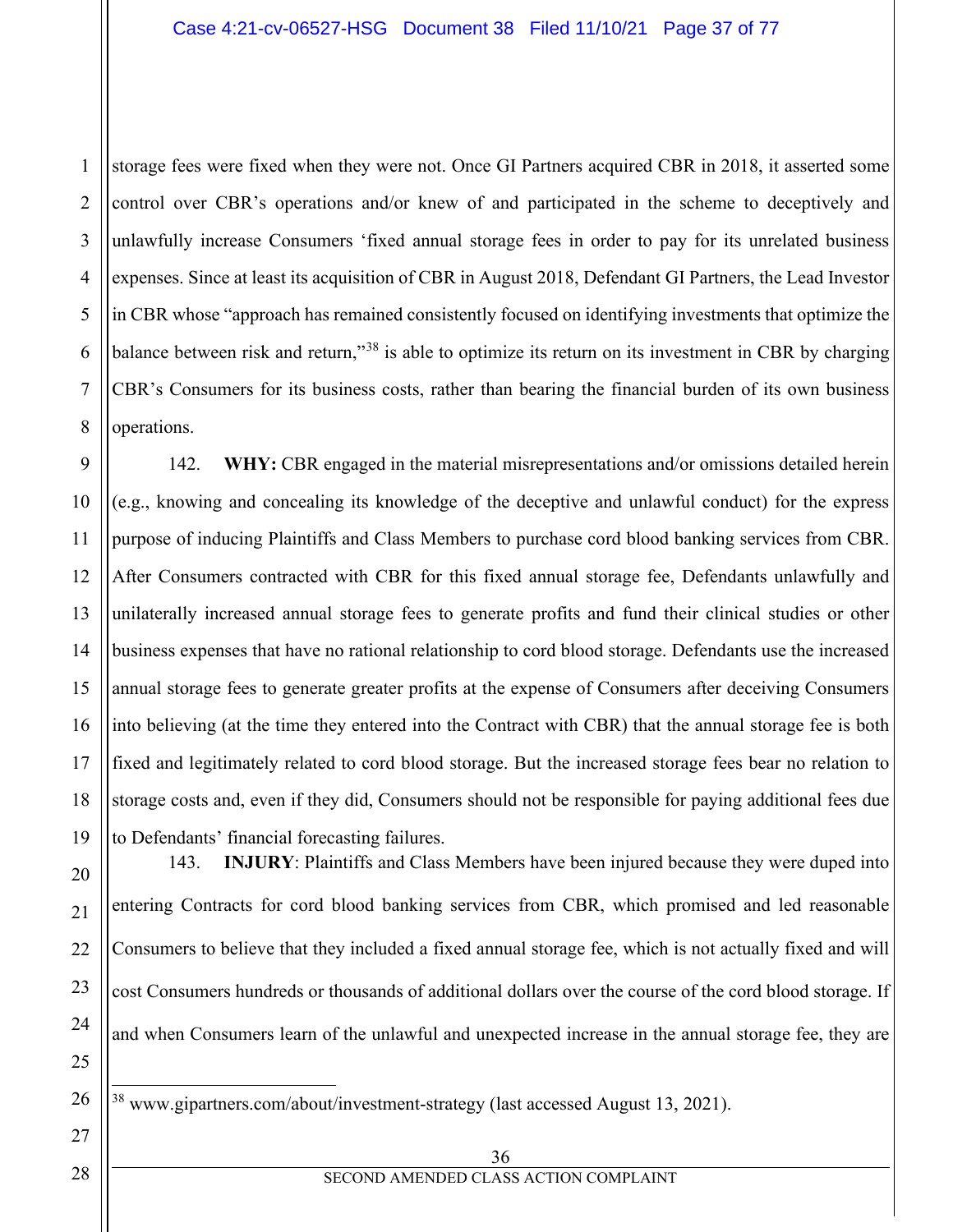1 2 3 4 5 6 7 8 storage fees were fixed when they were not. Once GI Partners acquired CBR in 2018, it asserted some control over CBR's operations and/or knew of and participated in the scheme to deceptively and unlawfully increase Consumers 'fixed annual storage fees in order to pay for its unrelated business expenses. Since at least its acquisition of CBR in August 2018, Defendant GI Partners, the Lead Investor in CBR whose "approach has remained consistently focused on identifying investments that optimize the balance between risk and return,"<sup>[38](#page-36-0)</sup> is able to optimize its return on its investment in CBR by charging CBR's Consumers for its business costs, rather than bearing the financial burden of its own business operations.

9 10 11 12 13 14 15 16 17 18 19 142. **WHY:** CBR engaged in the material misrepresentations and/or omissions detailed herein (e.g., knowing and concealing its knowledge of the deceptive and unlawful conduct) for the express purpose of inducing Plaintiffs and Class Members to purchase cord blood banking services from CBR. After Consumers contracted with CBR for this fixed annual storage fee, Defendants unlawfully and unilaterally increased annual storage fees to generate profits and fund their clinical studies or other business expenses that have no rational relationship to cord blood storage. Defendants use the increased annual storage fees to generate greater profits at the expense of Consumers after deceiving Consumers into believing (at the time they entered into the Contract with CBR) that the annual storage fee is both fixed and legitimately related to cord blood storage. But the increased storage fees bear no relation to storage costs and, even if they did, Consumers should not be responsible for paying additional fees due to Defendants' financial forecasting failures.

143. **INJURY**: Plaintiffs and Class Members have been injured because they were duped into entering Contracts for cord blood banking services from CBR, which promised and led reasonable Consumers to believe that they included a fixed annual storage fee, which is not actually fixed and will cost Consumers hundreds or thousands of additional dollars over the course of the cord blood storage. If and when Consumers learn of the unlawful and unexpected increase in the annual storage fee, they are

<sup>38</sup> www.gipartners.com/about/investment-strategy (last accessed August 13, 2021).

20

21

22

23

24

25

<span id="page-36-0"></span>26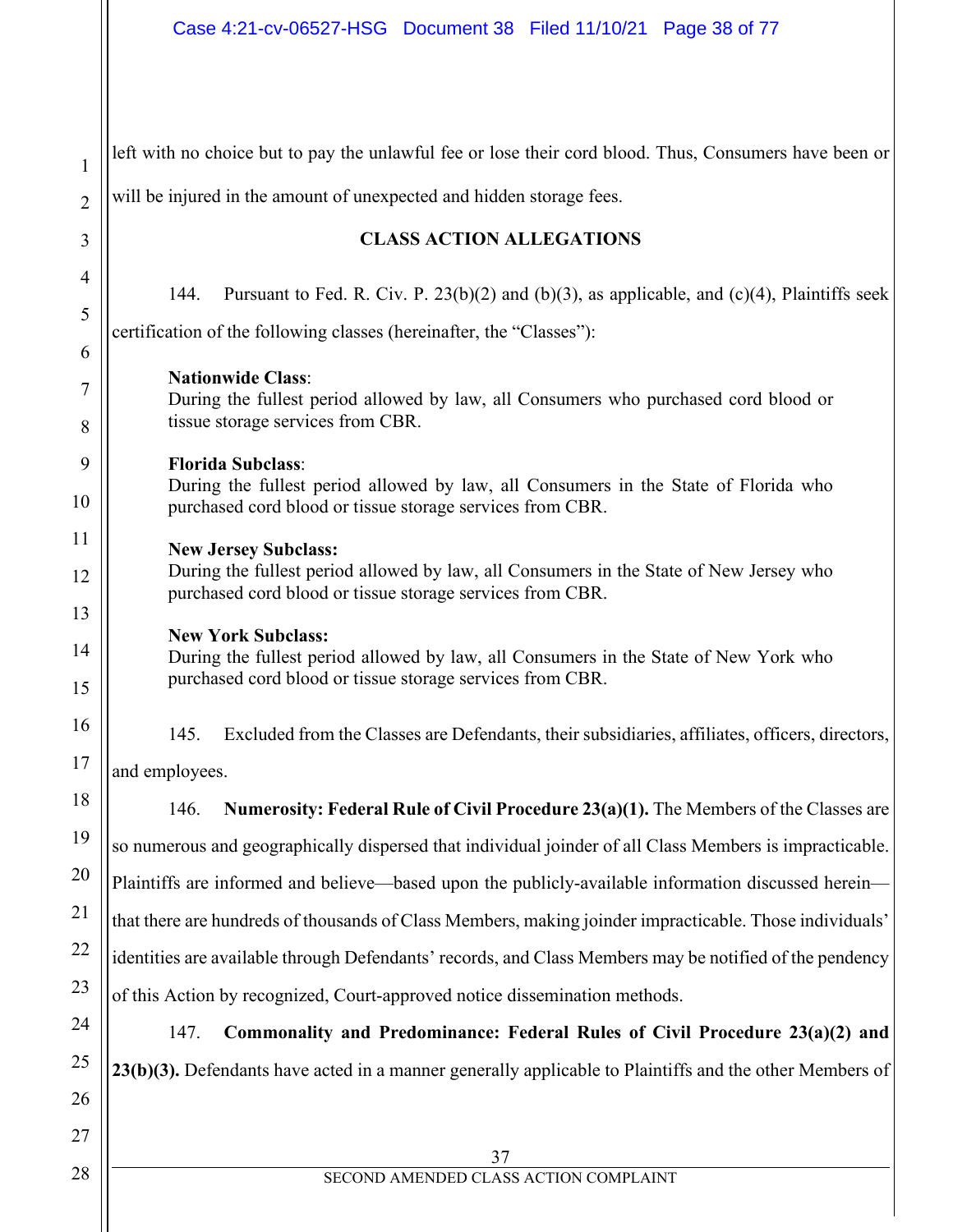| $\mathbf{1}$   | left with no choice but to pay the unlawful fee or lose their cord blood. Thus, Consumers have been or                                                                             |  |  |  |  |
|----------------|------------------------------------------------------------------------------------------------------------------------------------------------------------------------------------|--|--|--|--|
| $\overline{2}$ | will be injured in the amount of unexpected and hidden storage fees.                                                                                                               |  |  |  |  |
| 3              | <b>CLASS ACTION ALLEGATIONS</b>                                                                                                                                                    |  |  |  |  |
| 4<br>5<br>6    | Pursuant to Fed. R. Civ. P. $23(b)(2)$ and (b)(3), as applicable, and (c)(4), Plaintiffs seek<br>144.<br>certification of the following classes (hereinafter, the "Classes"):      |  |  |  |  |
| 7<br>8         | <b>Nationwide Class:</b><br>During the fullest period allowed by law, all Consumers who purchased cord blood or<br>tissue storage services from CBR.                               |  |  |  |  |
| 9<br>10        | <b>Florida Subclass:</b><br>During the fullest period allowed by law, all Consumers in the State of Florida who<br>purchased cord blood or tissue storage services from CBR.       |  |  |  |  |
| 11<br>12<br>13 | <b>New Jersey Subclass:</b><br>During the fullest period allowed by law, all Consumers in the State of New Jersey who<br>purchased cord blood or tissue storage services from CBR. |  |  |  |  |
| 14<br>15       | <b>New York Subclass:</b><br>During the fullest period allowed by law, all Consumers in the State of New York who<br>purchased cord blood or tissue storage services from CBR.     |  |  |  |  |
| 16<br>17       | 145.<br>Excluded from the Classes are Defendants, their subsidiaries, affiliates, officers, directors,<br>and employees.                                                           |  |  |  |  |
| 18             | Numerosity: Federal Rule of Civil Procedure 23(a)(1). The Members of the Classes are<br>146.                                                                                       |  |  |  |  |
| 19             | so numerous and geographically dispersed that individual joinder of all Class Members is impracticable.                                                                            |  |  |  |  |
| 20             | Plaintiffs are informed and believe—based upon the publicly-available information discussed herein—                                                                                |  |  |  |  |
| 21             | that there are hundreds of thousands of Class Members, making joinder impracticable. Those individuals'                                                                            |  |  |  |  |
| 22             | identities are available through Defendants' records, and Class Members may be notified of the pendency                                                                            |  |  |  |  |
| 23             | of this Action by recognized, Court-approved notice dissemination methods.                                                                                                         |  |  |  |  |
| 24             | Commonality and Predominance: Federal Rules of Civil Procedure 23(a)(2) and<br>147.                                                                                                |  |  |  |  |
| 25             | 23(b)(3). Defendants have acted in a manner generally applicable to Plaintiffs and the other Members of                                                                            |  |  |  |  |
| 26             |                                                                                                                                                                                    |  |  |  |  |
| 27             | 37                                                                                                                                                                                 |  |  |  |  |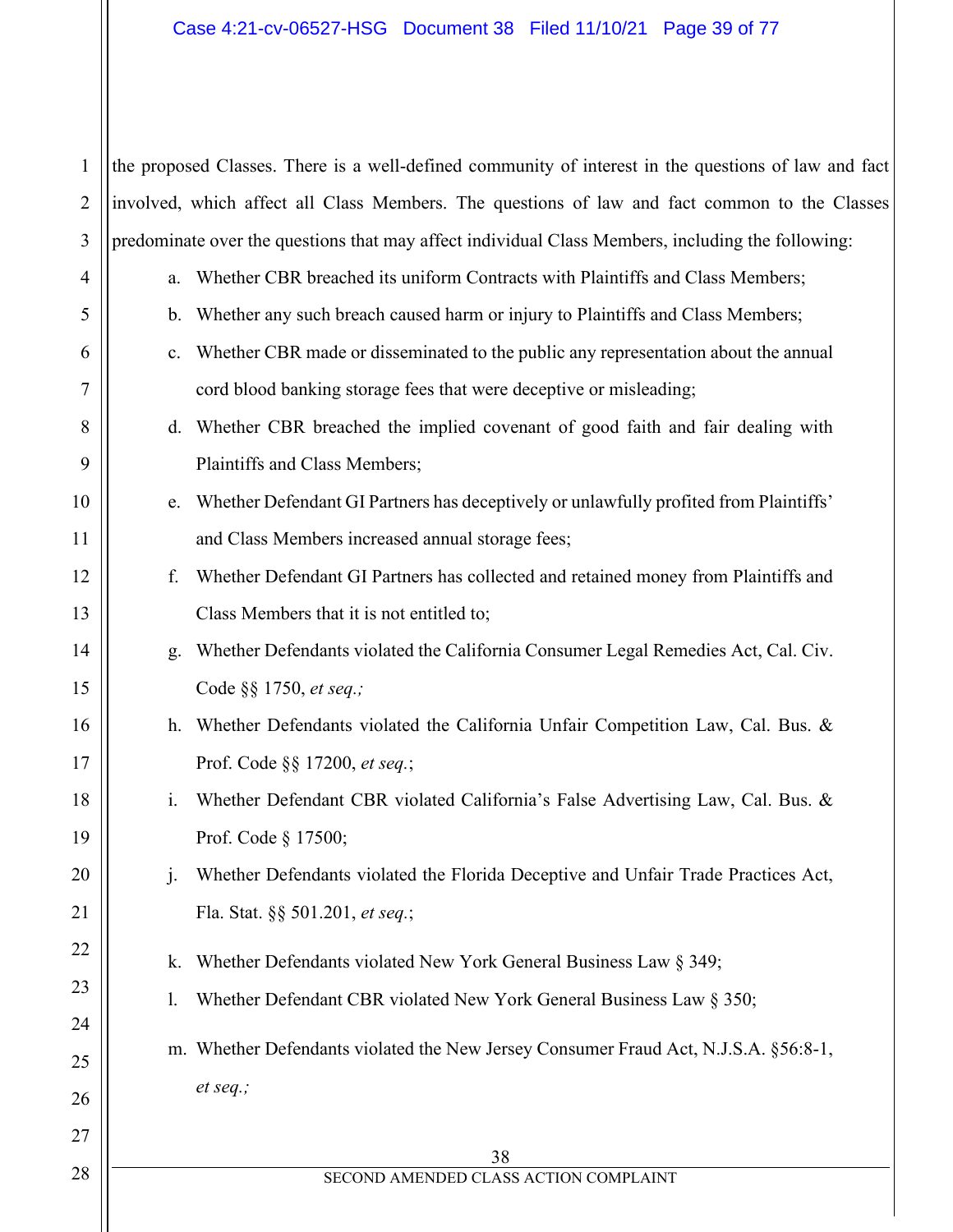# Case 4:21-cv-06527-HSG Document 38 Filed 11/10/21 Page 39 of 77

| $\mathbf{1}$   |                                                                                                   | the proposed Classes. There is a well-defined community of interest in the questions of law and fact |  |  |  |
|----------------|---------------------------------------------------------------------------------------------------|------------------------------------------------------------------------------------------------------|--|--|--|
| $\overline{2}$ | involved, which affect all Class Members. The questions of law and fact common to the Classes     |                                                                                                      |  |  |  |
| 3              | predominate over the questions that may affect individual Class Members, including the following: |                                                                                                      |  |  |  |
| $\overline{4}$ | a.                                                                                                | Whether CBR breached its uniform Contracts with Plaintiffs and Class Members;                        |  |  |  |
| 5              | $\mathbf{b}$ .                                                                                    | Whether any such breach caused harm or injury to Plaintiffs and Class Members;                       |  |  |  |
| 6              | c.                                                                                                | Whether CBR made or disseminated to the public any representation about the annual                   |  |  |  |
| 7              |                                                                                                   | cord blood banking storage fees that were deceptive or misleading;                                   |  |  |  |
| 8              | d.                                                                                                | Whether CBR breached the implied covenant of good faith and fair dealing with                        |  |  |  |
| 9              |                                                                                                   | Plaintiffs and Class Members;                                                                        |  |  |  |
| 10             | e.                                                                                                | Whether Defendant GI Partners has deceptively or unlawfully profited from Plaintiffs'                |  |  |  |
| 11             |                                                                                                   | and Class Members increased annual storage fees;                                                     |  |  |  |
| 12             | f.                                                                                                | Whether Defendant GI Partners has collected and retained money from Plaintiffs and                   |  |  |  |
| 13             |                                                                                                   | Class Members that it is not entitled to;                                                            |  |  |  |
| 14             | g.                                                                                                | Whether Defendants violated the California Consumer Legal Remedies Act, Cal. Civ.                    |  |  |  |
| 15             |                                                                                                   | Code §§ 1750, et seq.;                                                                               |  |  |  |
| 16             |                                                                                                   | h. Whether Defendants violated the California Unfair Competition Law, Cal. Bus. &                    |  |  |  |
| 17             |                                                                                                   | Prof. Code §§ 17200, et seq.;                                                                        |  |  |  |
| 18             | i.                                                                                                | Whether Defendant CBR violated California's False Advertising Law, Cal. Bus. &                       |  |  |  |
| 19             |                                                                                                   | Prof. Code § 17500;                                                                                  |  |  |  |
| 20             | $\mathbf{j}$ .                                                                                    | Whether Defendants violated the Florida Deceptive and Unfair Trade Practices Act,                    |  |  |  |
| 21             |                                                                                                   | Fla. Stat. §§ 501.201, et seq.;                                                                      |  |  |  |
| 22             | k.                                                                                                | Whether Defendants violated New York General Business Law § 349;                                     |  |  |  |
| 23             | I.                                                                                                | Whether Defendant CBR violated New York General Business Law § 350;                                  |  |  |  |
| 24<br>25       |                                                                                                   | m. Whether Defendants violated the New Jersey Consumer Fraud Act, N.J.S.A. §56:8-1,                  |  |  |  |
| 26             |                                                                                                   | et seq.;                                                                                             |  |  |  |
| 27             |                                                                                                   | 38                                                                                                   |  |  |  |
| 28             |                                                                                                   | SECOND AMENDED CLASS ACTION COMPLAINT                                                                |  |  |  |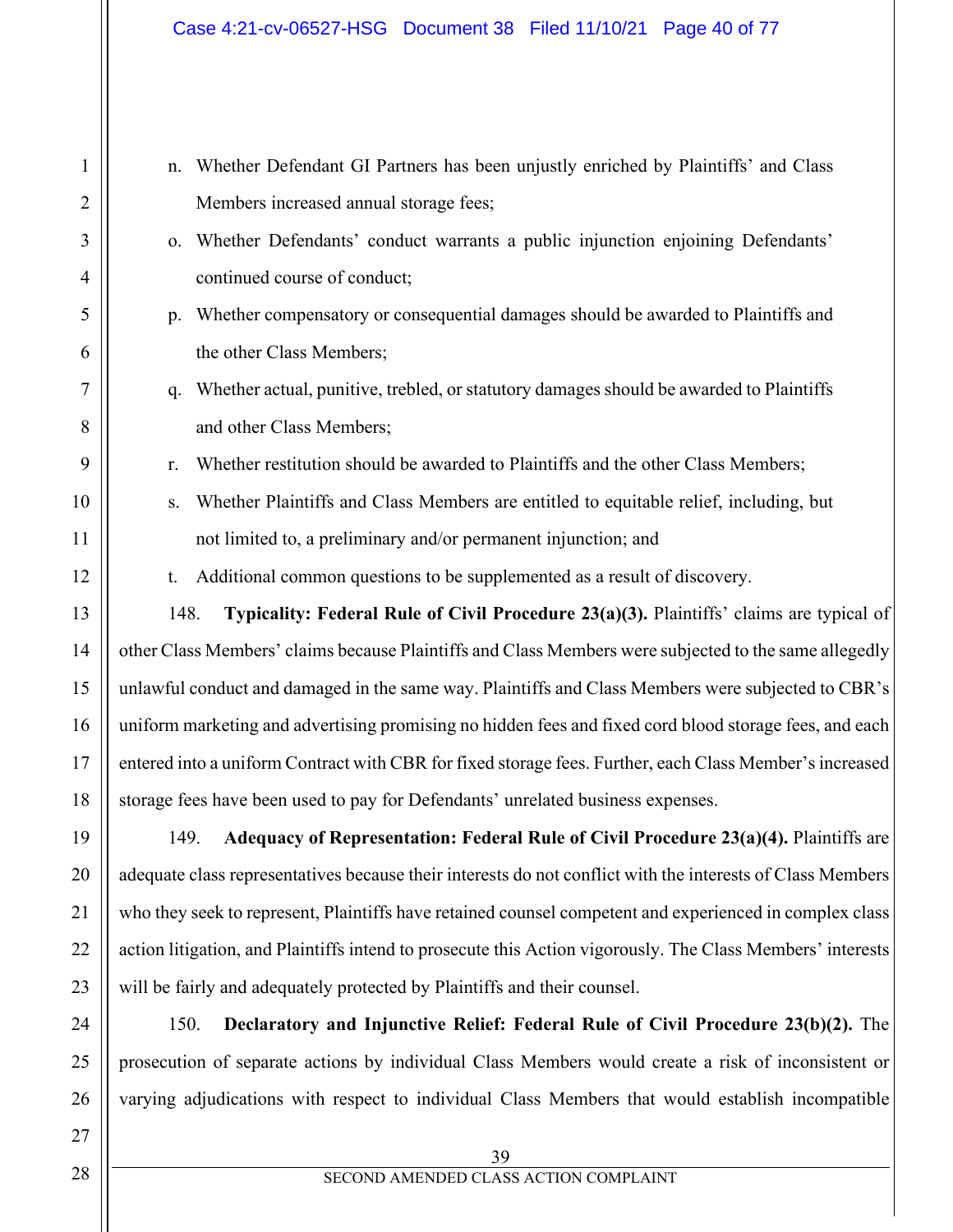| n.                                                                                                         | Whether Defendant GI Partners has been unjustly enriched by Plaintiffs' and Class                          |  |  |  |  |  |
|------------------------------------------------------------------------------------------------------------|------------------------------------------------------------------------------------------------------------|--|--|--|--|--|
|                                                                                                            | Members increased annual storage fees;                                                                     |  |  |  |  |  |
| 0.                                                                                                         | Whether Defendants' conduct warrants a public injunction enjoining Defendants'                             |  |  |  |  |  |
|                                                                                                            | continued course of conduct;                                                                               |  |  |  |  |  |
| p.                                                                                                         | Whether compensatory or consequential damages should be awarded to Plaintiffs and                          |  |  |  |  |  |
|                                                                                                            | the other Class Members;                                                                                   |  |  |  |  |  |
| q.                                                                                                         | Whether actual, punitive, trebled, or statutory damages should be awarded to Plaintiffs                    |  |  |  |  |  |
|                                                                                                            | and other Class Members;                                                                                   |  |  |  |  |  |
| r.                                                                                                         | Whether restitution should be awarded to Plaintiffs and the other Class Members;                           |  |  |  |  |  |
| S.                                                                                                         | Whether Plaintiffs and Class Members are entitled to equitable relief, including, but                      |  |  |  |  |  |
|                                                                                                            | not limited to, a preliminary and/or permanent injunction; and                                             |  |  |  |  |  |
| t.                                                                                                         | Additional common questions to be supplemented as a result of discovery.                                   |  |  |  |  |  |
| 148.                                                                                                       | Typicality: Federal Rule of Civil Procedure 23(a)(3). Plaintiffs' claims are typical of                    |  |  |  |  |  |
|                                                                                                            | other Class Members' claims because Plaintiffs and Class Members were subjected to the same allegedly      |  |  |  |  |  |
| unlawful conduct and damaged in the same way. Plaintiffs and Class Members were subjected to CBR's         |                                                                                                            |  |  |  |  |  |
| uniform marketing and advertising promising no hidden fees and fixed cord blood storage fees, and each     |                                                                                                            |  |  |  |  |  |
| entered into a uniform Contract with CBR for fixed storage fees. Further, each Class Member's increased    |                                                                                                            |  |  |  |  |  |
|                                                                                                            | storage fees have been used to pay for Defendants' unrelated business expenses.                            |  |  |  |  |  |
| 149.                                                                                                       | Adequacy of Representation: Federal Rule of Civil Procedure 23(a)(4). Plaintiffs are                       |  |  |  |  |  |
|                                                                                                            | adequate class representatives because their interests do not conflict with the interests of Class Members |  |  |  |  |  |
| who they seek to represent, Plaintiffs have retained counsel competent and experienced in complex class    |                                                                                                            |  |  |  |  |  |
| action litigation, and Plaintiffs intend to prosecute this Action vigorously. The Class Members' interests |                                                                                                            |  |  |  |  |  |
| will be fairly and adequately protected by Plaintiffs and their counsel.                                   |                                                                                                            |  |  |  |  |  |

150. **Declaratory and Injunctive Relief: Federal Rule of Civil Procedure 23(b)(2).** The prosecution of separate actions by individual Class Members would create a risk of inconsistent or varying adjudications with respect to individual Class Members that would establish incompatible

1

2

3

4

5

6

7

8

9

10

11

12

13

14

15

16

17

18

19

20

21

22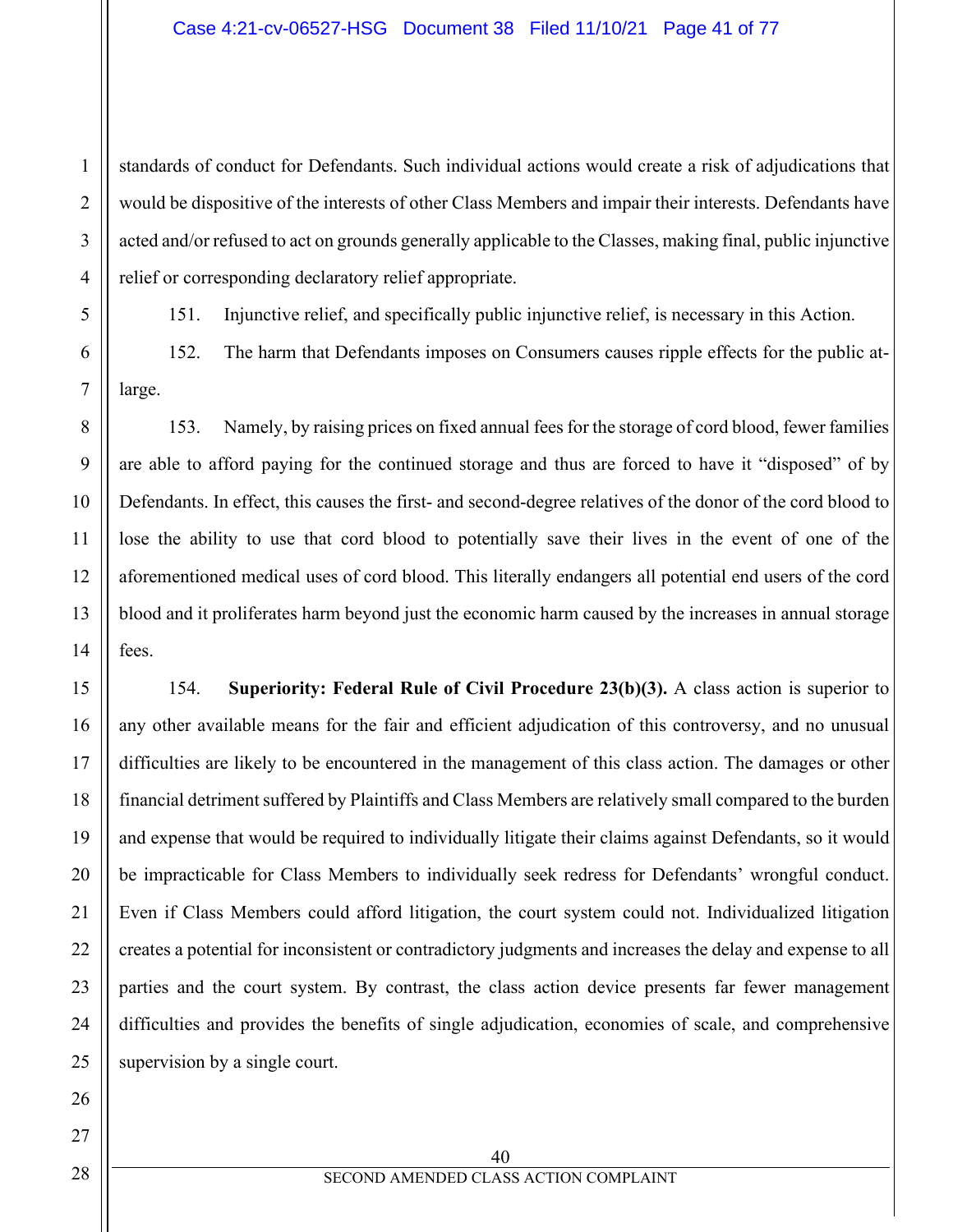#### Case 4:21-cv-06527-HSG Document 38 Filed 11/10/21 Page 41 of 77

standards of conduct for Defendants. Such individual actions would create a risk of adjudications that would be dispositive of the interests of other Class Members and impair their interests. Defendants have acted and/or refused to act on grounds generally applicable to the Classes, making final, public injunctive relief or corresponding declaratory relief appropriate.

151. Injunctive relief, and specifically public injunctive relief, is necessary in this Action.

152. The harm that Defendants imposes on Consumers causes ripple effects for the public atlarge.

153. Namely, by raising prices on fixed annual fees for the storage of cord blood, fewer families are able to afford paying for the continued storage and thus are forced to have it "disposed" of by Defendants. In effect, this causes the first- and second-degree relatives of the donor of the cord blood to lose the ability to use that cord blood to potentially save their lives in the event of one of the aforementioned medical uses of cord blood. This literally endangers all potential end users of the cord blood and it proliferates harm beyond just the economic harm caused by the increases in annual storage fees.

154. **Superiority: Federal Rule of Civil Procedure 23(b)(3).** A class action is superior to any other available means for the fair and efficient adjudication of this controversy, and no unusual difficulties are likely to be encountered in the management of this class action. The damages or other financial detriment suffered by Plaintiffs and Class Members are relatively small compared to the burden and expense that would be required to individually litigate their claims against Defendants, so it would be impracticable for Class Members to individually seek redress for Defendants' wrongful conduct. Even if Class Members could afford litigation, the court system could not. Individualized litigation creates a potential for inconsistent or contradictory judgments and increases the delay and expense to all parties and the court system. By contrast, the class action device presents far fewer management difficulties and provides the benefits of single adjudication, economies of scale, and comprehensive supervision by a single court.

1

2

3

4

5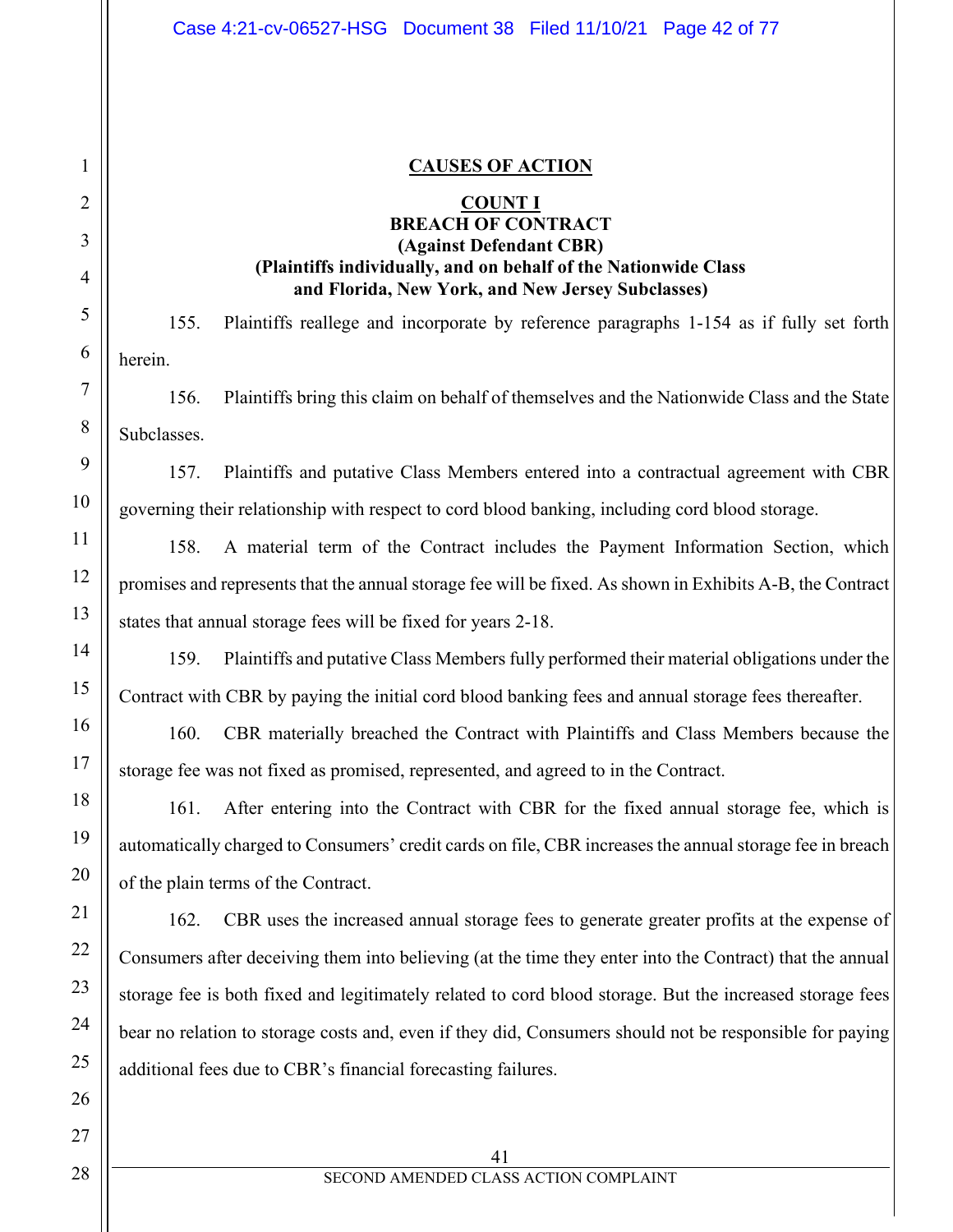### **CAUSES OF ACTION**

#### **COUNT I**

## **BREACH OF CONTRACT (Against Defendant CBR) (Plaintiffs individually, and on behalf of the Nationwide Class and Florida, New York, and New Jersey Subclasses)**

155. Plaintiffs reallege and incorporate by reference paragraphs 1-154 as if fully set forth herein.

156. Plaintiffs bring this claim on behalf of themselves and the Nationwide Class and the State Subclasses.

157. Plaintiffs and putative Class Members entered into a contractual agreement with CBR governing their relationship with respect to cord blood banking, including cord blood storage.

158. A material term of the Contract includes the Payment Information Section, which promises and represents that the annual storage fee will be fixed. As shown in Exhibits A-B, the Contract states that annual storage fees will be fixed for years 2-18.

159. Plaintiffs and putative Class Members fully performed their material obligations under the Contract with CBR by paying the initial cord blood banking fees and annual storage fees thereafter.

160. CBR materially breached the Contract with Plaintiffs and Class Members because the storage fee was not fixed as promised, represented, and agreed to in the Contract.

161. After entering into the Contract with CBR for the fixed annual storage fee, which is automatically charged to Consumers' credit cards on file, CBR increases the annual storage fee in breach of the plain terms of the Contract.

162. CBR uses the increased annual storage fees to generate greater profits at the expense of Consumers after deceiving them into believing (at the time they enter into the Contract) that the annual storage fee is both fixed and legitimately related to cord blood storage. But the increased storage fees bear no relation to storage costs and, even if they did, Consumers should not be responsible for paying additional fees due to CBR's financial forecasting failures.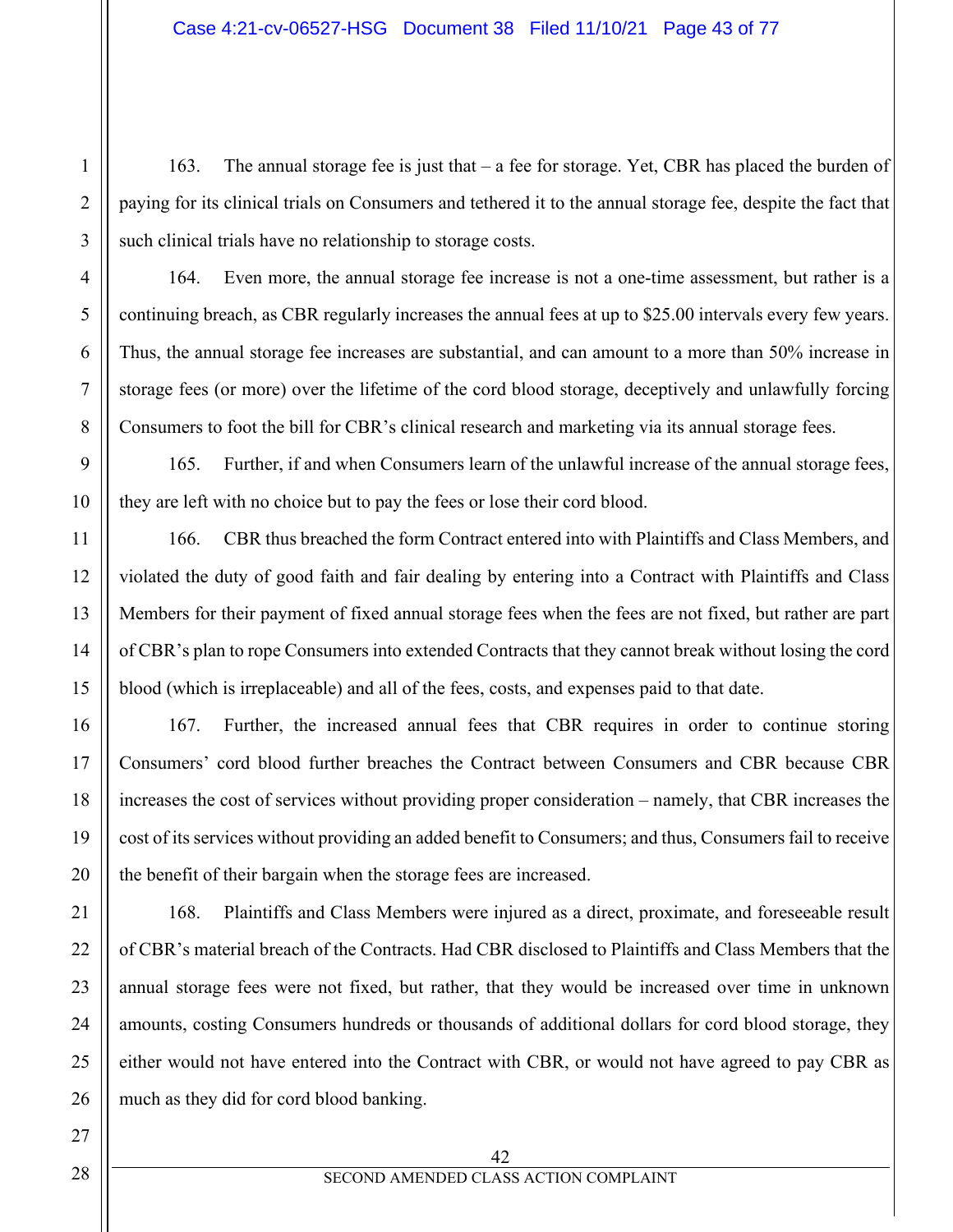163. The annual storage fee is just that – a fee for storage. Yet, CBR has placed the burden of paying for its clinical trials on Consumers and tethered it to the annual storage fee, despite the fact that such clinical trials have no relationship to storage costs.

164. Even more, the annual storage fee increase is not a one-time assessment, but rather is a continuing breach, as CBR regularly increases the annual fees at up to \$25.00 intervals every few years. Thus, the annual storage fee increases are substantial, and can amount to a more than 50% increase in storage fees (or more) over the lifetime of the cord blood storage, deceptively and unlawfully forcing Consumers to foot the bill for CBR's clinical research and marketing via its annual storage fees.

165. Further, if and when Consumers learn of the unlawful increase of the annual storage fees, they are left with no choice but to pay the fees or lose their cord blood.

166. CBR thus breached the form Contract entered into with Plaintiffs and Class Members, and violated the duty of good faith and fair dealing by entering into a Contract with Plaintiffs and Class Members for their payment of fixed annual storage fees when the fees are not fixed, but rather are part of CBR's plan to rope Consumers into extended Contracts that they cannot break without losing the cord blood (which is irreplaceable) and all of the fees, costs, and expenses paid to that date.

167. Further, the increased annual fees that CBR requires in order to continue storing Consumers' cord blood further breaches the Contract between Consumers and CBR because CBR increases the cost of services without providing proper consideration – namely, that CBR increases the cost of its services without providing an added benefit to Consumers; and thus, Consumers fail to receive the benefit of their bargain when the storage fees are increased.

168. Plaintiffs and Class Members were injured as a direct, proximate, and foreseeable result of CBR's material breach of the Contracts. Had CBR disclosed to Plaintiffs and Class Members that the annual storage fees were not fixed, but rather, that they would be increased over time in unknown amounts, costing Consumers hundreds or thousands of additional dollars for cord blood storage, they either would not have entered into the Contract with CBR, or would not have agreed to pay CBR as much as they did for cord blood banking.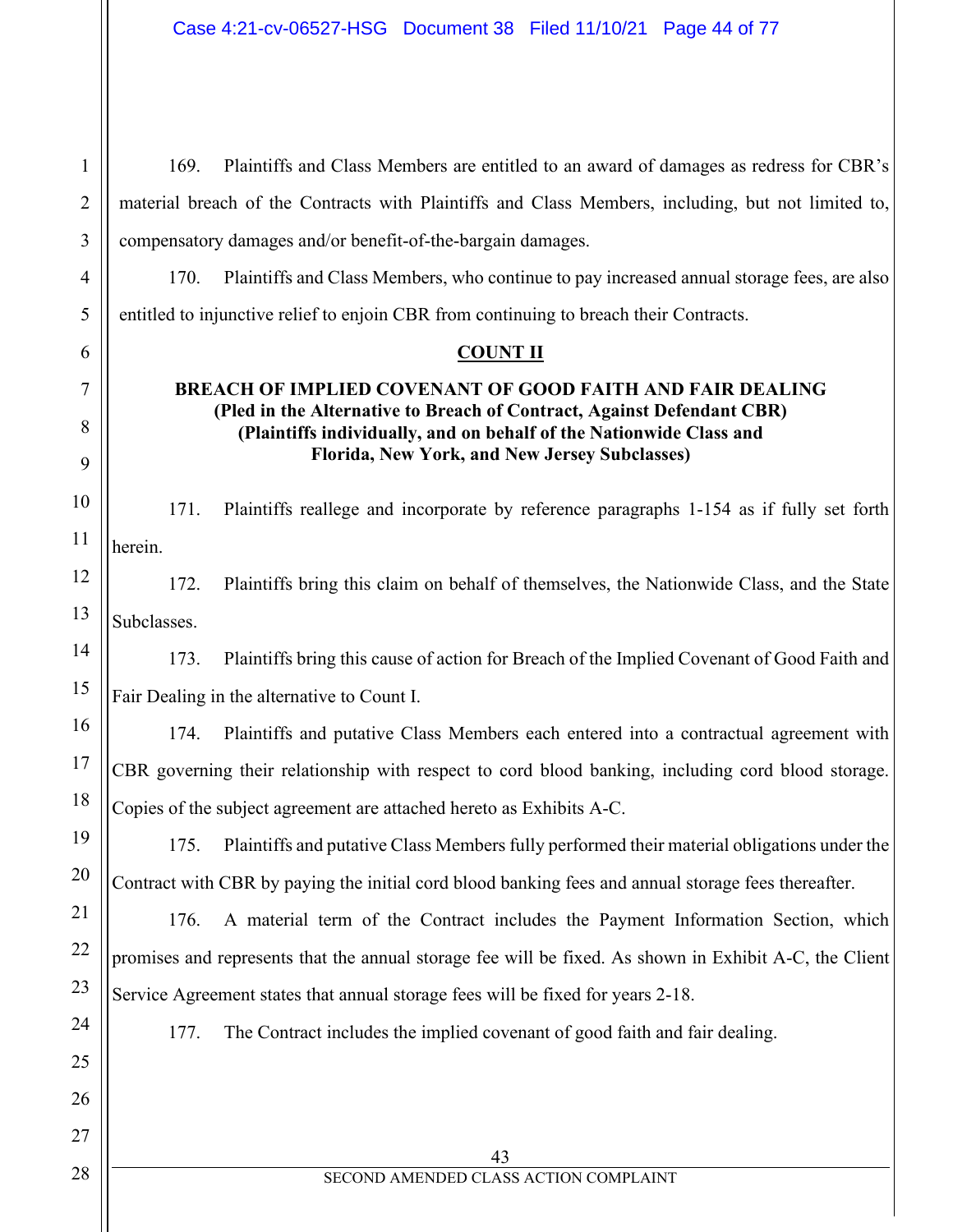1

2

3

4

5

6

7

8

9

10

11

12

13

14

15

16

17

18

19

20

21

22

23

24

25

26

27

28

169. Plaintiffs and Class Members are entitled to an award of damages as redress for CBR's material breach of the Contracts with Plaintiffs and Class Members, including, but not limited to, compensatory damages and/or benefit-of-the-bargain damages.

170. Plaintiffs and Class Members, who continue to pay increased annual storage fees, are also entitled to injunctive relief to enjoin CBR from continuing to breach their Contracts.

## **COUNT II**

## **BREACH OF IMPLIED COVENANT OF GOOD FAITH AND FAIR DEALING (Pled in the Alternative to Breach of Contract, Against Defendant CBR) (Plaintiffs individually, and on behalf of the Nationwide Class and Florida, New York, and New Jersey Subclasses)**

171. Plaintiffs reallege and incorporate by reference paragraphs 1-154 as if fully set forth herein.

172. Plaintiffs bring this claim on behalf of themselves, the Nationwide Class, and the State Subclasses.

173. Plaintiffs bring this cause of action for Breach of the Implied Covenant of Good Faith and Fair Dealing in the alternative to Count I.

174. Plaintiffs and putative Class Members each entered into a contractual agreement with CBR governing their relationship with respect to cord blood banking, including cord blood storage. Copies of the subject agreement are attached hereto as Exhibits A-C.

175. Plaintiffs and putative Class Members fully performed their material obligations under the Contract with CBR by paying the initial cord blood banking fees and annual storage fees thereafter.

176. A material term of the Contract includes the Payment Information Section, which promises and represents that the annual storage fee will be fixed. As shown in Exhibit A-C, the Client Service Agreement states that annual storage fees will be fixed for years 2-18.

177. The Contract includes the implied covenant of good faith and fair dealing.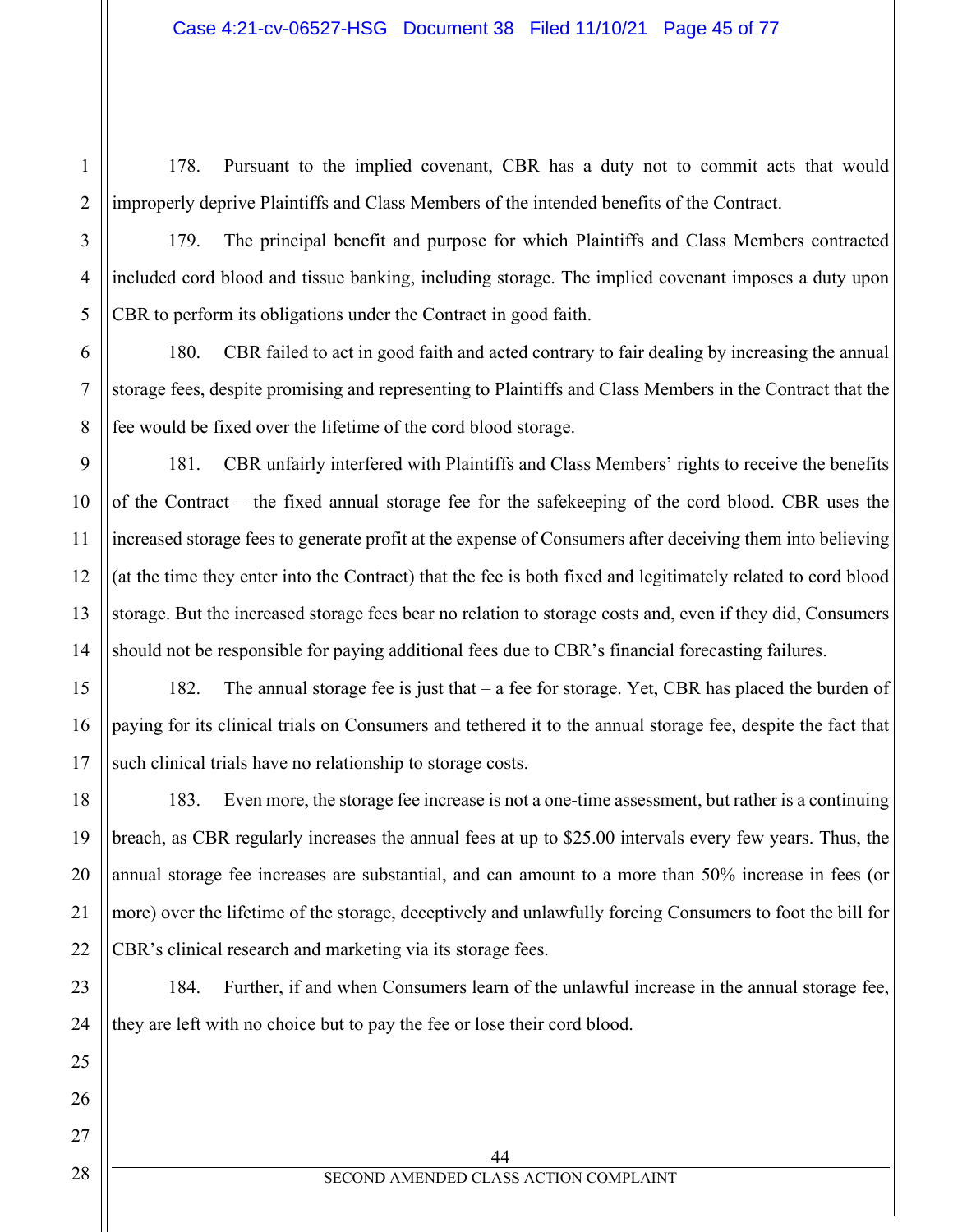178. Pursuant to the implied covenant, CBR has a duty not to commit acts that would improperly deprive Plaintiffs and Class Members of the intended benefits of the Contract.

179. The principal benefit and purpose for which Plaintiffs and Class Members contracted included cord blood and tissue banking, including storage. The implied covenant imposes a duty upon CBR to perform its obligations under the Contract in good faith.

180. CBR failed to act in good faith and acted contrary to fair dealing by increasing the annual storage fees, despite promising and representing to Plaintiffs and Class Members in the Contract that the fee would be fixed over the lifetime of the cord blood storage.

181. CBR unfairly interfered with Plaintiffs and Class Members' rights to receive the benefits of the Contract – the fixed annual storage fee for the safekeeping of the cord blood. CBR uses the increased storage fees to generate profit at the expense of Consumers after deceiving them into believing (at the time they enter into the Contract) that the fee is both fixed and legitimately related to cord blood storage. But the increased storage fees bear no relation to storage costs and, even if they did, Consumers should not be responsible for paying additional fees due to CBR's financial forecasting failures.

182. The annual storage fee is just that – a fee for storage. Yet, CBR has placed the burden of paying for its clinical trials on Consumers and tethered it to the annual storage fee, despite the fact that such clinical trials have no relationship to storage costs.

183. Even more, the storage fee increase is not a one-time assessment, but rather is a continuing breach, as CBR regularly increases the annual fees at up to \$25.00 intervals every few years. Thus, the annual storage fee increases are substantial, and can amount to a more than 50% increase in fees (or more) over the lifetime of the storage, deceptively and unlawfully forcing Consumers to foot the bill for CBR's clinical research and marketing via its storage fees.

184. Further, if and when Consumers learn of the unlawful increase in the annual storage fee, they are left with no choice but to pay the fee or lose their cord blood.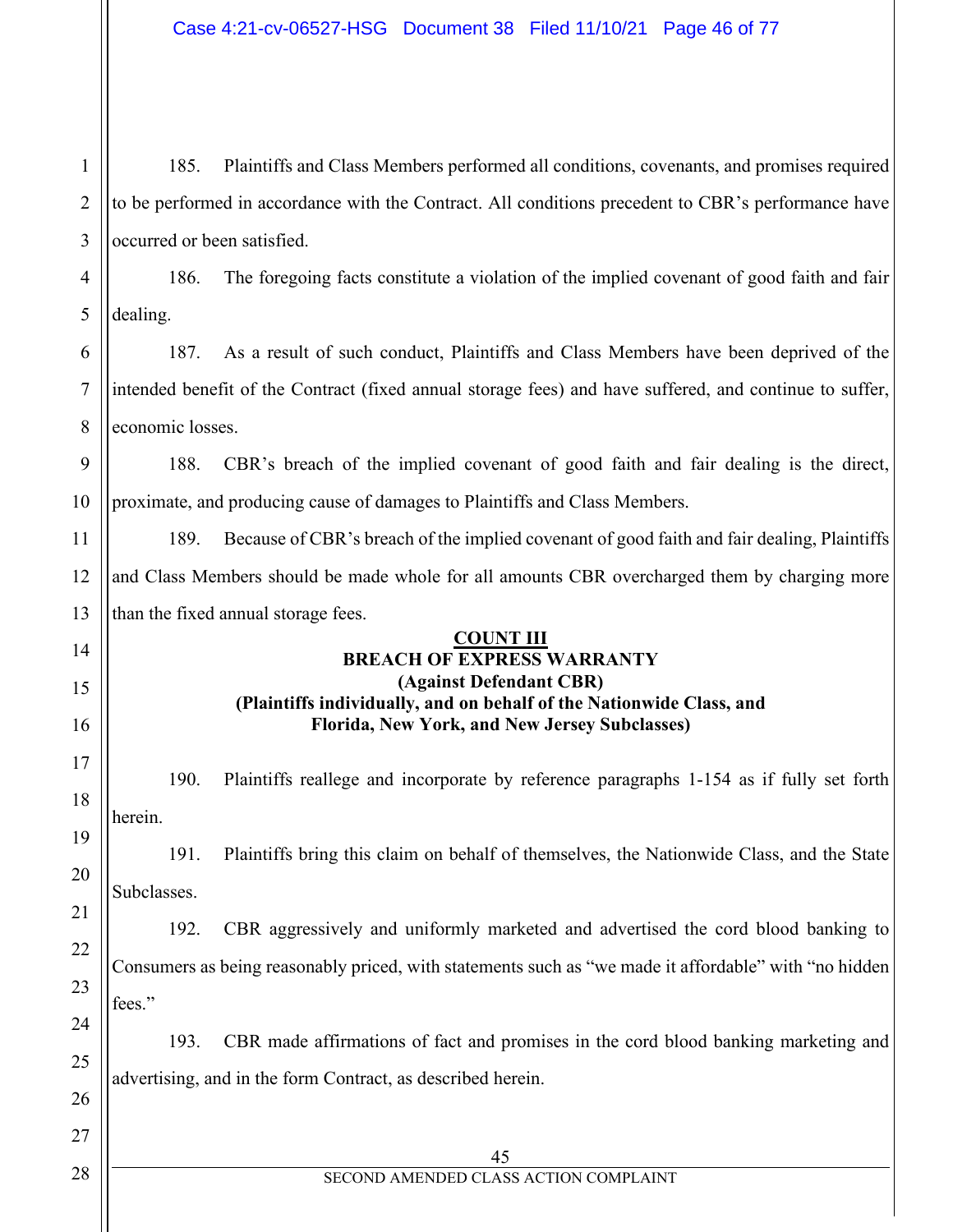| $\mathbf{1}$   | 185.                                                                                                | Plaintiffs and Class Members performed all conditions, covenants, and promises required                               |  |  |
|----------------|-----------------------------------------------------------------------------------------------------|-----------------------------------------------------------------------------------------------------------------------|--|--|
| $\overline{2}$ | to be performed in accordance with the Contract. All conditions precedent to CBR's performance have |                                                                                                                       |  |  |
| 3              | occurred or been satisfied.                                                                         |                                                                                                                       |  |  |
| 4              | 186.                                                                                                | The foregoing facts constitute a violation of the implied covenant of good faith and fair                             |  |  |
| 5              | dealing.                                                                                            |                                                                                                                       |  |  |
| 6              | 187.                                                                                                | As a result of such conduct, Plaintiffs and Class Members have been deprived of the                                   |  |  |
| $\tau$         |                                                                                                     | intended benefit of the Contract (fixed annual storage fees) and have suffered, and continue to suffer,               |  |  |
| 8              | economic losses.                                                                                    |                                                                                                                       |  |  |
| 9              | 188.                                                                                                | CBR's breach of the implied covenant of good faith and fair dealing is the direct,                                    |  |  |
| 10             | proximate, and producing cause of damages to Plaintiffs and Class Members.                          |                                                                                                                       |  |  |
| 11             | 189.                                                                                                | Because of CBR's breach of the implied covenant of good faith and fair dealing, Plaintiffs                            |  |  |
| 12             | and Class Members should be made whole for all amounts CBR overcharged them by charging more        |                                                                                                                       |  |  |
| 13             |                                                                                                     | than the fixed annual storage fees.                                                                                   |  |  |
| 14             |                                                                                                     | <b>COUNT III</b><br><b>BREACH OF EXPRESS WARRANTY</b>                                                                 |  |  |
| 15             | (Against Defendant CBR)                                                                             |                                                                                                                       |  |  |
| 16             |                                                                                                     | (Plaintiffs individually, and on behalf of the Nationwide Class, and<br>Florida, New York, and New Jersey Subclasses) |  |  |
| 17             | 190.                                                                                                | Plaintiffs reallege and incorporate by reference paragraphs 1-154 as if fully set forth                               |  |  |
|                | herein.                                                                                             |                                                                                                                       |  |  |
|                |                                                                                                     |                                                                                                                       |  |  |
| 20             | 191.<br>Subclasses.                                                                                 | Plaintiffs bring this claim on behalf of themselves, the Nationwide Class, and the State                              |  |  |
|                | 192.                                                                                                | CBR aggressively and uniformly marketed and advertised the cord blood banking to                                      |  |  |
| 22             |                                                                                                     | Consumers as being reasonably priced, with statements such as "we made it affordable" with "no hidden                 |  |  |
| 23             | fees."                                                                                              |                                                                                                                       |  |  |
| 24             | 193.                                                                                                | CBR made affirmations of fact and promises in the cord blood banking marketing and                                    |  |  |
| 25             | advertising, and in the form Contract, as described herein.                                         |                                                                                                                       |  |  |
| 26             |                                                                                                     |                                                                                                                       |  |  |
| 27             |                                                                                                     | 45                                                                                                                    |  |  |
| 28             | SECOND AMENDED CLASS ACTION COMPLAINT                                                               |                                                                                                                       |  |  |
|                |                                                                                                     |                                                                                                                       |  |  |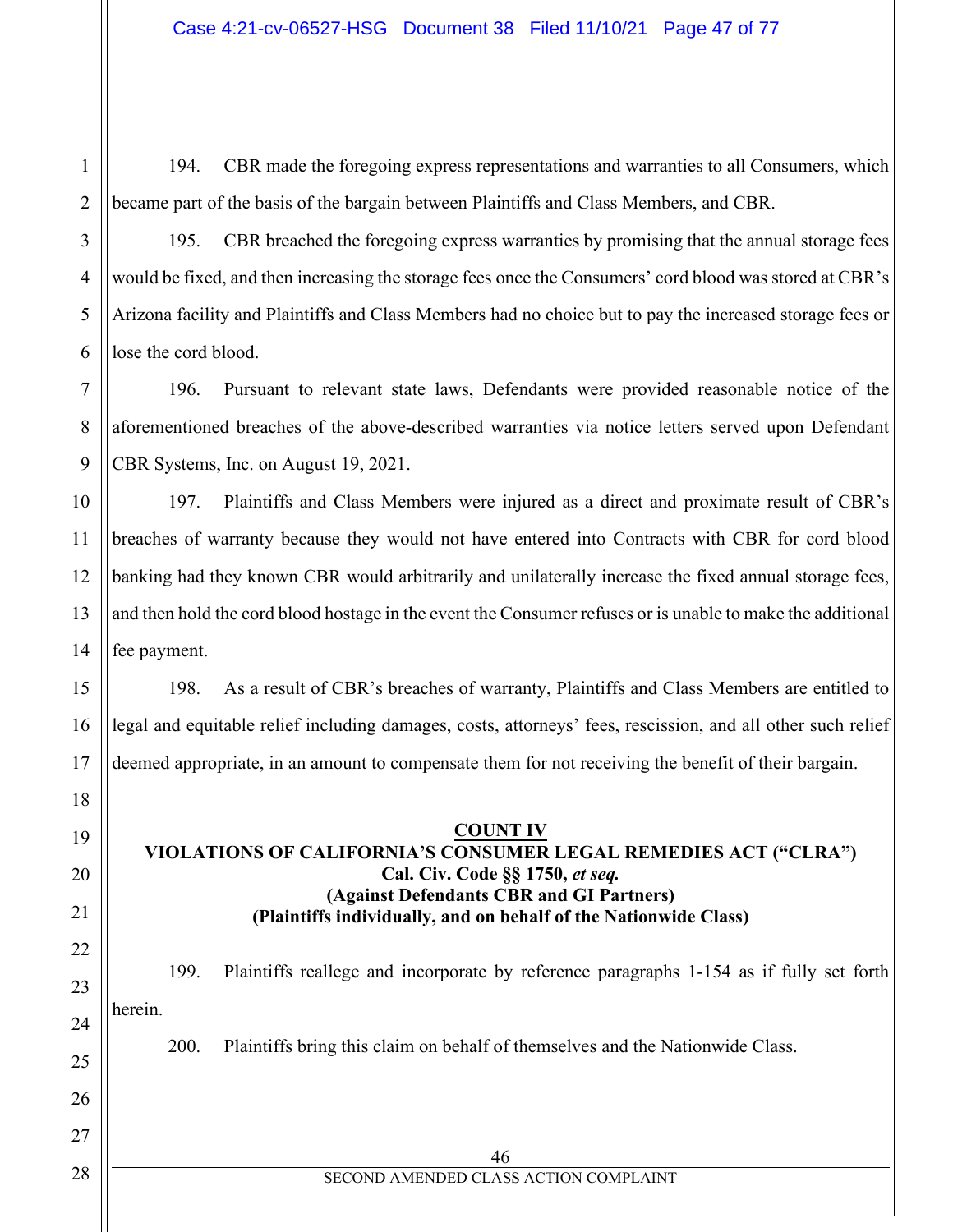1 2 194. CBR made the foregoing express representations and warranties to all Consumers, which became part of the basis of the bargain between Plaintiffs and Class Members, and CBR.

3

4

5

6

7

8

9

10

11

12

13

14

15

16

17

18

19

20

21

22

23

24

25

26

27

28

195. CBR breached the foregoing express warranties by promising that the annual storage fees would be fixed, and then increasing the storage fees once the Consumers' cord blood was stored at CBR's Arizona facility and Plaintiffs and Class Members had no choice but to pay the increased storage fees or lose the cord blood.

196. Pursuant to relevant state laws, Defendants were provided reasonable notice of the aforementioned breaches of the above-described warranties via notice letters served upon Defendant CBR Systems, Inc. on August 19, 2021.

197. Plaintiffs and Class Members were injured as a direct and proximate result of CBR's breaches of warranty because they would not have entered into Contracts with CBR for cord blood banking had they known CBR would arbitrarily and unilaterally increase the fixed annual storage fees, and then hold the cord blood hostage in the event the Consumer refuses or is unable to make the additional fee payment.

198. As a result of CBR's breaches of warranty, Plaintiffs and Class Members are entitled to legal and equitable relief including damages, costs, attorneys' fees, rescission, and all other such relief deemed appropriate, in an amount to compensate them for not receiving the benefit of their bargain.

## **COUNT IV VIOLATIONS OF CALIFORNIA'S CONSUMER LEGAL REMEDIES ACT ("CLRA") Cal. Civ. Code §§ 1750,** *et seq.* **(Against Defendants CBR and GI Partners) (Plaintiffs individually, and on behalf of the Nationwide Class)**

199. Plaintiffs reallege and incorporate by reference paragraphs 1-154 as if fully set forth herein.

200. Plaintiffs bring this claim on behalf of themselves and the Nationwide Class.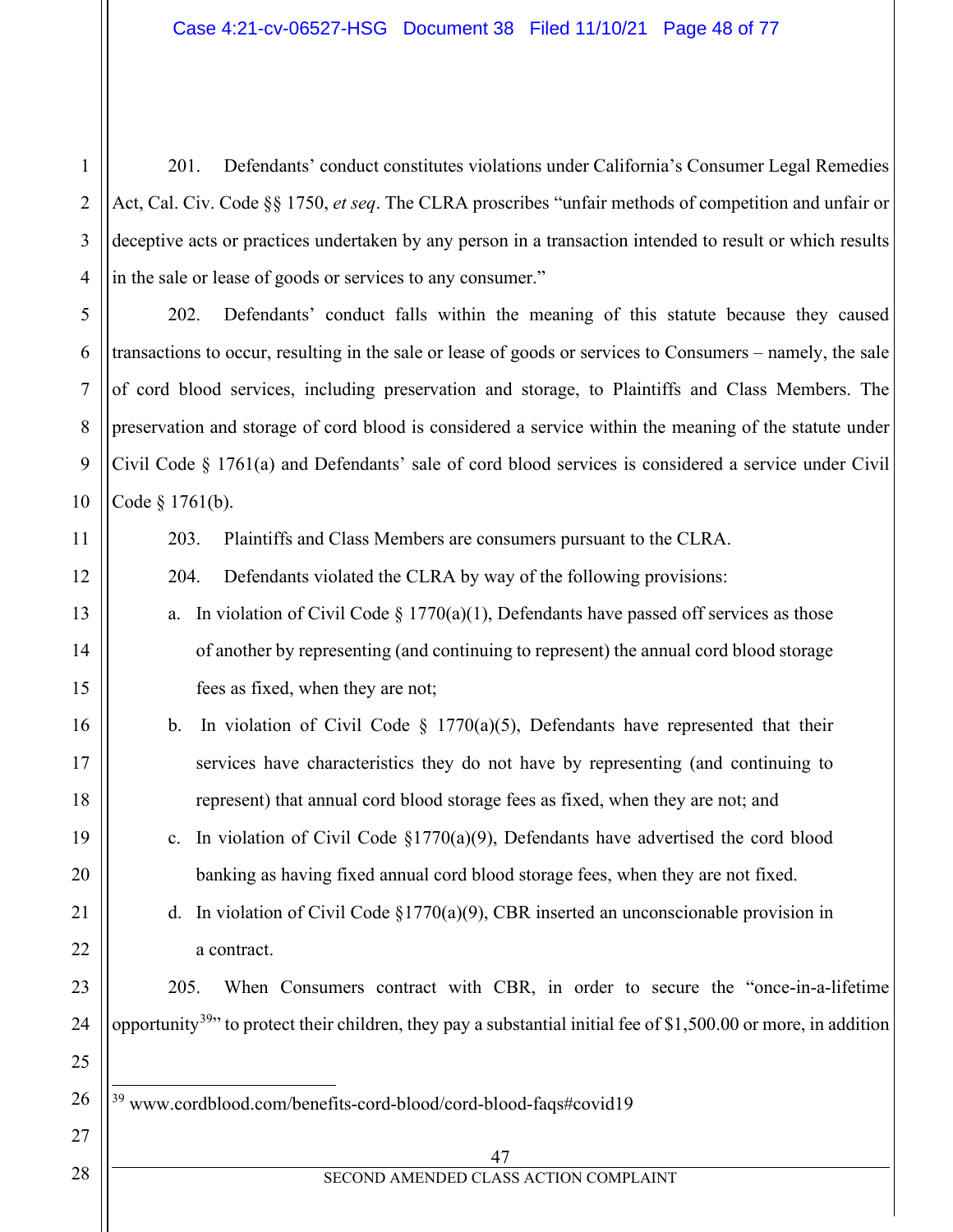201. Defendants' conduct constitutes violations under California's Consumer Legal Remedies Act, Cal. Civ. Code §§ 1750, *et seq*. The CLRA proscribes "unfair methods of competition and unfair or deceptive acts or practices undertaken by any person in a transaction intended to result or which results in the sale or lease of goods or services to any consumer."

202. Defendants' conduct falls within the meaning of this statute because they caused transactions to occur, resulting in the sale or lease of goods or services to Consumers – namely, the sale of cord blood services, including preservation and storage, to Plaintiffs and Class Members. The preservation and storage of cord blood is considered a service within the meaning of the statute under Civil Code § 1761(a) and Defendants' sale of cord blood services is considered a service under Civil Code § 1761(b).

11

12

13

14

15

16

17

18

19

20

21

22

23

24

25

<span id="page-47-0"></span>26

27

10

1

2

3

4

5

6

7

8

9

203. Plaintiffs and Class Members are consumers pursuant to the CLRA.

204. Defendants violated the CLRA by way of the following provisions:

- a. In violation of Civil Code  $\S 1770(a)(1)$ , Defendants have passed off services as those of another by representing (and continuing to represent) the annual cord blood storage fees as fixed, when they are not;
- b. In violation of Civil Code  $\S$  1770(a)(5), Defendants have represented that their services have characteristics they do not have by representing (and continuing to represent) that annual cord blood storage fees as fixed, when they are not; and
- c. In violation of Civil Code §1770(a)(9), Defendants have advertised the cord blood banking as having fixed annual cord blood storage fees, when they are not fixed.

d. In violation of Civil Code  $\S1770(a)(9)$ , CBR inserted an unconscionable provision in a contract.

205. When Consumers contract with CBR, in order to secure the "once-in-a-lifetime opportunity<sup>39</sup>" to protect their children, they pay a substantial initial fee of \$1,500.00 or more, in addition

<sup>39</sup> www.cordblood.com/benefits-cord-blood/cord-blood-faqs#covid19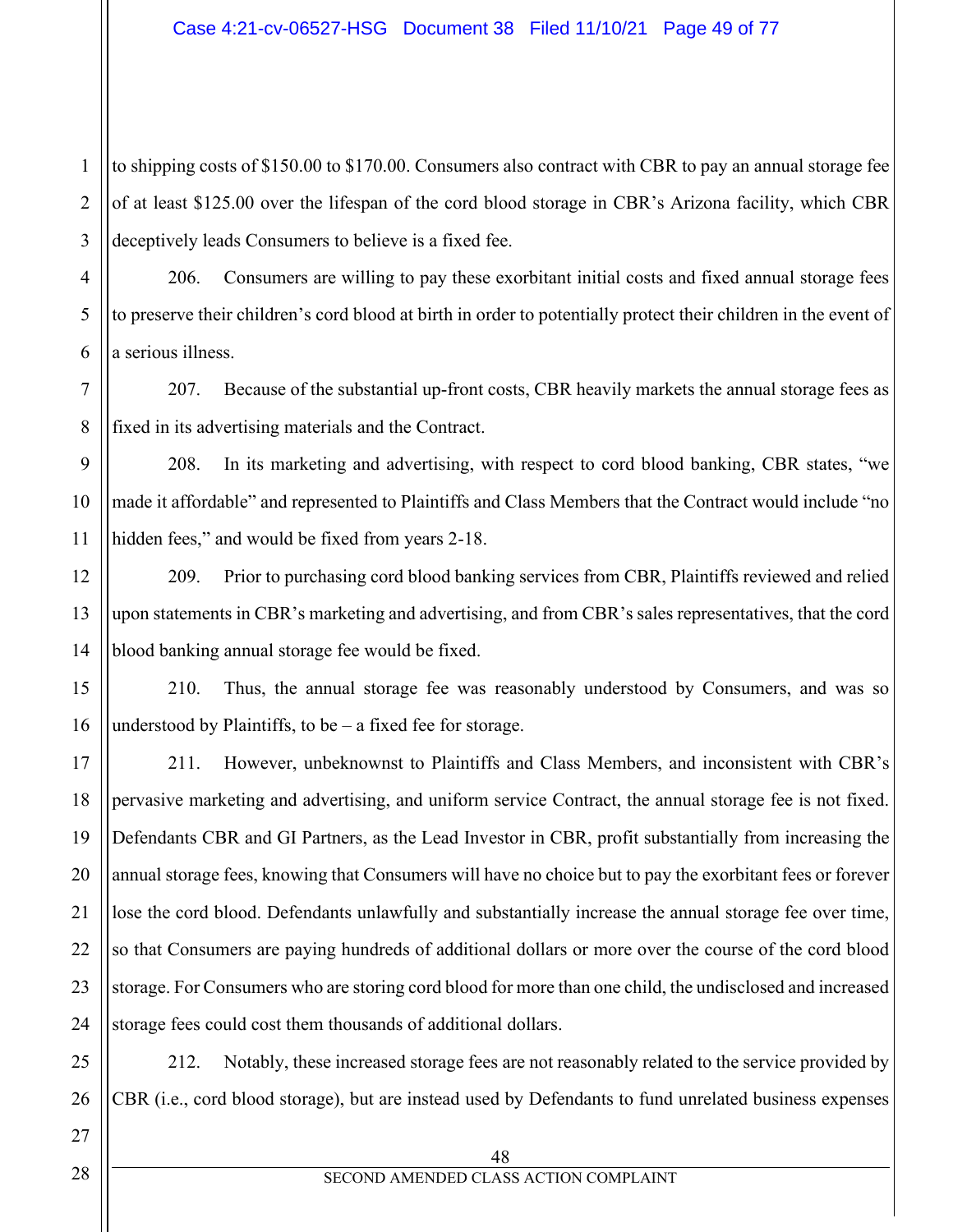1 2 to shipping costs of \$150.00 to \$170.00. Consumers also contract with CBR to pay an annual storage fee of at least \$125.00 over the lifespan of the cord blood storage in CBR's Arizona facility, which CBR deceptively leads Consumers to believe is a fixed fee.

206. Consumers are willing to pay these exorbitant initial costs and fixed annual storage fees to preserve their children's cord blood at birth in order to potentially protect their children in the event of a serious illness.

207. Because of the substantial up-front costs, CBR heavily markets the annual storage fees as fixed in its advertising materials and the Contract.

208. In its marketing and advertising, with respect to cord blood banking, CBR states, "we made it affordable" and represented to Plaintiffs and Class Members that the Contract would include "no hidden fees," and would be fixed from years 2-18.

209. Prior to purchasing cord blood banking services from CBR, Plaintiffs reviewed and relied upon statements in CBR's marketing and advertising, and from CBR's sales representatives, that the cord blood banking annual storage fee would be fixed.

210. Thus, the annual storage fee was reasonably understood by Consumers, and was so understood by Plaintiffs, to be – a fixed fee for storage.

211. However, unbeknownst to Plaintiffs and Class Members, and inconsistent with CBR's pervasive marketing and advertising, and uniform service Contract, the annual storage fee is not fixed. Defendants CBR and GI Partners, as the Lead Investor in CBR, profit substantially from increasing the annual storage fees, knowing that Consumers will have no choice but to pay the exorbitant fees or forever lose the cord blood. Defendants unlawfully and substantially increase the annual storage fee over time, so that Consumers are paying hundreds of additional dollars or more over the course of the cord blood storage. For Consumers who are storing cord blood for more than one child, the undisclosed and increased storage fees could cost them thousands of additional dollars.

212. Notably, these increased storage fees are not reasonably related to the service provided by CBR (i.e., cord blood storage), but are instead used by Defendants to fund unrelated business expenses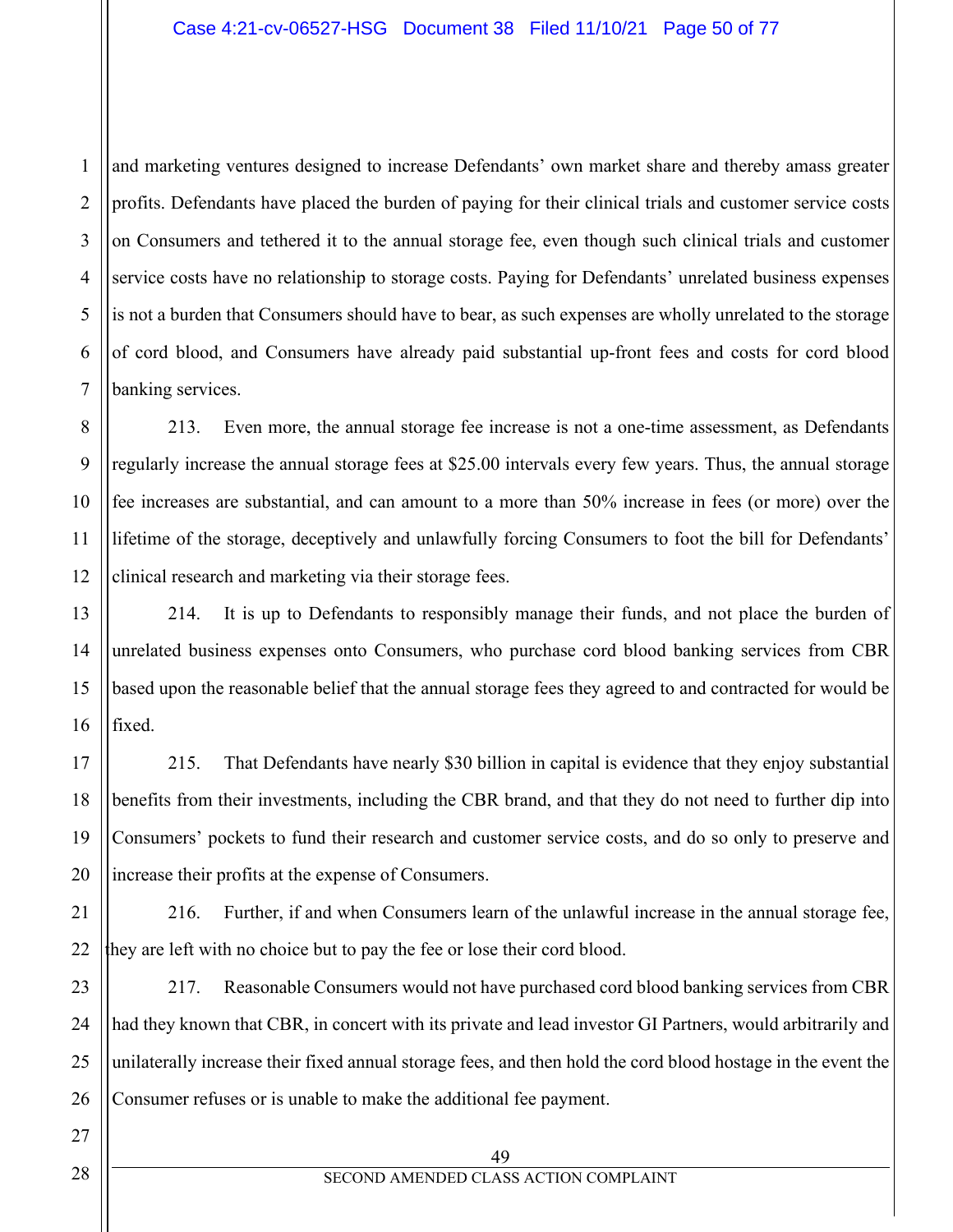1 2 3 4 5 6 7 and marketing ventures designed to increase Defendants' own market share and thereby amass greater profits. Defendants have placed the burden of paying for their clinical trials and customer service costs on Consumers and tethered it to the annual storage fee, even though such clinical trials and customer service costs have no relationship to storage costs. Paying for Defendants' unrelated business expenses is not a burden that Consumers should have to bear, as such expenses are wholly unrelated to the storage of cord blood, and Consumers have already paid substantial up-front fees and costs for cord blood banking services.

213. Even more, the annual storage fee increase is not a one-time assessment, as Defendants regularly increase the annual storage fees at \$25.00 intervals every few years. Thus, the annual storage fee increases are substantial, and can amount to a more than 50% increase in fees (or more) over the lifetime of the storage, deceptively and unlawfully forcing Consumers to foot the bill for Defendants' clinical research and marketing via their storage fees.

214. It is up to Defendants to responsibly manage their funds, and not place the burden of unrelated business expenses onto Consumers, who purchase cord blood banking services from CBR based upon the reasonable belief that the annual storage fees they agreed to and contracted for would be fixed.

215. That Defendants have nearly \$30 billion in capital is evidence that they enjoy substantial benefits from their investments, including the CBR brand, and that they do not need to further dip into Consumers' pockets to fund their research and customer service costs, and do so only to preserve and increase their profits at the expense of Consumers.

22 216. Further, if and when Consumers learn of the unlawful increase in the annual storage fee, they are left with no choice but to pay the fee or lose their cord blood.

23 24 25 26 217. Reasonable Consumers would not have purchased cord blood banking services from CBR had they known that CBR, in concert with its private and lead investor GI Partners, would arbitrarily and unilaterally increase their fixed annual storage fees, and then hold the cord blood hostage in the event the Consumer refuses or is unable to make the additional fee payment.

8

9

10

11

12

13

14

15

16

17

18

19

20

21

27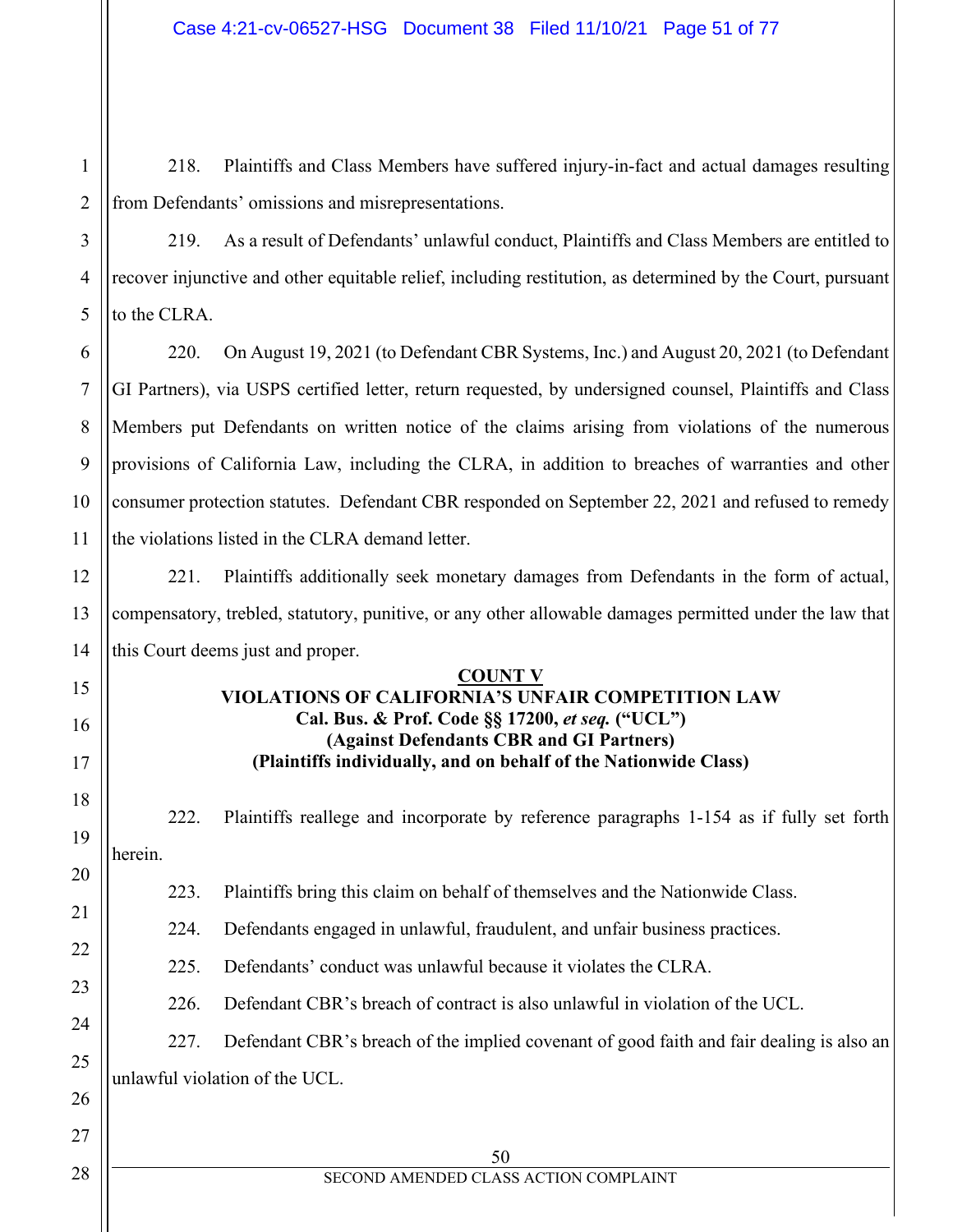218. Plaintiffs and Class Members have suffered injury-in-fact and actual damages resulting from Defendants' omissions and misrepresentations.

219. As a result of Defendants' unlawful conduct, Plaintiffs and Class Members are entitled to recover injunctive and other equitable relief, including restitution, as determined by the Court, pursuant to the CLRA.

6 220. On August 19, 2021 (to Defendant CBR Systems, Inc.) and August 20, 2021 (to Defendant GI Partners), via USPS certified letter, return requested, by undersigned counsel, Plaintiffs and Class Members put Defendants on written notice of the claims arising from violations of the numerous provisions of California Law, including the CLRA, in addition to breaches of warranties and other consumer protection statutes. Defendant CBR responded on September 22, 2021 and refused to remedy the violations listed in the CLRA demand letter.

221. Plaintiffs additionally seek monetary damages from Defendants in the form of actual, compensatory, trebled, statutory, punitive, or any other allowable damages permitted under the law that this Court deems just and proper.

#### **COUNT V**

## **VIOLATIONS OF CALIFORNIA'S UNFAIR COMPETITION LAW Cal. Bus. & Prof. Code §§ 17200,** *et seq.* **("UCL") (Against Defendants CBR and GI Partners) (Plaintiffs individually, and on behalf of the Nationwide Class)**

222. Plaintiffs reallege and incorporate by reference paragraphs 1-154 as if fully set forth herein.

223. Plaintiffs bring this claim on behalf of themselves and the Nationwide Class.

224. Defendants engaged in unlawful, fraudulent, and unfair business practices.

225. Defendants' conduct was unlawful because it violates the CLRA.

226. Defendant CBR's breach of contract is also unlawful in violation of the UCL.

## 227. Defendant CBR's breach of the implied covenant of good faith and fair dealing is also an

unlawful violation of the UCL.

1

2

3

4

5

7

8

9

10

11

12

13

14

15

16

17

18

19

20

21

22

23

24

25

26

27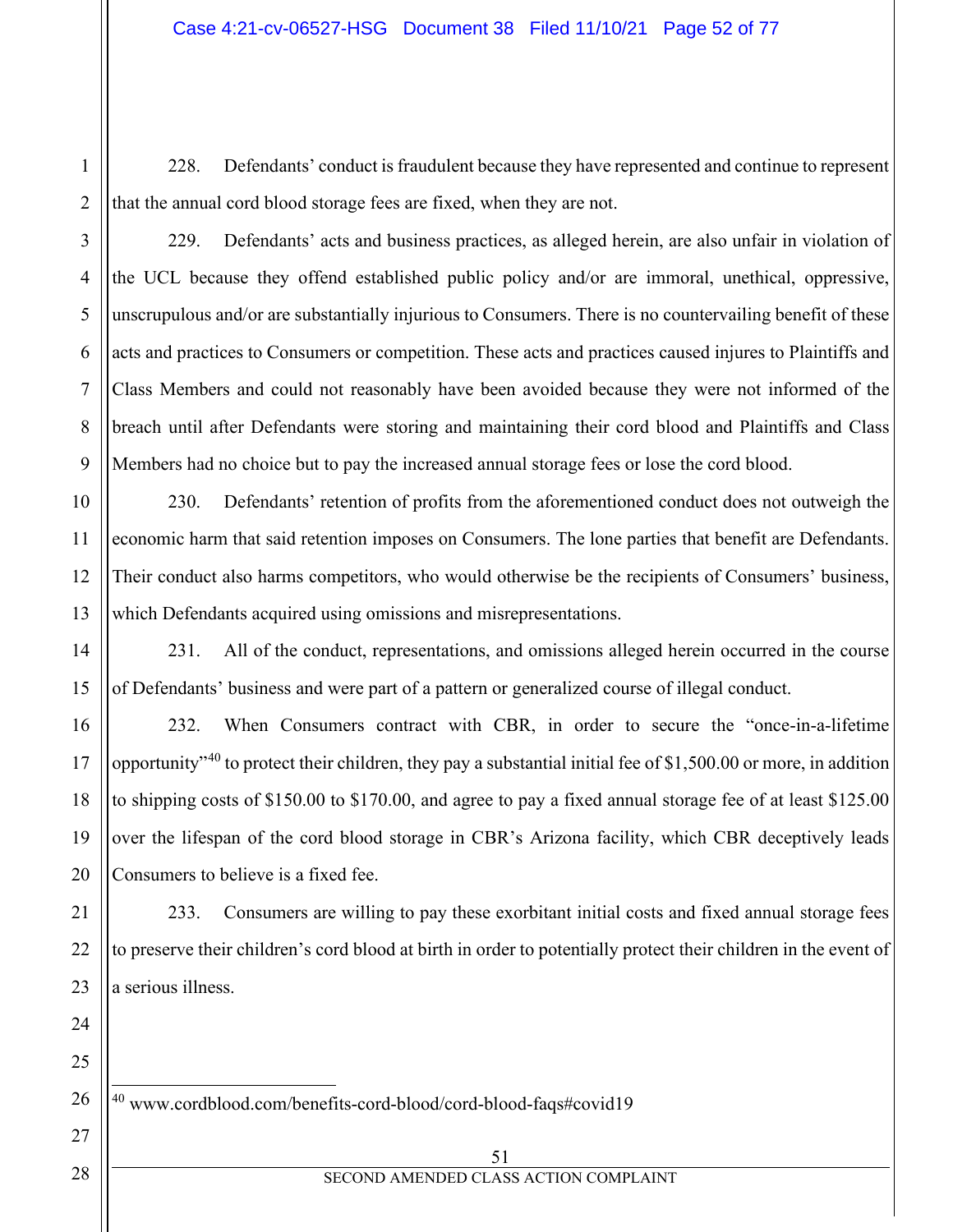228. Defendants' conduct is fraudulent because they have represented and continue to represent that the annual cord blood storage fees are fixed, when they are not.

229. Defendants' acts and business practices, as alleged herein, are also unfair in violation of the UCL because they offend established public policy and/or are immoral, unethical, oppressive, unscrupulous and/or are substantially injurious to Consumers. There is no countervailing benefit of these acts and practices to Consumers or competition. These acts and practices caused injures to Plaintiffs and Class Members and could not reasonably have been avoided because they were not informed of the breach until after Defendants were storing and maintaining their cord blood and Plaintiffs and Class Members had no choice but to pay the increased annual storage fees or lose the cord blood.

230. Defendants' retention of profits from the aforementioned conduct does not outweigh the economic harm that said retention imposes on Consumers. The lone parties that benefit are Defendants. Their conduct also harms competitors, who would otherwise be the recipients of Consumers' business, which Defendants acquired using omissions and misrepresentations.

231. All of the conduct, representations, and omissions alleged herein occurred in the course of Defendants' business and were part of a pattern or generalized course of illegal conduct.

232. When Consumers contract with CBR, in order to secure the "once-in-a-lifetime opportunity<sup> $140$  $140$ </sup> to protect their children, they pay a substantial initial fee of \$1,500.00 or more, in addition to shipping costs of \$150.00 to \$170.00, and agree to pay a fixed annual storage fee of at least \$125.00 over the lifespan of the cord blood storage in CBR's Arizona facility, which CBR deceptively leads Consumers to believe is a fixed fee.

233. Consumers are willing to pay these exorbitant initial costs and fixed annual storage fees to preserve their children's cord blood at birth in order to potentially protect their children in the event of a serious illness.

<span id="page-51-0"></span><sup>40</sup> www.cordblood.com/benefits-cord-blood/cord-blood-faqs#covid19

#### 51 SECOND AMENDED CLASS ACTION COMPLAINT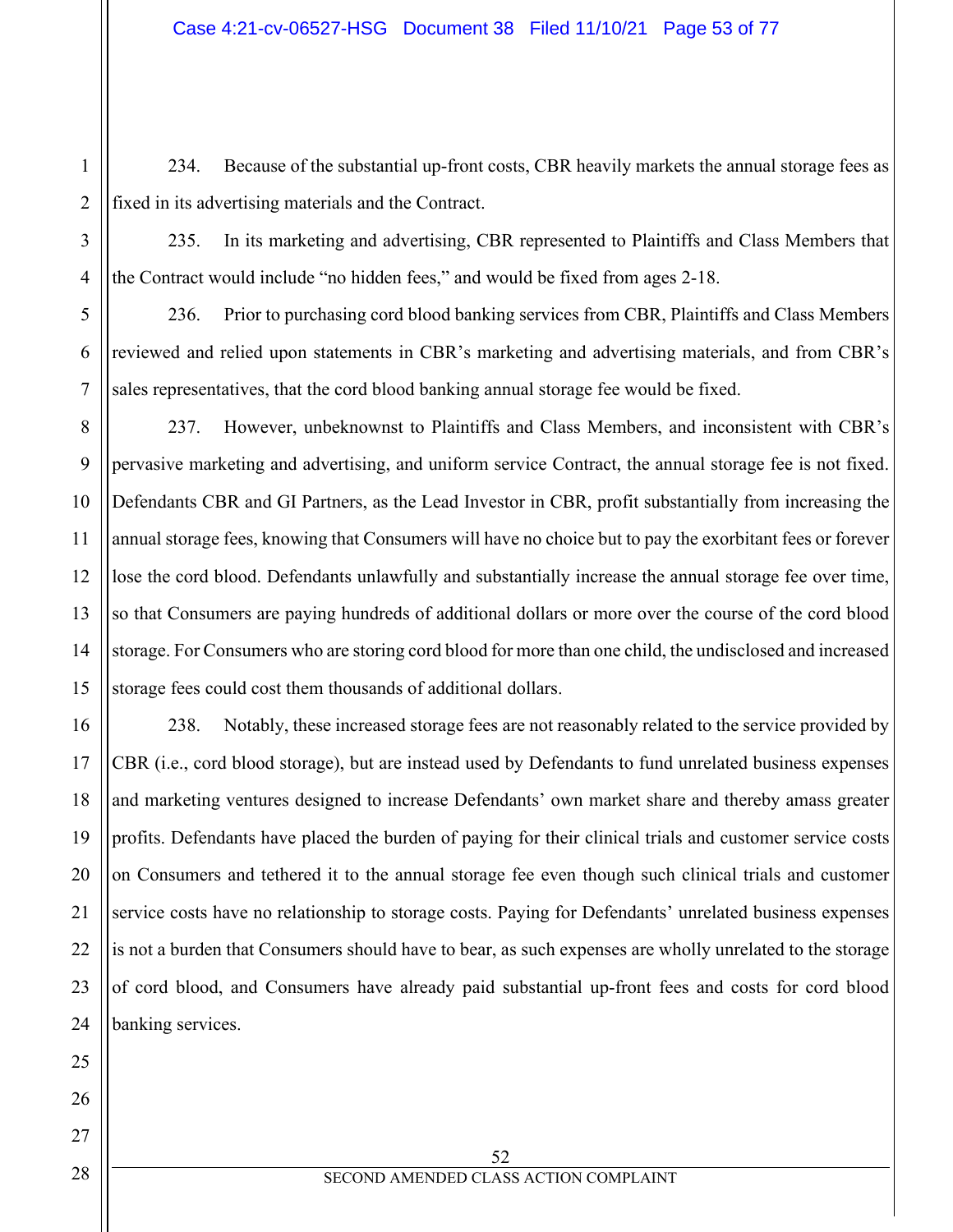234. Because of the substantial up-front costs, CBR heavily markets the annual storage fees as fixed in its advertising materials and the Contract.

235. In its marketing and advertising, CBR represented to Plaintiffs and Class Members that the Contract would include "no hidden fees," and would be fixed from ages 2-18.

236. Prior to purchasing cord blood banking services from CBR, Plaintiffs and Class Members reviewed and relied upon statements in CBR's marketing and advertising materials, and from CBR's sales representatives, that the cord blood banking annual storage fee would be fixed.

8 9 237. However, unbeknownst to Plaintiffs and Class Members, and inconsistent with CBR's pervasive marketing and advertising, and uniform service Contract, the annual storage fee is not fixed. Defendants CBR and GI Partners, as the Lead Investor in CBR, profit substantially from increasing the annual storage fees, knowing that Consumers will have no choice but to pay the exorbitant fees or forever lose the cord blood. Defendants unlawfully and substantially increase the annual storage fee over time, so that Consumers are paying hundreds of additional dollars or more over the course of the cord blood storage. For Consumers who are storing cord blood for more than one child, the undisclosed and increased storage fees could cost them thousands of additional dollars.

238. Notably, these increased storage fees are not reasonably related to the service provided by CBR (i.e., cord blood storage), but are instead used by Defendants to fund unrelated business expenses and marketing ventures designed to increase Defendants' own market share and thereby amass greater profits. Defendants have placed the burden of paying for their clinical trials and customer service costs on Consumers and tethered it to the annual storage fee even though such clinical trials and customer service costs have no relationship to storage costs. Paying for Defendants' unrelated business expenses is not a burden that Consumers should have to bear, as such expenses are wholly unrelated to the storage of cord blood, and Consumers have already paid substantial up-front fees and costs for cord blood banking services.

1

2

3

4

5

6

7

52 SECOND AMENDED CLASS ACTION COMPLAINT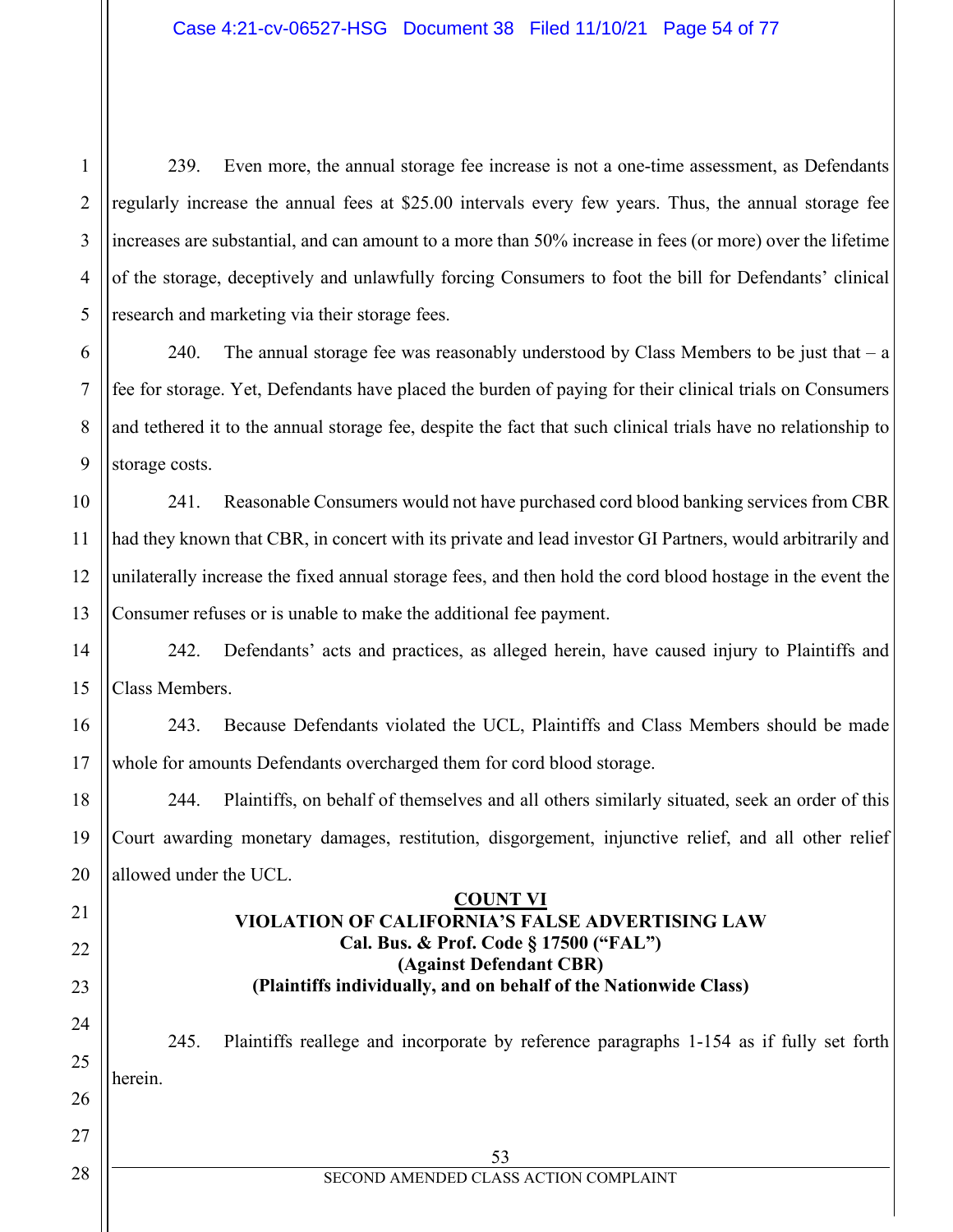239. Even more, the annual storage fee increase is not a one-time assessment, as Defendants regularly increase the annual fees at \$25.00 intervals every few years. Thus, the annual storage fee increases are substantial, and can amount to a more than 50% increase in fees (or more) over the lifetime of the storage, deceptively and unlawfully forcing Consumers to foot the bill for Defendants' clinical research and marketing via their storage fees.

240. The annual storage fee was reasonably understood by Class Members to be just that  $-a$ fee for storage. Yet, Defendants have placed the burden of paying for their clinical trials on Consumers and tethered it to the annual storage fee, despite the fact that such clinical trials have no relationship to storage costs.

10 11 241. Reasonable Consumers would not have purchased cord blood banking services from CBR had they known that CBR, in concert with its private and lead investor GI Partners, would arbitrarily and unilaterally increase the fixed annual storage fees, and then hold the cord blood hostage in the event the Consumer refuses or is unable to make the additional fee payment.

242. Defendants' acts and practices, as alleged herein, have caused injury to Plaintiffs and Class Members.

243. Because Defendants violated the UCL, Plaintiffs and Class Members should be made whole for amounts Defendants overcharged them for cord blood storage.

244. Plaintiffs, on behalf of themselves and all others similarly situated, seek an order of this Court awarding monetary damages, restitution, disgorgement, injunctive relief, and all other relief allowed under the UCL.

## **COUNT VI VIOLATION OF CALIFORNIA'S FALSE ADVERTISING LAW Cal. Bus. & Prof. Code § 17500 ("FAL") (Against Defendant CBR) (Plaintiffs individually, and on behalf of the Nationwide Class)**

245. Plaintiffs reallege and incorporate by reference paragraphs 1-154 as if fully set forth herein.

28

1

2

3

4

5

6

7

8

9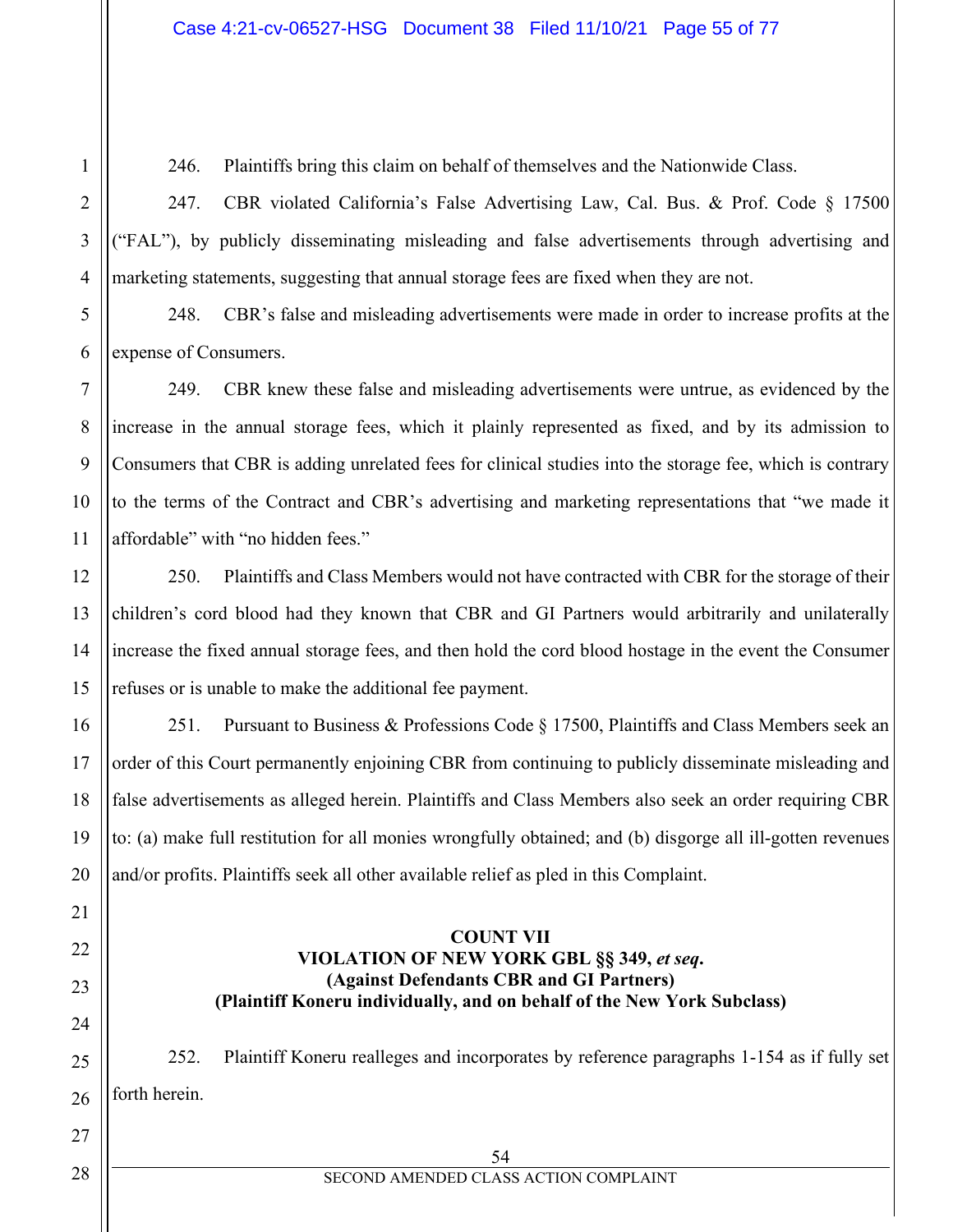246. Plaintiffs bring this claim on behalf of themselves and the Nationwide Class.

247. CBR violated California's False Advertising Law, Cal. Bus. & Prof. Code § 17500 ("FAL"), by publicly disseminating misleading and false advertisements through advertising and marketing statements, suggesting that annual storage fees are fixed when they are not.

248. CBR's false and misleading advertisements were made in order to increase profits at the expense of Consumers.

249. CBR knew these false and misleading advertisements were untrue, as evidenced by the increase in the annual storage fees, which it plainly represented as fixed, and by its admission to Consumers that CBR is adding unrelated fees for clinical studies into the storage fee, which is contrary to the terms of the Contract and CBR's advertising and marketing representations that "we made it affordable" with "no hidden fees."

250. Plaintiffs and Class Members would not have contracted with CBR for the storage of their children's cord blood had they known that CBR and GI Partners would arbitrarily and unilaterally increase the fixed annual storage fees, and then hold the cord blood hostage in the event the Consumer refuses or is unable to make the additional fee payment.

251. Pursuant to Business & Professions Code § 17500, Plaintiffs and Class Members seek an order of this Court permanently enjoining CBR from continuing to publicly disseminate misleading and false advertisements as alleged herein. Plaintiffs and Class Members also seek an order requiring CBR to: (a) make full restitution for all monies wrongfully obtained; and (b) disgorge all ill-gotten revenues and/or profits. Plaintiffs seek all other available relief as pled in this Complaint.

## **COUNT VII VIOLATION OF NEW YORK GBL §§ 349,** *et seq***. (Against Defendants CBR and GI Partners) (Plaintiff Koneru individually, and on behalf of the New York Subclass)**

252. Plaintiff Koneru realleges and incorporates by reference paragraphs 1-154 as if fully set forth herein.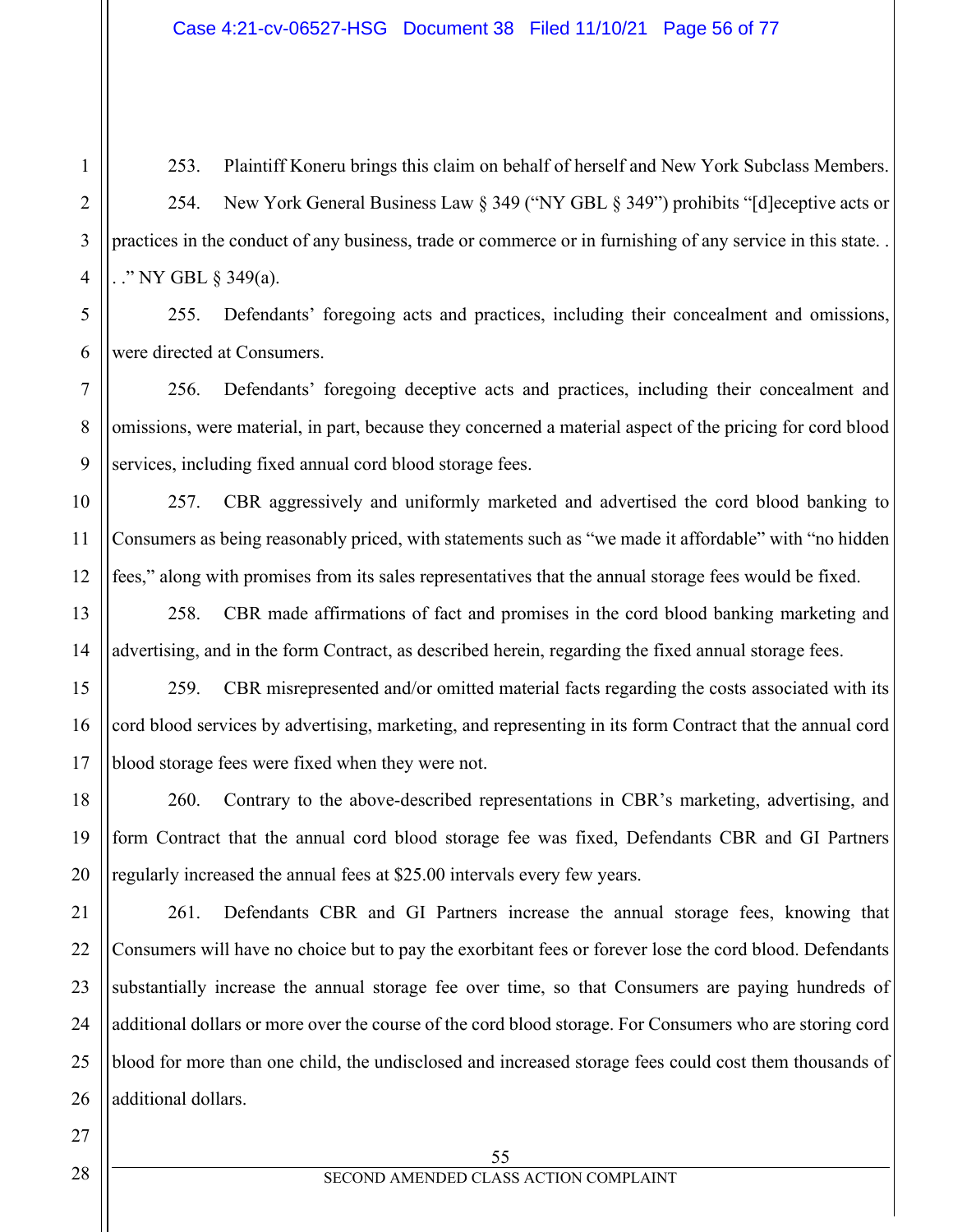253. Plaintiff Koneru brings this claim on behalf of herself and New York Subclass Members. 254. New York General Business Law § 349 ("NY GBL § 349") prohibits "[d]eceptive acts or practices in the conduct of any business, trade or commerce or in furnishing of any service in this state. . . ." NY GBL § 349(a).

255. Defendants' foregoing acts and practices, including their concealment and omissions, were directed at Consumers.

256. Defendants' foregoing deceptive acts and practices, including their concealment and omissions, were material, in part, because they concerned a material aspect of the pricing for cord blood services, including fixed annual cord blood storage fees.

257. CBR aggressively and uniformly marketed and advertised the cord blood banking to Consumers as being reasonably priced, with statements such as "we made it affordable" with "no hidden fees," along with promises from its sales representatives that the annual storage fees would be fixed.

258. CBR made affirmations of fact and promises in the cord blood banking marketing and advertising, and in the form Contract, as described herein, regarding the fixed annual storage fees.

259. CBR misrepresented and/or omitted material facts regarding the costs associated with its cord blood services by advertising, marketing, and representing in its form Contract that the annual cord blood storage fees were fixed when they were not.

260. Contrary to the above-described representations in CBR's marketing, advertising, and form Contract that the annual cord blood storage fee was fixed, Defendants CBR and GI Partners regularly increased the annual fees at \$25.00 intervals every few years.

261. Defendants CBR and GI Partners increase the annual storage fees, knowing that Consumers will have no choice but to pay the exorbitant fees or forever lose the cord blood. Defendants substantially increase the annual storage fee over time, so that Consumers are paying hundreds of additional dollars or more over the course of the cord blood storage. For Consumers who are storing cord blood for more than one child, the undisclosed and increased storage fees could cost them thousands of additional dollars.

1

2

3

4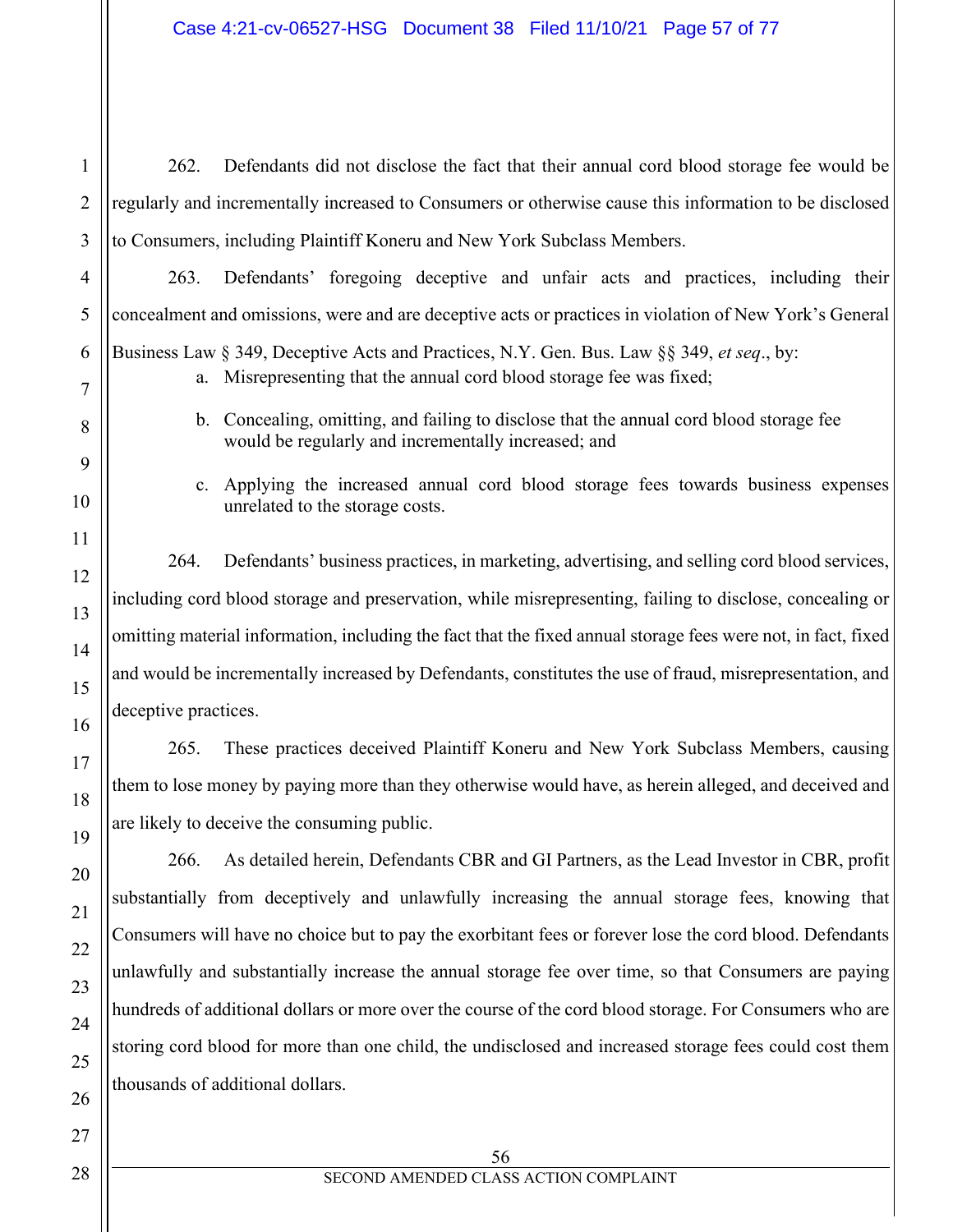262. Defendants did not disclose the fact that their annual cord blood storage fee would be regularly and incrementally increased to Consumers or otherwise cause this information to be disclosed to Consumers, including Plaintiff Koneru and New York Subclass Members.

263. Defendants' foregoing deceptive and unfair acts and practices, including their concealment and omissions, were and are deceptive acts or practices in violation of New York's General Business Law § 349, Deceptive Acts and Practices, N.Y. Gen. Bus. Law §§ 349, *et seq*., by:

- a. Misrepresenting that the annual cord blood storage fee was fixed;
- b. Concealing, omitting, and failing to disclose that the annual cord blood storage fee would be regularly and incrementally increased; and
- c. Applying the increased annual cord blood storage fees towards business expenses unrelated to the storage costs.

264. Defendants' business practices, in marketing, advertising, and selling cord blood services, including cord blood storage and preservation, while misrepresenting, failing to disclose, concealing or omitting material information, including the fact that the fixed annual storage fees were not, in fact, fixed and would be incrementally increased by Defendants, constitutes the use of fraud, misrepresentation, and deceptive practices.

265. These practices deceived Plaintiff Koneru and New York Subclass Members, causing them to lose money by paying more than they otherwise would have, as herein alleged, and deceived and are likely to deceive the consuming public.

266. As detailed herein, Defendants CBR and GI Partners, as the Lead Investor in CBR, profit substantially from deceptively and unlawfully increasing the annual storage fees, knowing that Consumers will have no choice but to pay the exorbitant fees or forever lose the cord blood. Defendants unlawfully and substantially increase the annual storage fee over time, so that Consumers are paying hundreds of additional dollars or more over the course of the cord blood storage. For Consumers who are storing cord blood for more than one child, the undisclosed and increased storage fees could cost them thousands of additional dollars.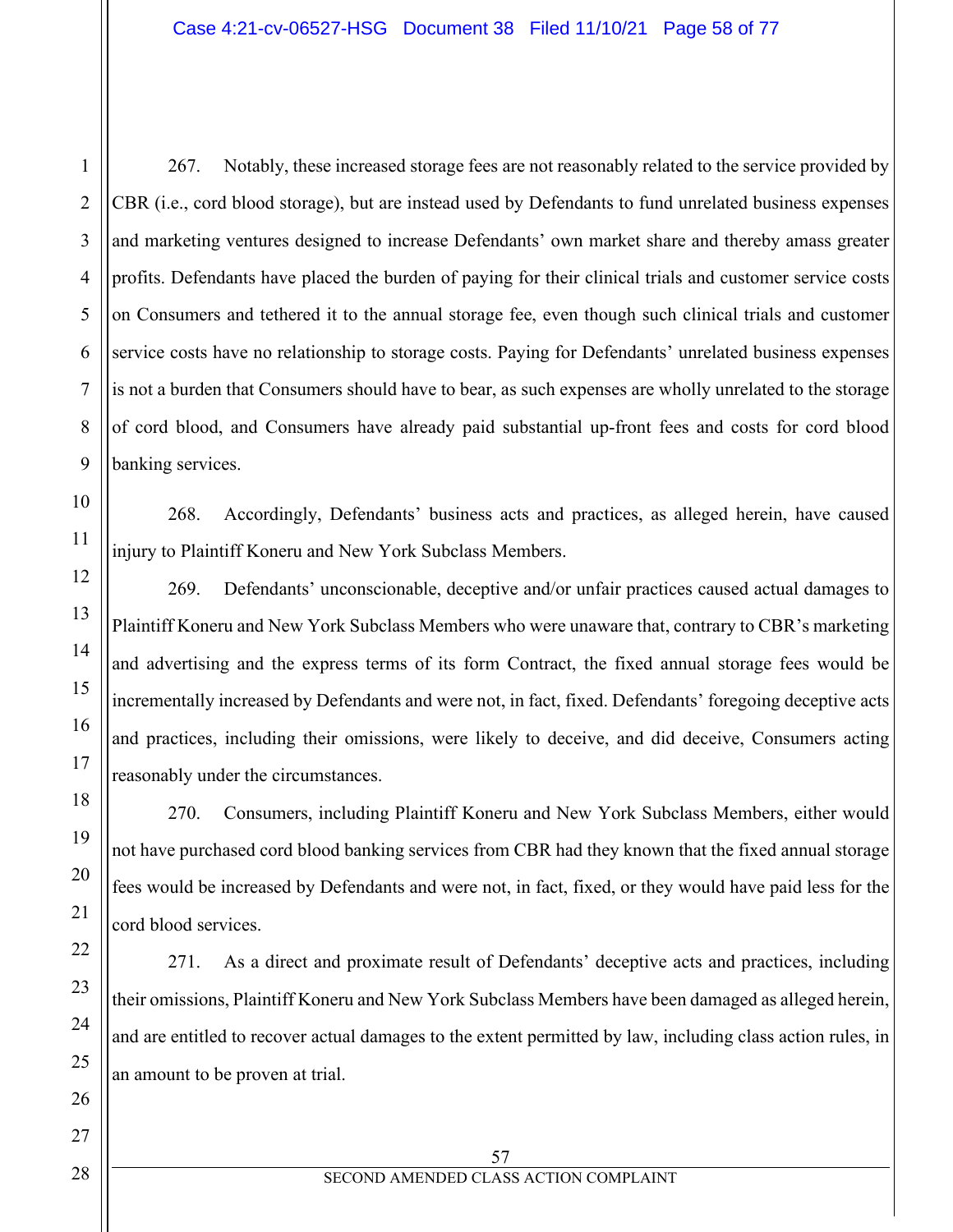267. Notably, these increased storage fees are not reasonably related to the service provided by CBR (i.e., cord blood storage), but are instead used by Defendants to fund unrelated business expenses and marketing ventures designed to increase Defendants' own market share and thereby amass greater profits. Defendants have placed the burden of paying for their clinical trials and customer service costs on Consumers and tethered it to the annual storage fee, even though such clinical trials and customer service costs have no relationship to storage costs. Paying for Defendants' unrelated business expenses is not a burden that Consumers should have to bear, as such expenses are wholly unrelated to the storage of cord blood, and Consumers have already paid substantial up-front fees and costs for cord blood banking services.

268. Accordingly, Defendants' business acts and practices, as alleged herein, have caused injury to Plaintiff Koneru and New York Subclass Members.

269. Defendants' unconscionable, deceptive and/or unfair practices caused actual damages to Plaintiff Koneru and New York Subclass Members who were unaware that, contrary to CBR's marketing and advertising and the express terms of its form Contract, the fixed annual storage fees would be incrementally increased by Defendants and were not, in fact, fixed. Defendants' foregoing deceptive acts and practices, including their omissions, were likely to deceive, and did deceive, Consumers acting reasonably under the circumstances.

270. Consumers, including Plaintiff Koneru and New York Subclass Members, either would not have purchased cord blood banking services from CBR had they known that the fixed annual storage fees would be increased by Defendants and were not, in fact, fixed, or they would have paid less for the cord blood services.

271. As a direct and proximate result of Defendants' deceptive acts and practices, including their omissions, Plaintiff Koneru and New York Subclass Members have been damaged as alleged herein, and are entitled to recover actual damages to the extent permitted by law, including class action rules, in an amount to be proven at trial.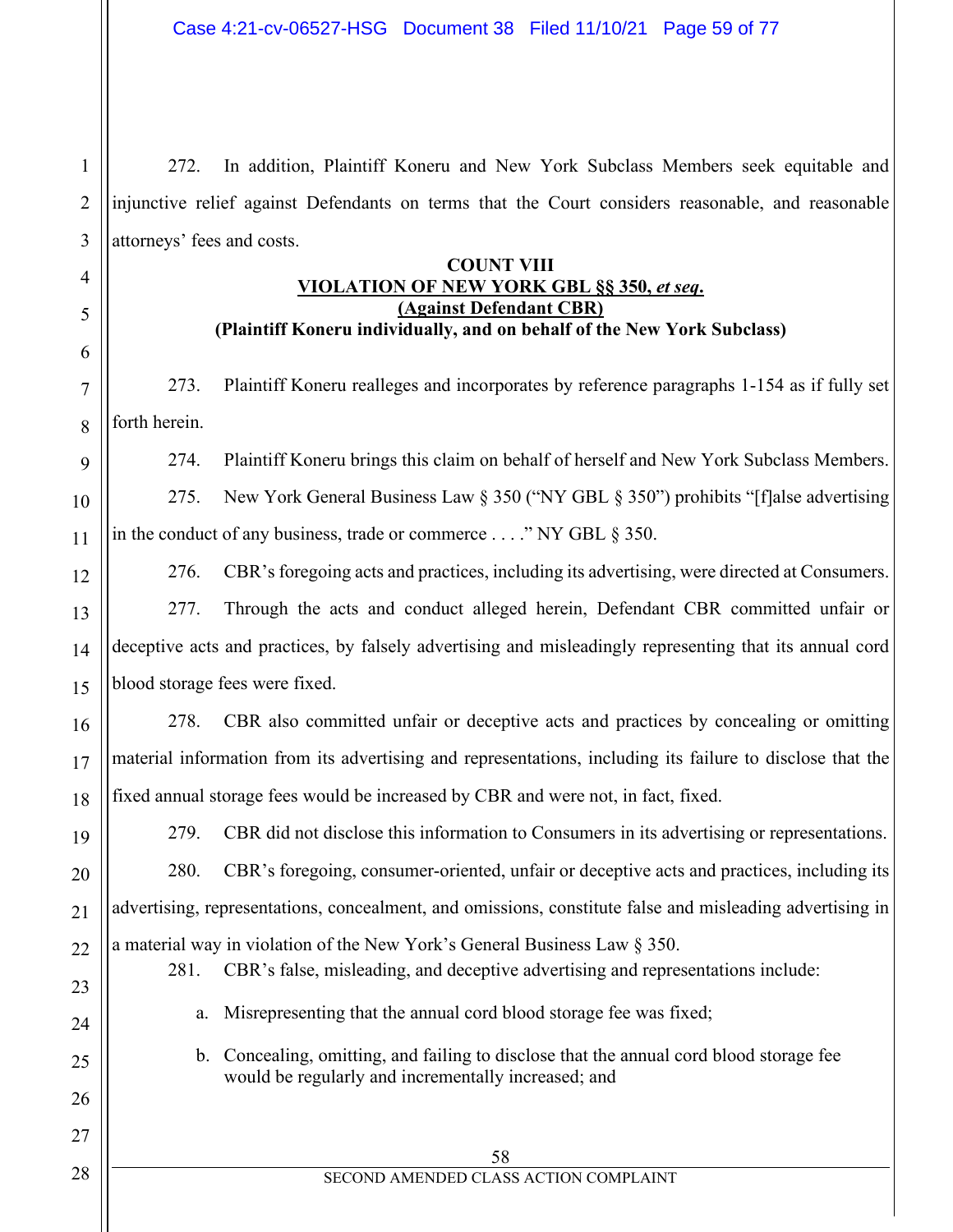272. In addition, Plaintiff Koneru and New York Subclass Members seek equitable and injunctive relief against Defendants on terms that the Court considers reasonable, and reasonable attorneys' fees and costs.

1

2

3

4

5

6

7

8

9

10

11

12

13

14

15

16

17

18

19

20

21

22

23

24

25

26

27

28

## **COUNT VIII VIOLATION OF NEW YORK GBL §§ 350,** *et seq***. (Against Defendant CBR) (Plaintiff Koneru individually, and on behalf of the New York Subclass)**

273. Plaintiff Koneru realleges and incorporates by reference paragraphs 1-154 as if fully set forth herein.

274. Plaintiff Koneru brings this claim on behalf of herself and New York Subclass Members. 275. New York General Business Law § 350 ("NY GBL § 350") prohibits "[f]alse advertising in the conduct of any business, trade or commerce . . . ." NY GBL § 350.

276. CBR's foregoing acts and practices, including its advertising, were directed at Consumers. 277. Through the acts and conduct alleged herein, Defendant CBR committed unfair or deceptive acts and practices, by falsely advertising and misleadingly representing that its annual cord blood storage fees were fixed.

278. CBR also committed unfair or deceptive acts and practices by concealing or omitting material information from its advertising and representations, including its failure to disclose that the fixed annual storage fees would be increased by CBR and were not, in fact, fixed.

279. CBR did not disclose this information to Consumers in its advertising or representations. 280. CBR's foregoing, consumer-oriented, unfair or deceptive acts and practices, including its advertising, representations, concealment, and omissions, constitute false and misleading advertising in a material way in violation of the New York's General Business Law § 350.

## 281. CBR's false, misleading, and deceptive advertising and representations include:

- a. Misrepresenting that the annual cord blood storage fee was fixed;
- b. Concealing, omitting, and failing to disclose that the annual cord blood storage fee would be regularly and incrementally increased; and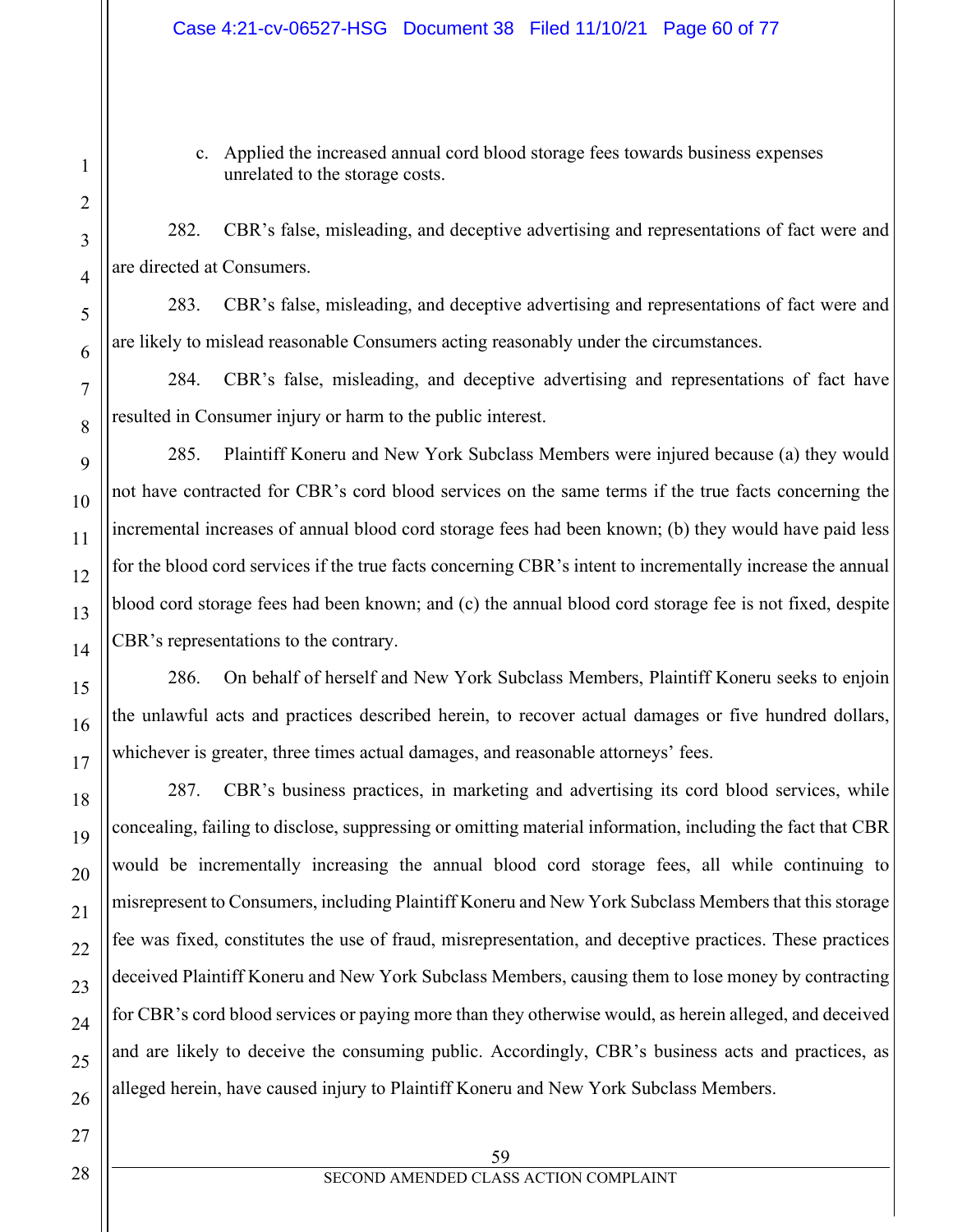c. Applied the increased annual cord blood storage fees towards business expenses unrelated to the storage costs.

282. CBR's false, misleading, and deceptive advertising and representations of fact were and are directed at Consumers.

283. CBR's false, misleading, and deceptive advertising and representations of fact were and are likely to mislead reasonable Consumers acting reasonably under the circumstances.

284. CBR's false, misleading, and deceptive advertising and representations of fact have resulted in Consumer injury or harm to the public interest.

285. Plaintiff Koneru and New York Subclass Members were injured because (a) they would not have contracted for CBR's cord blood services on the same terms if the true facts concerning the incremental increases of annual blood cord storage fees had been known; (b) they would have paid less for the blood cord services if the true facts concerning CBR's intent to incrementally increase the annual blood cord storage fees had been known; and (c) the annual blood cord storage fee is not fixed, despite CBR's representations to the contrary.

286. On behalf of herself and New York Subclass Members, Plaintiff Koneru seeks to enjoin the unlawful acts and practices described herein, to recover actual damages or five hundred dollars, whichever is greater, three times actual damages, and reasonable attorneys' fees.

287. CBR's business practices, in marketing and advertising its cord blood services, while concealing, failing to disclose, suppressing or omitting material information, including the fact that CBR would be incrementally increasing the annual blood cord storage fees, all while continuing to misrepresent to Consumers, including Plaintiff Koneru and New York Subclass Members that this storage fee was fixed, constitutes the use of fraud, misrepresentation, and deceptive practices. These practices deceived Plaintiff Koneru and New York Subclass Members, causing them to lose money by contracting for CBR's cord blood services or paying more than they otherwise would, as herein alleged, and deceived and are likely to deceive the consuming public. Accordingly, CBR's business acts and practices, as alleged herein, have caused injury to Plaintiff Koneru and New York Subclass Members.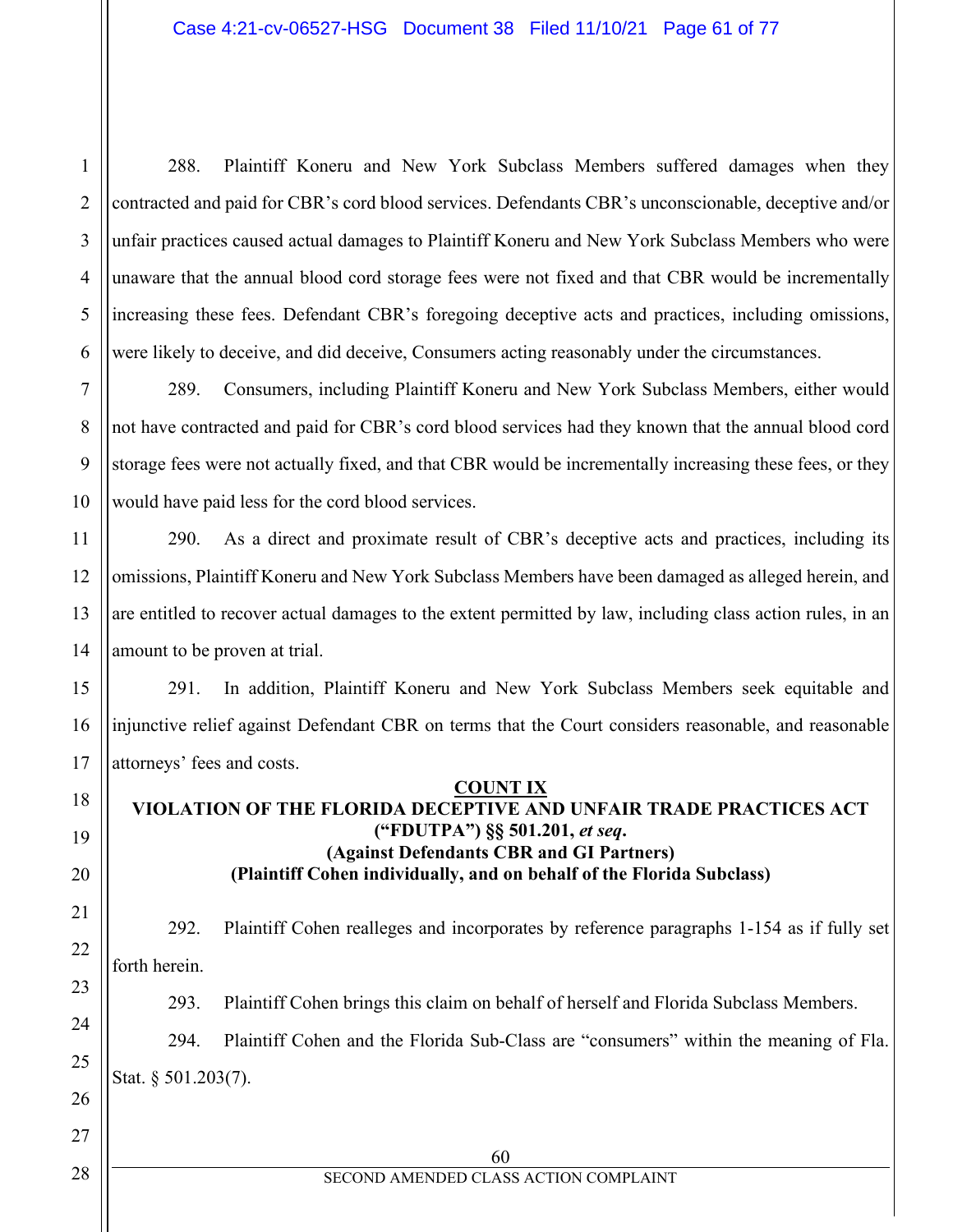2 3 4 5 288. Plaintiff Koneru and New York Subclass Members suffered damages when they contracted and paid for CBR's cord blood services. Defendants CBR's unconscionable, deceptive and/or unfair practices caused actual damages to Plaintiff Koneru and New York Subclass Members who were unaware that the annual blood cord storage fees were not fixed and that CBR would be incrementally increasing these fees. Defendant CBR's foregoing deceptive acts and practices, including omissions, were likely to deceive, and did deceive, Consumers acting reasonably under the circumstances.

289. Consumers, including Plaintiff Koneru and New York Subclass Members, either would not have contracted and paid for CBR's cord blood services had they known that the annual blood cord storage fees were not actually fixed, and that CBR would be incrementally increasing these fees, or they would have paid less for the cord blood services.

290. As a direct and proximate result of CBR's deceptive acts and practices, including its omissions, Plaintiff Koneru and New York Subclass Members have been damaged as alleged herein, and are entitled to recover actual damages to the extent permitted by law, including class action rules, in an amount to be proven at trial.

291. In addition, Plaintiff Koneru and New York Subclass Members seek equitable and injunctive relief against Defendant CBR on terms that the Court considers reasonable, and reasonable attorneys' fees and costs.

#### **COUNT IX**

## **VIOLATION OF THE FLORIDA DECEPTIVE AND UNFAIR TRADE PRACTICES ACT ("FDUTPA") §§ 501.201,** *et seq***. (Against Defendants CBR and GI Partners) (Plaintiff Cohen individually, and on behalf of the Florida Subclass)**

292. Plaintiff Cohen realleges and incorporates by reference paragraphs 1-154 as if fully set forth herein.

293. Plaintiff Cohen brings this claim on behalf of herself and Florida Subclass Members.

294. Plaintiff Cohen and the Florida Sub-Class are "consumers" within the meaning of Fla. Stat. § 501.203(7).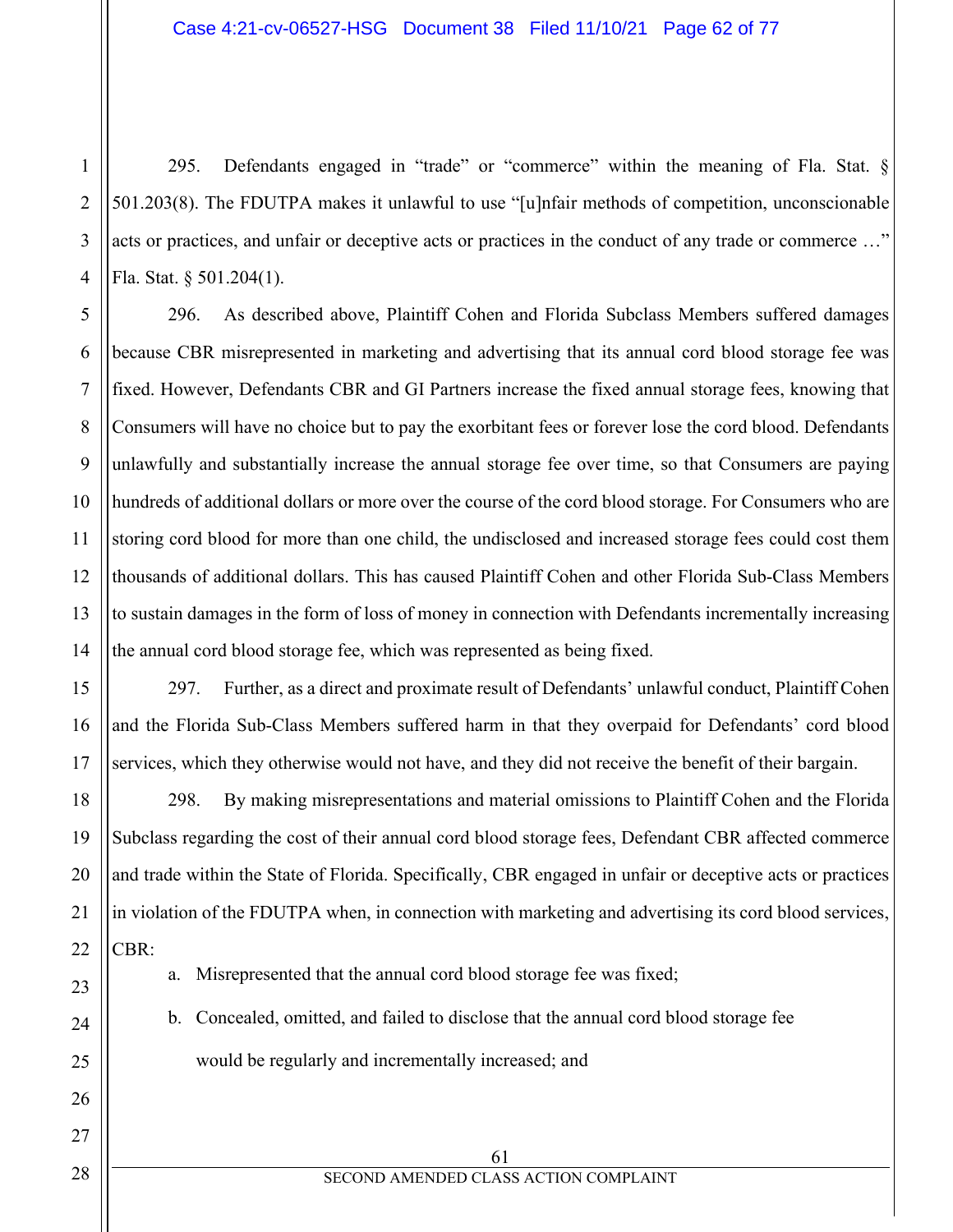295. Defendants engaged in "trade" or "commerce" within the meaning of Fla. Stat. § 501.203(8). The FDUTPA makes it unlawful to use "[u]nfair methods of competition, unconscionable acts or practices, and unfair or deceptive acts or practices in the conduct of any trade or commerce …" Fla. Stat. § 501.204(1).

296. As described above, Plaintiff Cohen and Florida Subclass Members suffered damages because CBR misrepresented in marketing and advertising that its annual cord blood storage fee was fixed. However, Defendants CBR and GI Partners increase the fixed annual storage fees, knowing that Consumers will have no choice but to pay the exorbitant fees or forever lose the cord blood. Defendants unlawfully and substantially increase the annual storage fee over time, so that Consumers are paying hundreds of additional dollars or more over the course of the cord blood storage. For Consumers who are storing cord blood for more than one child, the undisclosed and increased storage fees could cost them thousands of additional dollars. This has caused Plaintiff Cohen and other Florida Sub-Class Members to sustain damages in the form of loss of money in connection with Defendants incrementally increasing the annual cord blood storage fee, which was represented as being fixed.

297. Further, as a direct and proximate result of Defendants' unlawful conduct, Plaintiff Cohen and the Florida Sub-Class Members suffered harm in that they overpaid for Defendants' cord blood services, which they otherwise would not have, and they did not receive the benefit of their bargain.

298. By making misrepresentations and material omissions to Plaintiff Cohen and the Florida Subclass regarding the cost of their annual cord blood storage fees, Defendant CBR affected commerce and trade within the State of Florida. Specifically, CBR engaged in unfair or deceptive acts or practices in violation of the FDUTPA when, in connection with marketing and advertising its cord blood services, CBR:

a. Misrepresented that the annual cord blood storage fee was fixed;

b. Concealed, omitted, and failed to disclose that the annual cord blood storage fee would be regularly and incrementally increased; and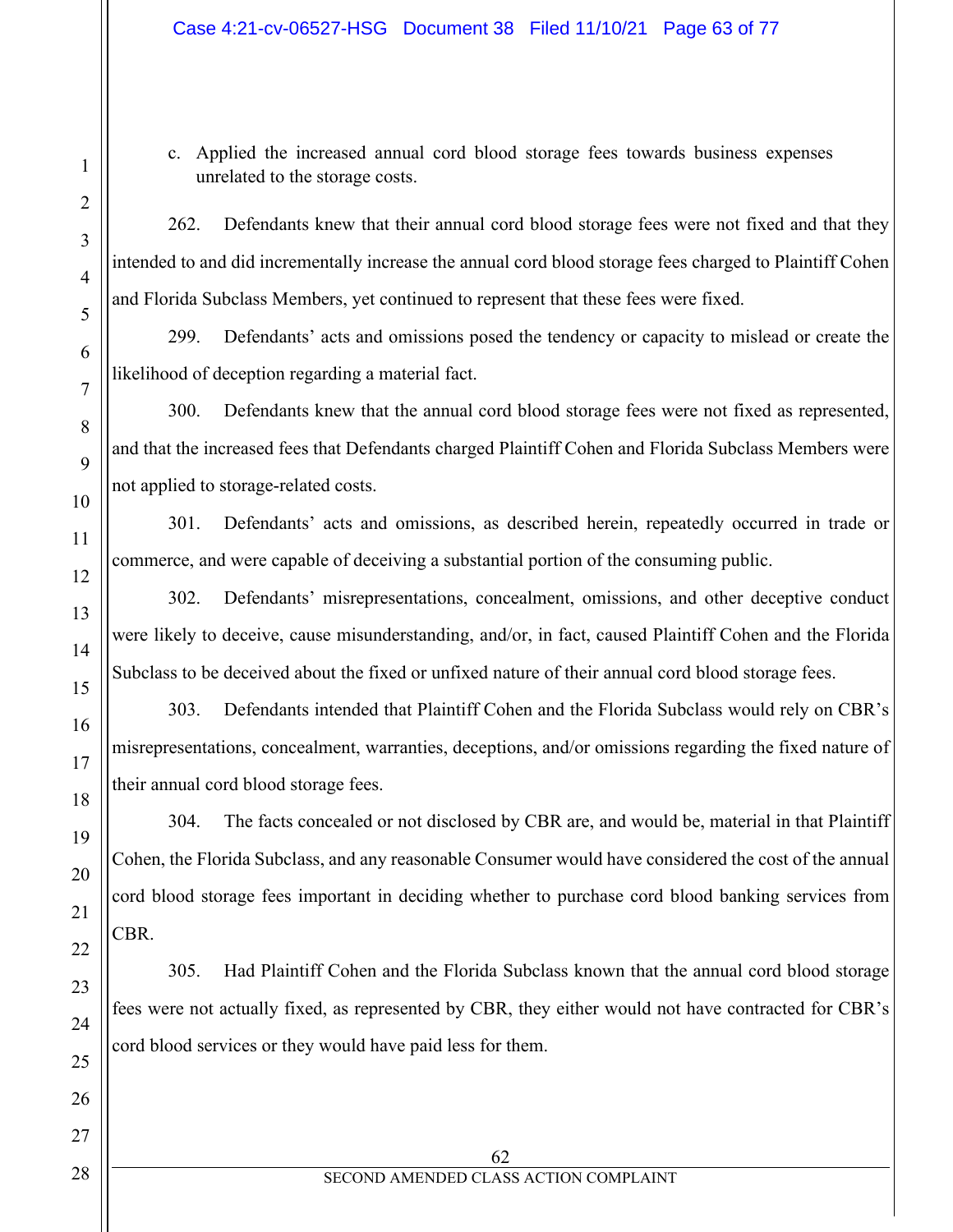c. Applied the increased annual cord blood storage fees towards business expenses unrelated to the storage costs.

262. Defendants knew that their annual cord blood storage fees were not fixed and that they intended to and did incrementally increase the annual cord blood storage fees charged to Plaintiff Cohen and Florida Subclass Members, yet continued to represent that these fees were fixed.

299. Defendants' acts and omissions posed the tendency or capacity to mislead or create the likelihood of deception regarding a material fact.

300. Defendants knew that the annual cord blood storage fees were not fixed as represented, and that the increased fees that Defendants charged Plaintiff Cohen and Florida Subclass Members were not applied to storage-related costs.

301. Defendants' acts and omissions, as described herein, repeatedly occurred in trade or commerce, and were capable of deceiving a substantial portion of the consuming public.

302. Defendants' misrepresentations, concealment, omissions, and other deceptive conduct were likely to deceive, cause misunderstanding, and/or, in fact, caused Plaintiff Cohen and the Florida Subclass to be deceived about the fixed or unfixed nature of their annual cord blood storage fees.

303. Defendants intended that Plaintiff Cohen and the Florida Subclass would rely on CBR's misrepresentations, concealment, warranties, deceptions, and/or omissions regarding the fixed nature of their annual cord blood storage fees.

304. The facts concealed or not disclosed by CBR are, and would be, material in that Plaintiff Cohen, the Florida Subclass, and any reasonable Consumer would have considered the cost of the annual cord blood storage fees important in deciding whether to purchase cord blood banking services from CBR.

305. Had Plaintiff Cohen and the Florida Subclass known that the annual cord blood storage fees were not actually fixed, as represented by CBR, they either would not have contracted for CBR's cord blood services or they would have paid less for them.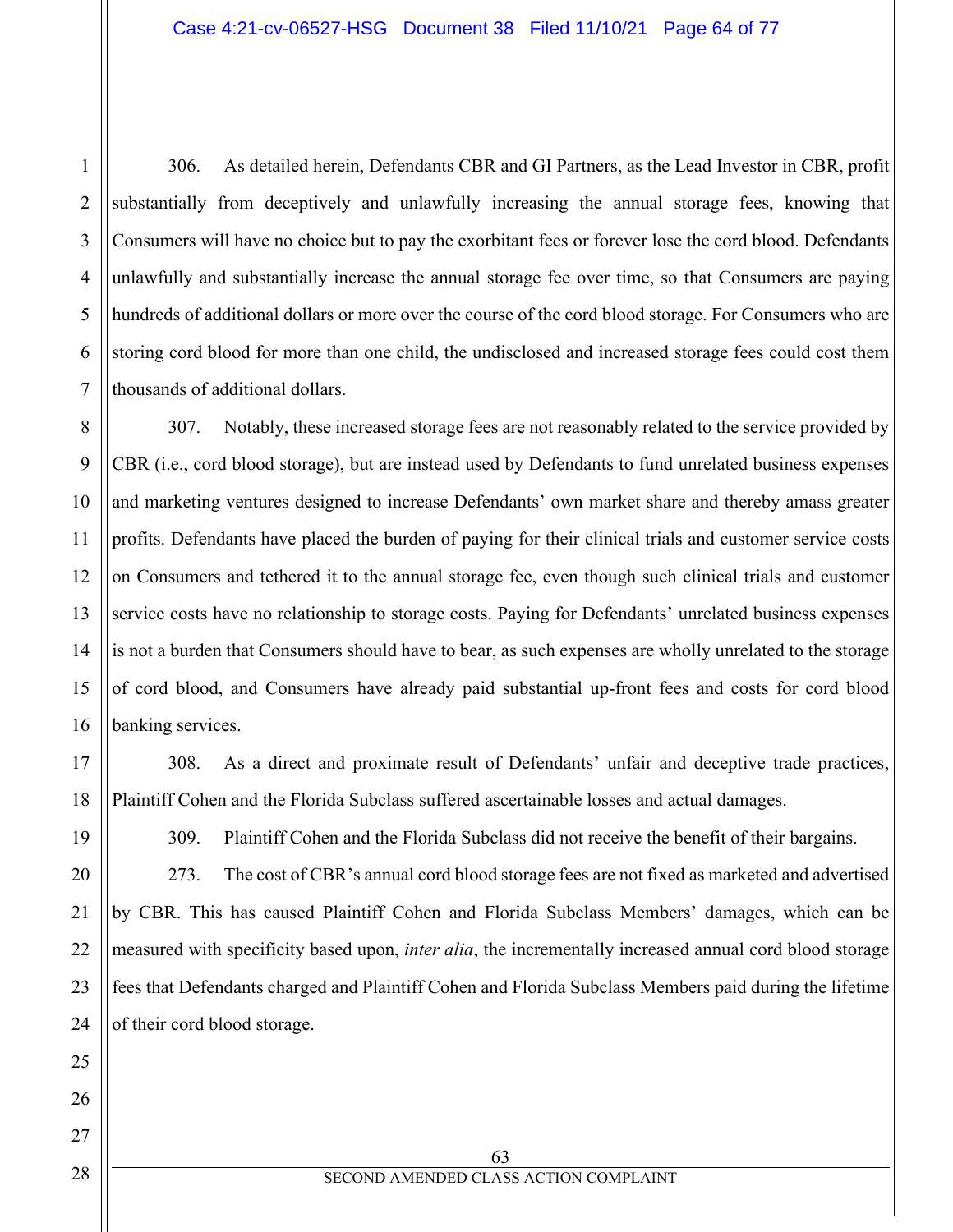306. As detailed herein, Defendants CBR and GI Partners, as the Lead Investor in CBR, profit substantially from deceptively and unlawfully increasing the annual storage fees, knowing that Consumers will have no choice but to pay the exorbitant fees or forever lose the cord blood. Defendants unlawfully and substantially increase the annual storage fee over time, so that Consumers are paying hundreds of additional dollars or more over the course of the cord blood storage. For Consumers who are storing cord blood for more than one child, the undisclosed and increased storage fees could cost them thousands of additional dollars.

307. Notably, these increased storage fees are not reasonably related to the service provided by CBR (i.e., cord blood storage), but are instead used by Defendants to fund unrelated business expenses and marketing ventures designed to increase Defendants' own market share and thereby amass greater profits. Defendants have placed the burden of paying for their clinical trials and customer service costs on Consumers and tethered it to the annual storage fee, even though such clinical trials and customer service costs have no relationship to storage costs. Paying for Defendants' unrelated business expenses is not a burden that Consumers should have to bear, as such expenses are wholly unrelated to the storage of cord blood, and Consumers have already paid substantial up-front fees and costs for cord blood banking services.

308. As a direct and proximate result of Defendants' unfair and deceptive trade practices, Plaintiff Cohen and the Florida Subclass suffered ascertainable losses and actual damages.

309. Plaintiff Cohen and the Florida Subclass did not receive the benefit of their bargains.

273. The cost of CBR's annual cord blood storage fees are not fixed as marketed and advertised by CBR. This has caused Plaintiff Cohen and Florida Subclass Members' damages, which can be measured with specificity based upon, *inter alia*, the incrementally increased annual cord blood storage fees that Defendants charged and Plaintiff Cohen and Florida Subclass Members paid during the lifetime of their cord blood storage.

1

2

3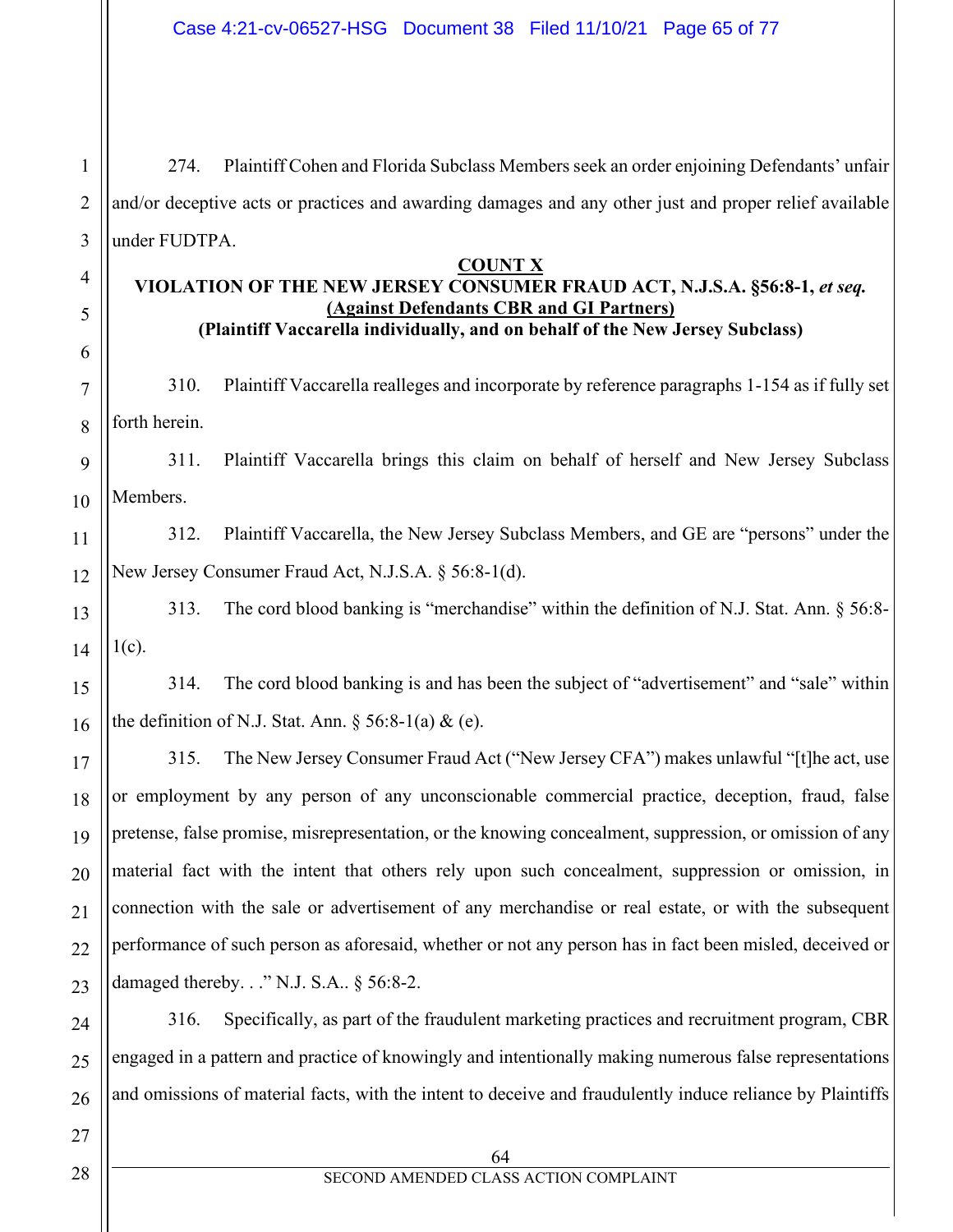274. Plaintiff Cohen and Florida Subclass Members seek an order enjoining Defendants' unfair and/or deceptive acts or practices and awarding damages and any other just and proper relief available under FUDTPA.

## **COUNT X**

### **VIOLATION OF THE NEW JERSEY CONSUMER FRAUD ACT, N.J.S.A. §56:8-1,** *et seq.* **(Against Defendants CBR and GI Partners) (Plaintiff Vaccarella individually, and on behalf of the New Jersey Subclass)**

310. Plaintiff Vaccarella realleges and incorporate by reference paragraphs 1-154 as if fully set forth herein.

9 10 311. Plaintiff Vaccarella brings this claim on behalf of herself and New Jersey Subclass Members.

11 12 312. Plaintiff Vaccarella, the New Jersey Subclass Members, and GE are "persons" under the New Jersey Consumer Fraud Act, N.J.S.A. § 56:8-1(d).

13 14 313. The cord blood banking is "merchandise" within the definition of N.J. Stat. Ann. § 56:8-  $1(c)$ .

314. The cord blood banking is and has been the subject of "advertisement" and "sale" within the definition of N.J. Stat. Ann.  $\S$  56:8-1(a) & (e).

315. The New Jersey Consumer Fraud Act ("New Jersey CFA") makes unlawful "[t]he act, use or employment by any person of any unconscionable commercial practice, deception, fraud, false pretense, false promise, misrepresentation, or the knowing concealment, suppression, or omission of any material fact with the intent that others rely upon such concealment, suppression or omission, in connection with the sale or advertisement of any merchandise or real estate, or with the subsequent performance of such person as aforesaid, whether or not any person has in fact been misled, deceived or damaged thereby. . ." N.J. S.A.. § 56:8-2.

24 26 316. Specifically, as part of the fraudulent marketing practices and recruitment program, CBR engaged in a pattern and practice of knowingly and intentionally making numerous false representations and omissions of material facts, with the intent to deceive and fraudulently induce reliance by Plaintiffs

28

27

1

2

3

4

5

6

7

8

15

16

17

18

19

20

21

22

23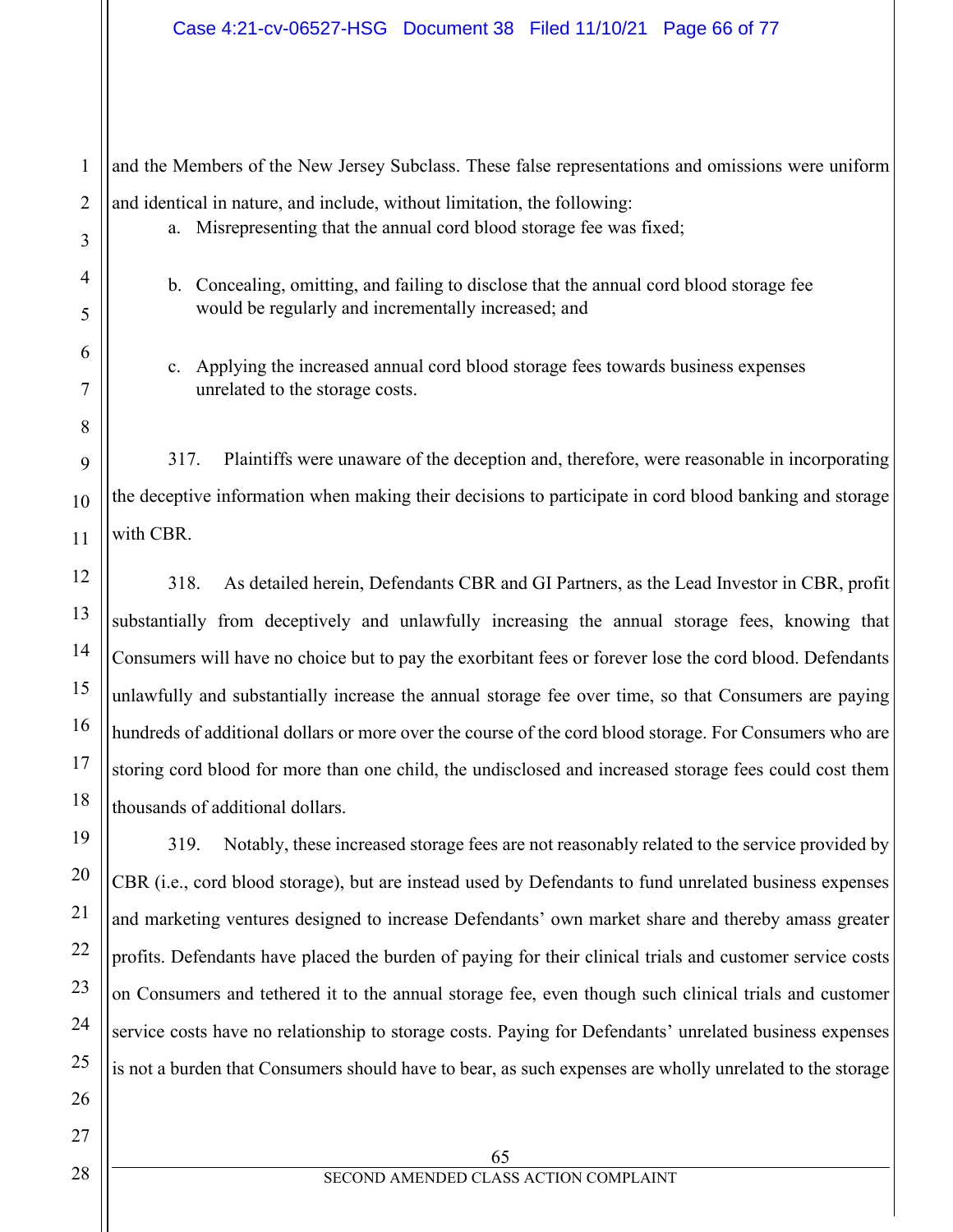and the Members of the New Jersey Subclass. These false representations and omissions were uniform and identical in nature, and include, without limitation, the following: a. Misrepresenting that the annual cord blood storage fee was fixed;

- b. Concealing, omitting, and failing to disclose that the annual cord blood storage fee would be regularly and incrementally increased; and
- c. Applying the increased annual cord blood storage fees towards business expenses unrelated to the storage costs.

317. Plaintiffs were unaware of the deception and, therefore, were reasonable in incorporating the deceptive information when making their decisions to participate in cord blood banking and storage with CBR.

318. As detailed herein, Defendants CBR and GI Partners, as the Lead Investor in CBR, profit substantially from deceptively and unlawfully increasing the annual storage fees, knowing that Consumers will have no choice but to pay the exorbitant fees or forever lose the cord blood. Defendants unlawfully and substantially increase the annual storage fee over time, so that Consumers are paying hundreds of additional dollars or more over the course of the cord blood storage. For Consumers who are storing cord blood for more than one child, the undisclosed and increased storage fees could cost them thousands of additional dollars.

319. Notably, these increased storage fees are not reasonably related to the service provided by CBR (i.e., cord blood storage), but are instead used by Defendants to fund unrelated business expenses and marketing ventures designed to increase Defendants' own market share and thereby amass greater profits. Defendants have placed the burden of paying for their clinical trials and customer service costs on Consumers and tethered it to the annual storage fee, even though such clinical trials and customer service costs have no relationship to storage costs. Paying for Defendants' unrelated business expenses is not a burden that Consumers should have to bear, as such expenses are wholly unrelated to the storage

1

2

3

4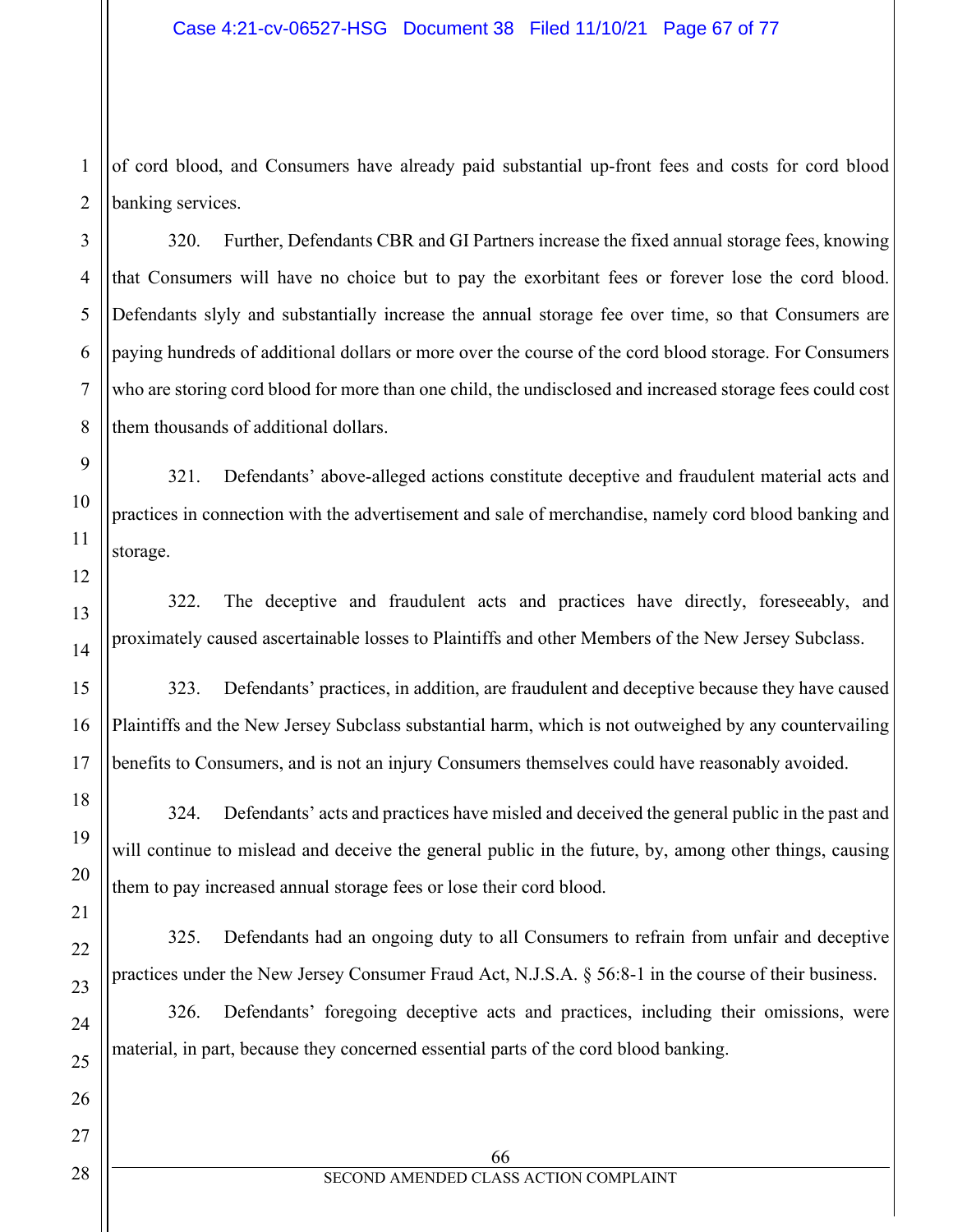1 2 of cord blood, and Consumers have already paid substantial up-front fees and costs for cord blood banking services.

320. Further, Defendants CBR and GI Partners increase the fixed annual storage fees, knowing that Consumers will have no choice but to pay the exorbitant fees or forever lose the cord blood. Defendants slyly and substantially increase the annual storage fee over time, so that Consumers are paying hundreds of additional dollars or more over the course of the cord blood storage. For Consumers who are storing cord blood for more than one child, the undisclosed and increased storage fees could cost them thousands of additional dollars.

321. Defendants' above-alleged actions constitute deceptive and fraudulent material acts and practices in connection with the advertisement and sale of merchandise, namely cord blood banking and storage.

322. The deceptive and fraudulent acts and practices have directly, foreseeably, and proximately caused ascertainable losses to Plaintiffs and other Members of the New Jersey Subclass.

323. Defendants' practices, in addition, are fraudulent and deceptive because they have caused Plaintiffs and the New Jersey Subclass substantial harm, which is not outweighed by any countervailing benefits to Consumers, and is not an injury Consumers themselves could have reasonably avoided.

324. Defendants' acts and practices have misled and deceived the general public in the past and will continue to mislead and deceive the general public in the future, by, among other things, causing them to pay increased annual storage fees or lose their cord blood.

325. Defendants had an ongoing duty to all Consumers to refrain from unfair and deceptive practices under the New Jersey Consumer Fraud Act, N.J.S.A. § 56:8-1 in the course of their business.

326. Defendants' foregoing deceptive acts and practices, including their omissions, were material, in part, because they concerned essential parts of the cord blood banking.

3

4

5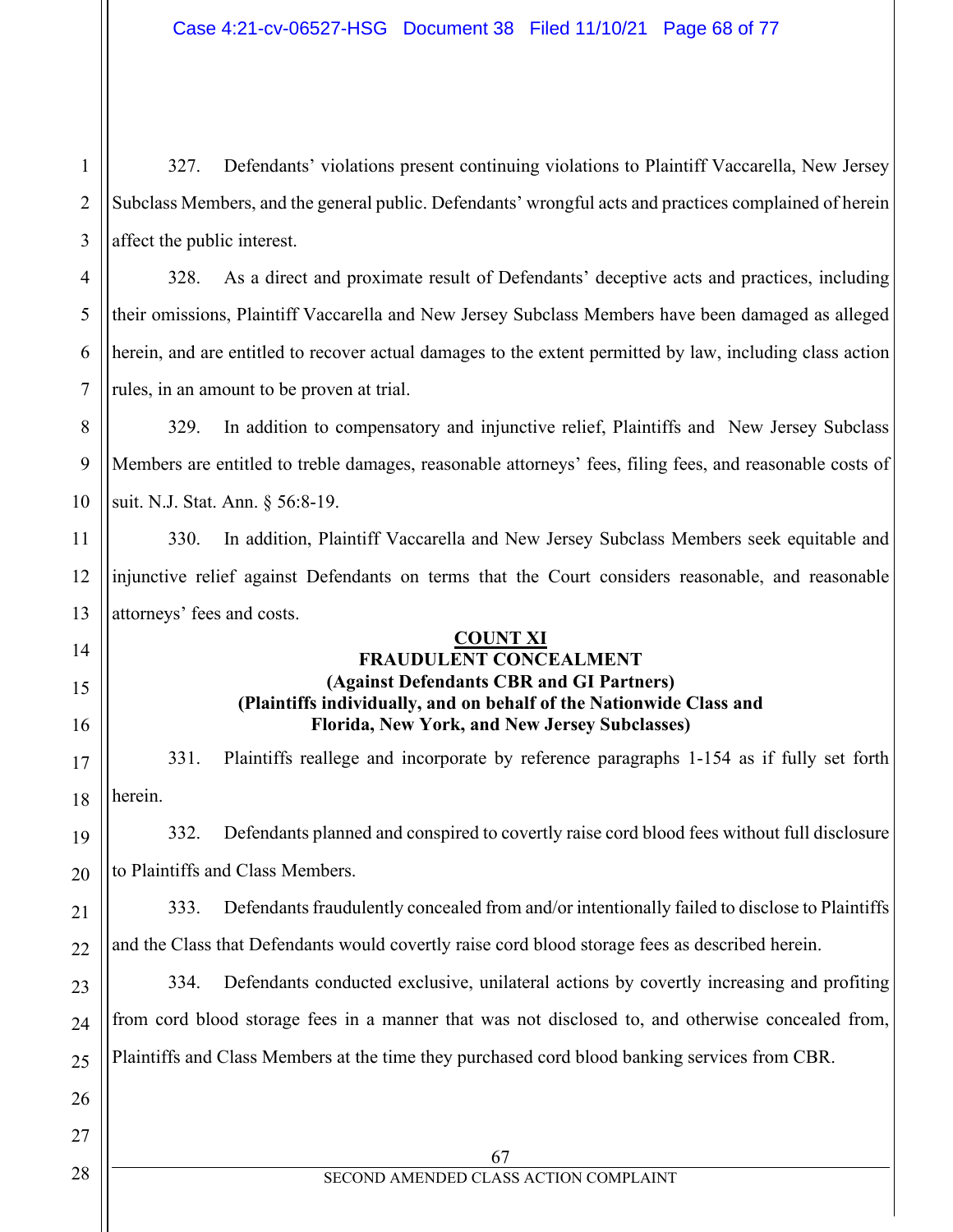2 3 327. Defendants' violations present continuing violations to Plaintiff Vaccarella, New Jersey Subclass Members, and the general public. Defendants' wrongful acts and practices complained of herein affect the public interest.

328. As a direct and proximate result of Defendants' deceptive acts and practices, including their omissions, Plaintiff Vaccarella and New Jersey Subclass Members have been damaged as alleged herein, and are entitled to recover actual damages to the extent permitted by law, including class action rules, in an amount to be proven at trial.

8 9 10 329. In addition to compensatory and injunctive relief, Plaintiffs and New Jersey Subclass Members are entitled to treble damages, reasonable attorneys' fees, filing fees, and reasonable costs of suit. N.J. Stat. Ann. § 56:8-19.

11 12 13 330. In addition, Plaintiff Vaccarella and New Jersey Subclass Members seek equitable and injunctive relief against Defendants on terms that the Court considers reasonable, and reasonable attorneys' fees and costs.

### **COUNT XI FRAUDULENT CONCEALMENT (Against Defendants CBR and GI Partners) (Plaintiffs individually, and on behalf of the Nationwide Class and Florida, New York, and New Jersey Subclasses)**

331. Plaintiffs reallege and incorporate by reference paragraphs 1-154 as if fully set forth herein.

332. Defendants planned and conspired to covertly raise cord blood fees without full disclosure to Plaintiffs and Class Members.

21 22 333. Defendants fraudulently concealed from and/or intentionally failed to disclose to Plaintiffs and the Class that Defendants would covertly raise cord blood storage fees as described herein.

23 24 25 334. Defendants conducted exclusive, unilateral actions by covertly increasing and profiting from cord blood storage fees in a manner that was not disclosed to, and otherwise concealed from, Plaintiffs and Class Members at the time they purchased cord blood banking services from CBR.

26

27

1

4

5

6

7

14

15

16

17

18

19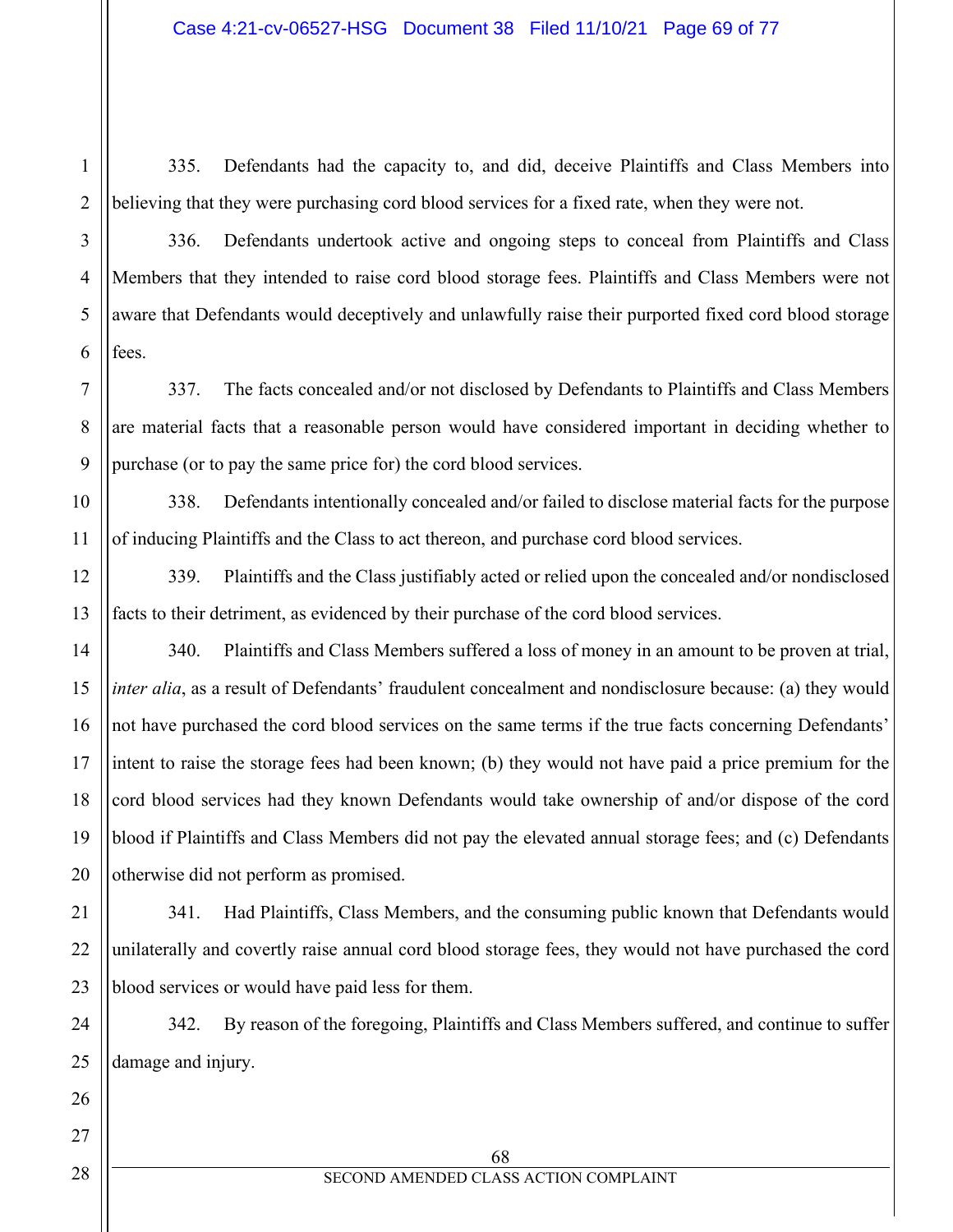335. Defendants had the capacity to, and did, deceive Plaintiffs and Class Members into believing that they were purchasing cord blood services for a fixed rate, when they were not.

336. Defendants undertook active and ongoing steps to conceal from Plaintiffs and Class Members that they intended to raise cord blood storage fees. Plaintiffs and Class Members were not aware that Defendants would deceptively and unlawfully raise their purported fixed cord blood storage fees.

337. The facts concealed and/or not disclosed by Defendants to Plaintiffs and Class Members are material facts that a reasonable person would have considered important in deciding whether to purchase (or to pay the same price for) the cord blood services.

338. Defendants intentionally concealed and/or failed to disclose material facts for the purpose of inducing Plaintiffs and the Class to act thereon, and purchase cord blood services.

339. Plaintiffs and the Class justifiably acted or relied upon the concealed and/or nondisclosed facts to their detriment, as evidenced by their purchase of the cord blood services.

340. Plaintiffs and Class Members suffered a loss of money in an amount to be proven at trial, *inter alia*, as a result of Defendants' fraudulent concealment and nondisclosure because: (a) they would not have purchased the cord blood services on the same terms if the true facts concerning Defendants' intent to raise the storage fees had been known; (b) they would not have paid a price premium for the cord blood services had they known Defendants would take ownership of and/or dispose of the cord blood if Plaintiffs and Class Members did not pay the elevated annual storage fees; and (c) Defendants otherwise did not perform as promised.

341. Had Plaintiffs, Class Members, and the consuming public known that Defendants would unilaterally and covertly raise annual cord blood storage fees, they would not have purchased the cord blood services or would have paid less for them.

342. By reason of the foregoing, Plaintiffs and Class Members suffered, and continue to suffer damage and injury.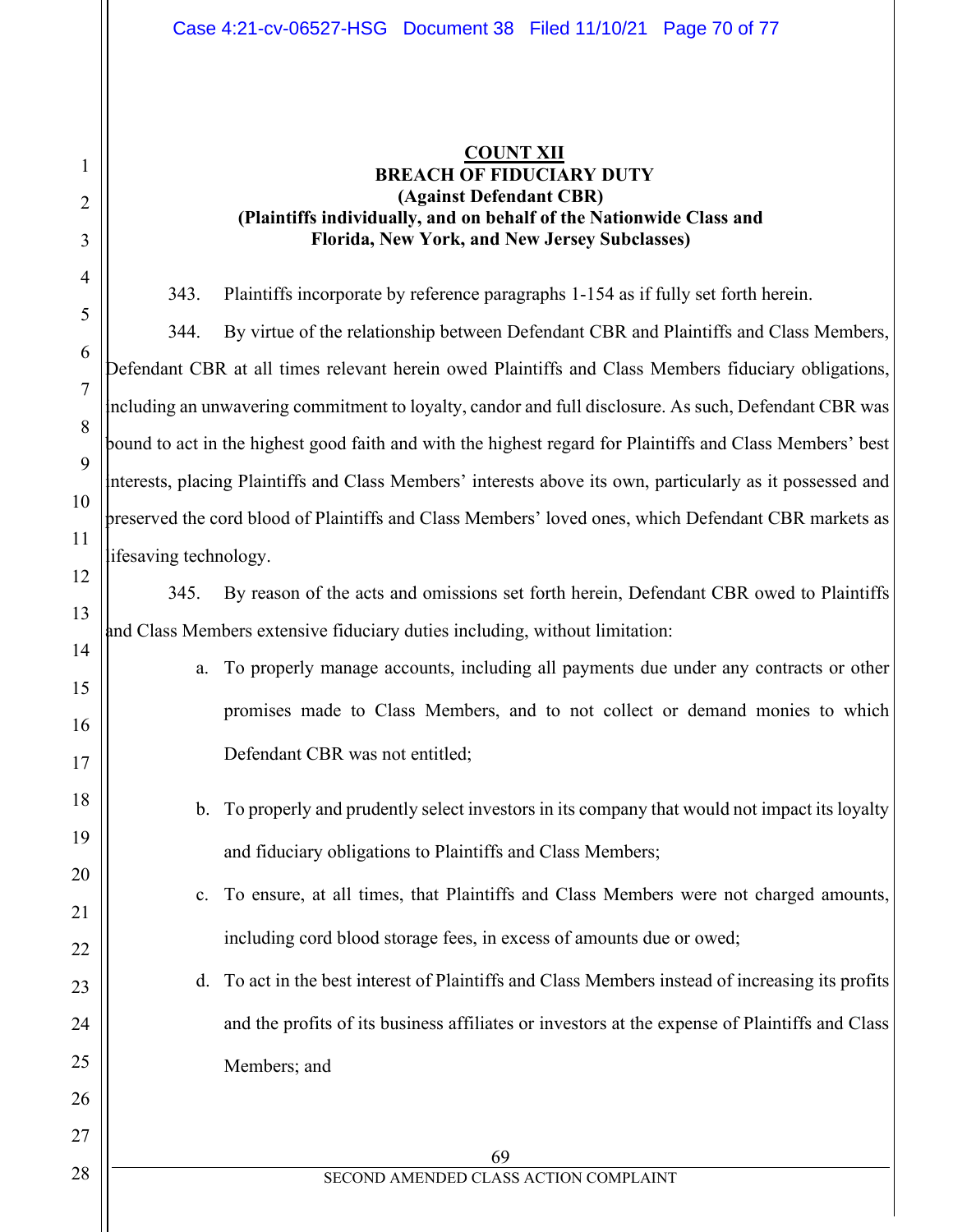## **COUNT XII BREACH OF FIDUCIARY DUTY (Against Defendant CBR) (Plaintiffs individually, and on behalf of the Nationwide Class and Florida, New York, and New Jersey Subclasses)**

343. Plaintiffs incorporate by reference paragraphs 1-154 as if fully set forth herein.

344. By virtue of the relationship between Defendant CBR and Plaintiffs and Class Members, Defendant CBR at all times relevant herein owed Plaintiffs and Class Members fiduciary obligations, including an unwavering commitment to loyalty, candor and full disclosure. As such, Defendant CBR was bound to act in the highest good faith and with the highest regard for Plaintiffs and Class Members' best interests, placing Plaintiffs and Class Members' interests above its own, particularly as it possessed and preserved the cord blood of Plaintiffs and Class Members' loved ones, which Defendant CBR markets as lifesaving technology.

345. By reason of the acts and omissions set forth herein, Defendant CBR owed to Plaintiffs and Class Members extensive fiduciary duties including, without limitation:

- a. To properly manage accounts, including all payments due under any contracts or other promises made to Class Members, and to not collect or demand monies to which Defendant CBR was not entitled;
- b. To properly and prudently select investors in its company that would not impact its loyalty and fiduciary obligations to Plaintiffs and Class Members;
- c. To ensure, at all times, that Plaintiffs and Class Members were not charged amounts, including cord blood storage fees, in excess of amounts due or owed;
- d. To act in the best interest of Plaintiffs and Class Members instead of increasing its profits and the profits of its business affiliates or investors at the expense of Plaintiffs and Class Members; and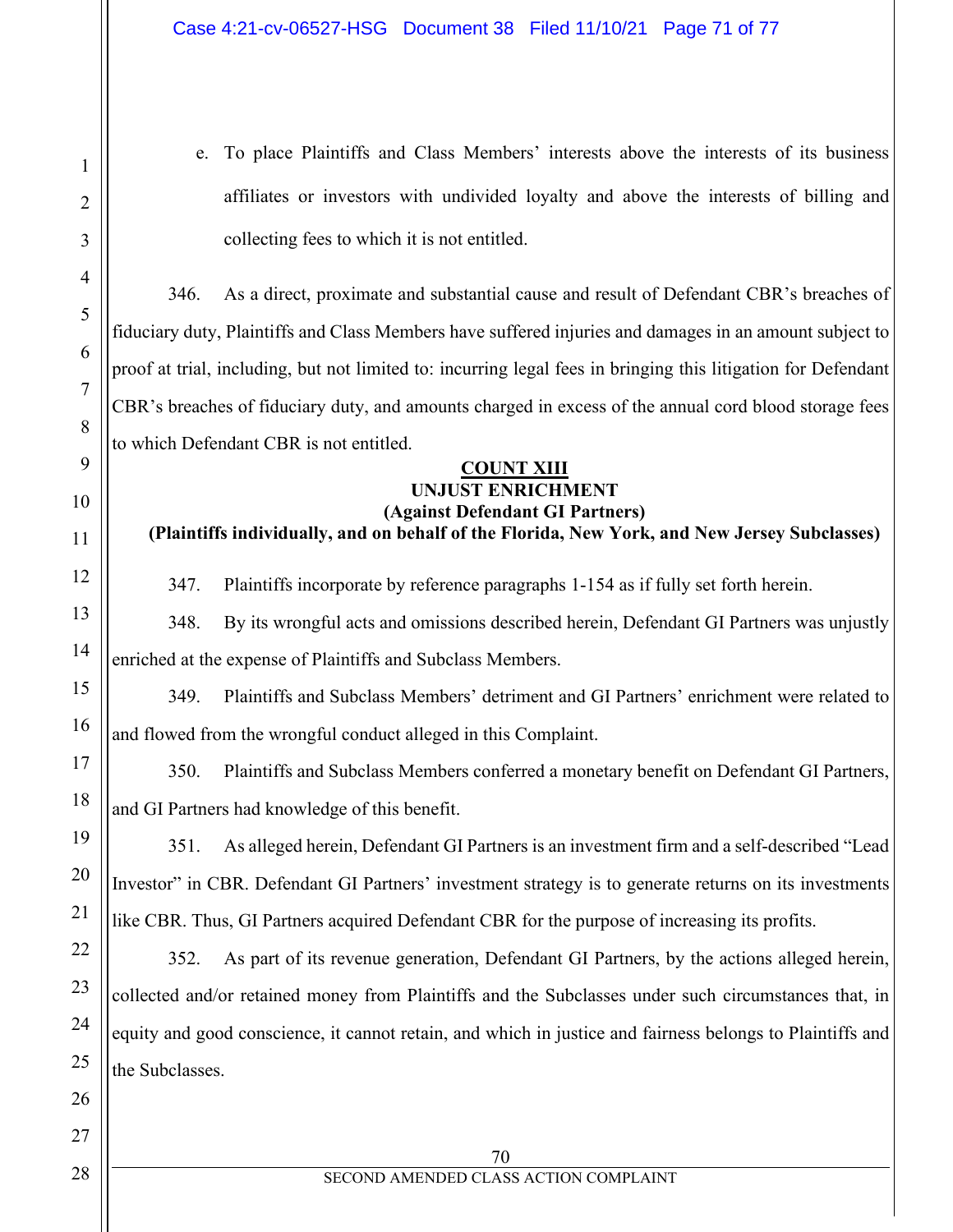e. To place Plaintiffs and Class Members' interests above the interests of its business affiliates or investors with undivided loyalty and above the interests of billing and collecting fees to which it is not entitled.

346. As a direct, proximate and substantial cause and result of Defendant CBR's breaches of fiduciary duty, Plaintiffs and Class Members have suffered injuries and damages in an amount subject to proof at trial, including, but not limited to: incurring legal fees in bringing this litigation for Defendant CBR's breaches of fiduciary duty, and amounts charged in excess of the annual cord blood storage fees to which Defendant CBR is not entitled.

#### **COUNT XIII UNJUST ENRICHMENT (Against Defendant GI Partners)**

**(Plaintiffs individually, and on behalf of the Florida, New York, and New Jersey Subclasses)**

347. Plaintiffs incorporate by reference paragraphs 1-154 as if fully set forth herein.

348. By its wrongful acts and omissions described herein, Defendant GI Partners was unjustly enriched at the expense of Plaintiffs and Subclass Members.

349. Plaintiffs and Subclass Members' detriment and GI Partners' enrichment were related to and flowed from the wrongful conduct alleged in this Complaint.

350. Plaintiffs and Subclass Members conferred a monetary benefit on Defendant GI Partners, and GI Partners had knowledge of this benefit.

351. As alleged herein, Defendant GI Partners is an investment firm and a self-described "Lead Investor" in CBR. Defendant GI Partners' investment strategy is to generate returns on its investments like CBR. Thus, GI Partners acquired Defendant CBR for the purpose of increasing its profits.

352. As part of its revenue generation, Defendant GI Partners, by the actions alleged herein, collected and/or retained money from Plaintiffs and the Subclasses under such circumstances that, in equity and good conscience, it cannot retain, and which in justice and fairness belongs to Plaintiffs and the Subclasses.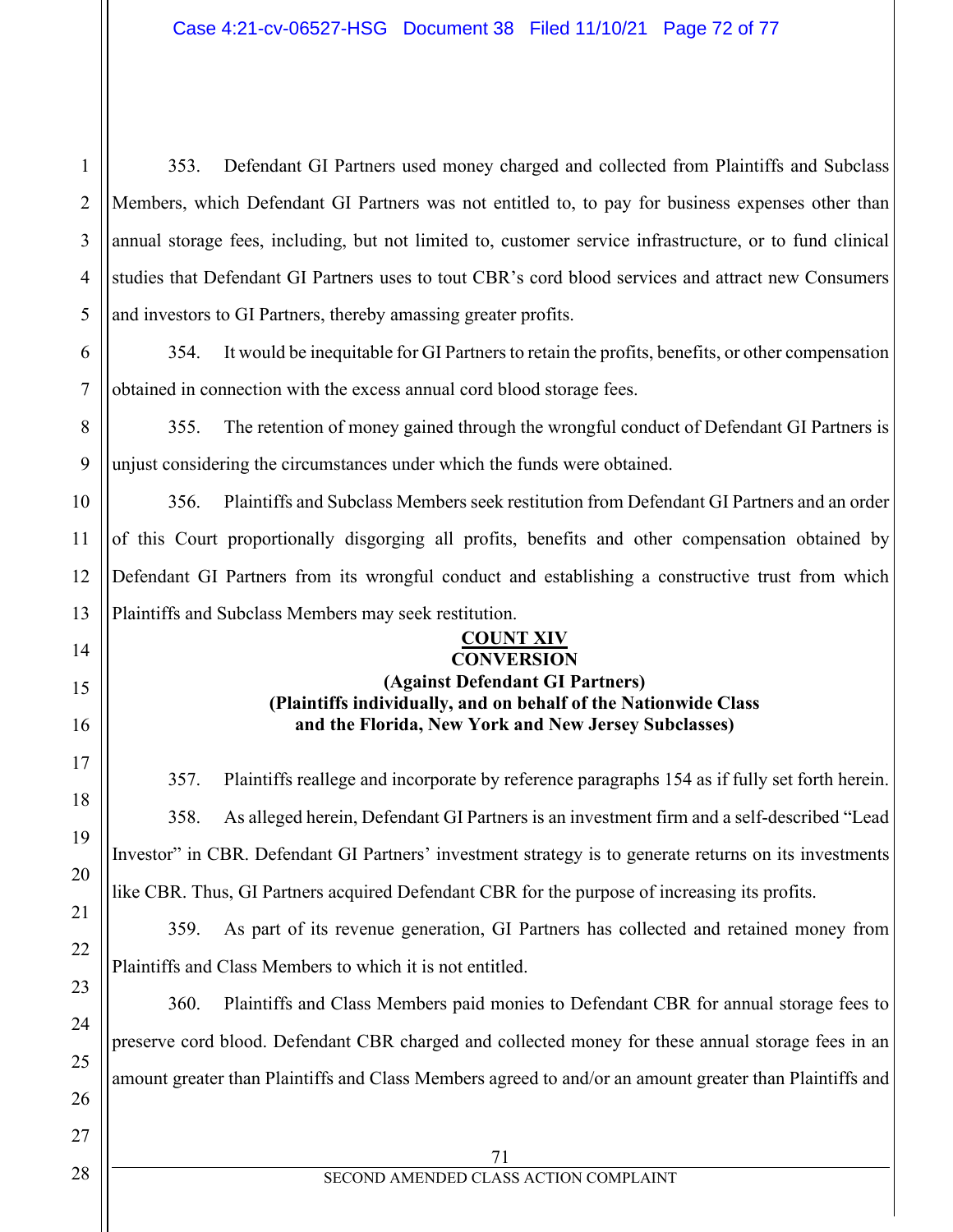1 2 353. Defendant GI Partners used money charged and collected from Plaintiffs and Subclass Members, which Defendant GI Partners was not entitled to, to pay for business expenses other than annual storage fees, including, but not limited to, customer service infrastructure, or to fund clinical studies that Defendant GI Partners uses to tout CBR's cord blood services and attract new Consumers and investors to GI Partners, thereby amassing greater profits.

354. It would be inequitable for GI Partners to retain the profits, benefits, or other compensation obtained in connection with the excess annual cord blood storage fees.

355. The retention of money gained through the wrongful conduct of Defendant GI Partners is unjust considering the circumstances under which the funds were obtained.

356. Plaintiffs and Subclass Members seek restitution from Defendant GI Partners and an order of this Court proportionally disgorging all profits, benefits and other compensation obtained by Defendant GI Partners from its wrongful conduct and establishing a constructive trust from which Plaintiffs and Subclass Members may seek restitution.

## **COUNT XIV CONVERSION (Against Defendant GI Partners)**

**(Plaintiffs individually, and on behalf of the Nationwide Class and the Florida, New York and New Jersey Subclasses)**

357. Plaintiffs reallege and incorporate by reference paragraphs 154 as if fully set forth herein. 358. As alleged herein, Defendant GI Partners is an investment firm and a self-described "Lead Investor" in CBR. Defendant GI Partners' investment strategy is to generate returns on its investments like CBR. Thus, GI Partners acquired Defendant CBR for the purpose of increasing its profits.

359. As part of its revenue generation, GI Partners has collected and retained money from Plaintiffs and Class Members to which it is not entitled.

360. Plaintiffs and Class Members paid monies to Defendant CBR for annual storage fees to preserve cord blood. Defendant CBR charged and collected money for these annual storage fees in an amount greater than Plaintiffs and Class Members agreed to and/or an amount greater than Plaintiffs and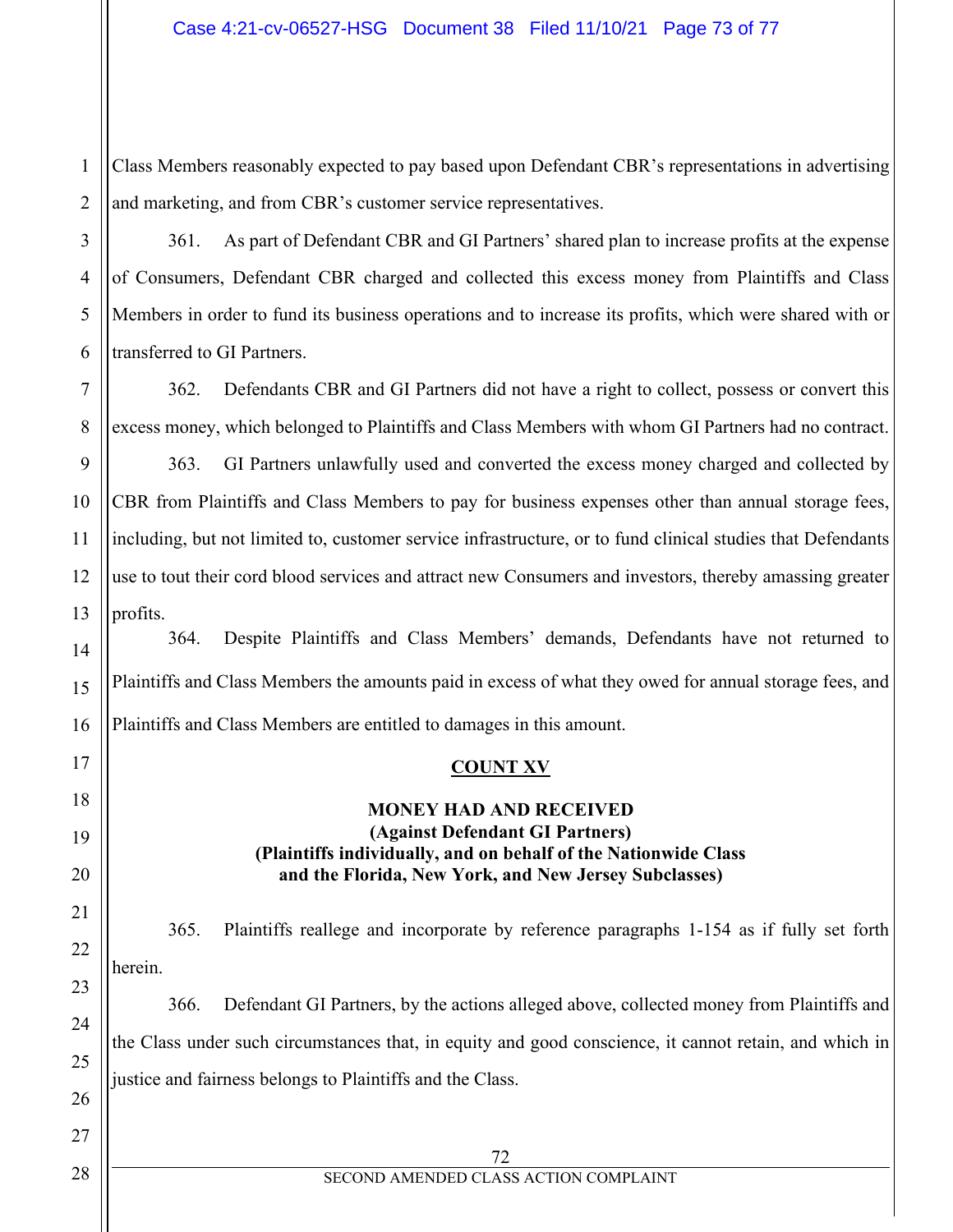1 Class Members reasonably expected to pay based upon Defendant CBR's representations in advertising and marketing, and from CBR's customer service representatives.

361. As part of Defendant CBR and GI Partners' shared plan to increase profits at the expense of Consumers, Defendant CBR charged and collected this excess money from Plaintiffs and Class Members in order to fund its business operations and to increase its profits, which were shared with or transferred to GI Partners.

362. Defendants CBR and GI Partners did not have a right to collect, possess or convert this excess money, which belonged to Plaintiffs and Class Members with whom GI Partners had no contract.

363. GI Partners unlawfully used and converted the excess money charged and collected by CBR from Plaintiffs and Class Members to pay for business expenses other than annual storage fees, including, but not limited to, customer service infrastructure, or to fund clinical studies that Defendants use to tout their cord blood services and attract new Consumers and investors, thereby amassing greater profits.

364. Despite Plaintiffs and Class Members' demands, Defendants have not returned to Plaintiffs and Class Members the amounts paid in excess of what they owed for annual storage fees, and Plaintiffs and Class Members are entitled to damages in this amount.

#### **COUNT XV**

### **MONEY HAD AND RECEIVED (Against Defendant GI Partners) (Plaintiffs individually, and on behalf of the Nationwide Class and the Florida, New York, and New Jersey Subclasses)**

365. Plaintiffs reallege and incorporate by reference paragraphs 1-154 as if fully set forth herein.

366. Defendant GI Partners, by the actions alleged above, collected money from Plaintiffs and the Class under such circumstances that, in equity and good conscience, it cannot retain, and which in justice and fairness belongs to Plaintiffs and the Class.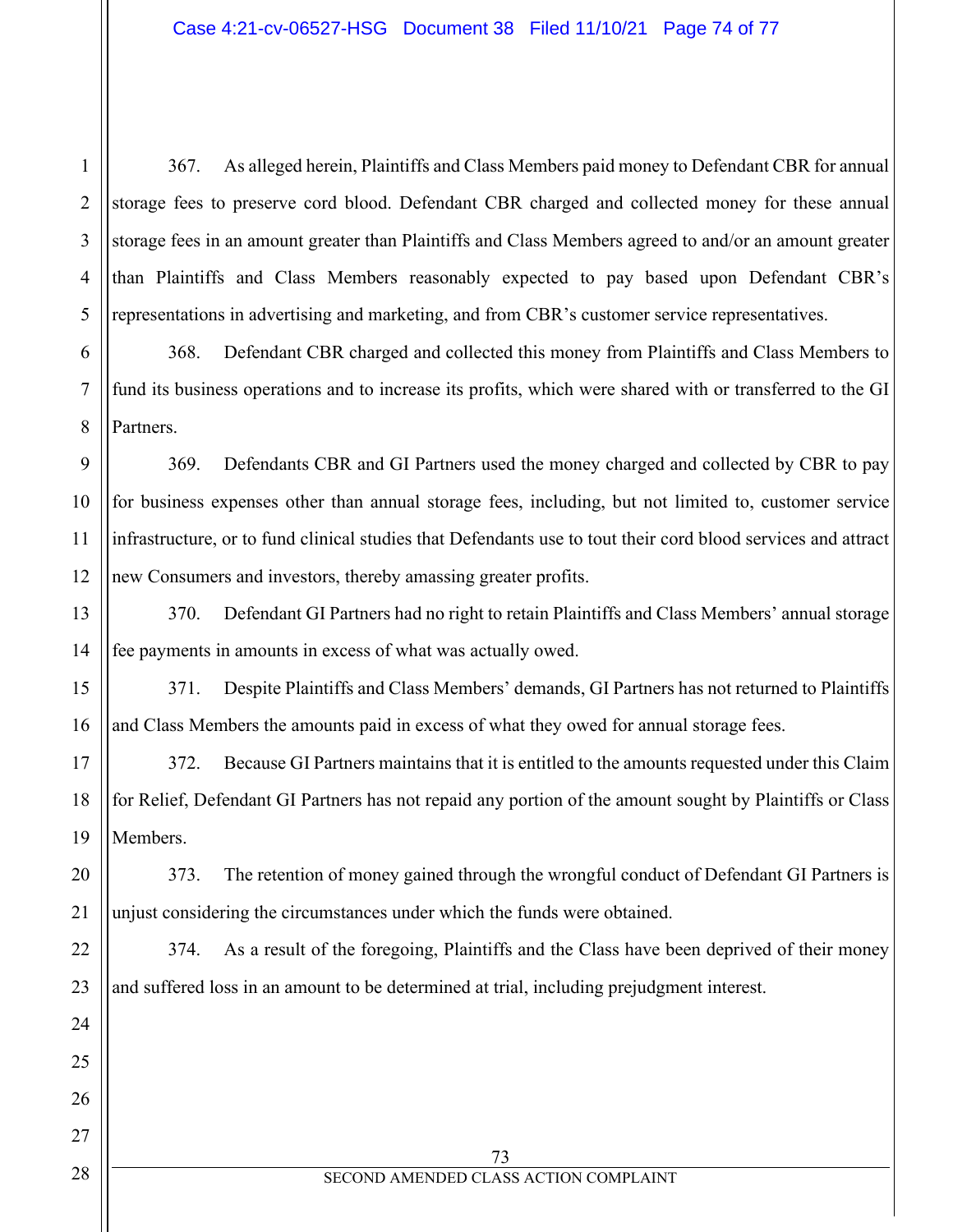367. As alleged herein, Plaintiffs and Class Members paid money to Defendant CBR for annual storage fees to preserve cord blood. Defendant CBR charged and collected money for these annual storage fees in an amount greater than Plaintiffs and Class Members agreed to and/or an amount greater than Plaintiffs and Class Members reasonably expected to pay based upon Defendant CBR's representations in advertising and marketing, and from CBR's customer service representatives.

368. Defendant CBR charged and collected this money from Plaintiffs and Class Members to fund its business operations and to increase its profits, which were shared with or transferred to the GI Partners.

369. Defendants CBR and GI Partners used the money charged and collected by CBR to pay for business expenses other than annual storage fees, including, but not limited to, customer service infrastructure, or to fund clinical studies that Defendants use to tout their cord blood services and attract new Consumers and investors, thereby amassing greater profits.

370. Defendant GI Partners had no right to retain Plaintiffs and Class Members' annual storage fee payments in amounts in excess of what was actually owed.

371. Despite Plaintiffs and Class Members' demands, GI Partners has not returned to Plaintiffs and Class Members the amounts paid in excess of what they owed for annual storage fees.

372. Because GI Partners maintains that it is entitled to the amounts requested under this Claim for Relief, Defendant GI Partners has not repaid any portion of the amount sought by Plaintiffs or Class Members.

373. The retention of money gained through the wrongful conduct of Defendant GI Partners is unjust considering the circumstances under which the funds were obtained.

374. As a result of the foregoing, Plaintiffs and the Class have been deprived of their money and suffered loss in an amount to be determined at trial, including prejudgment interest.

1

2

3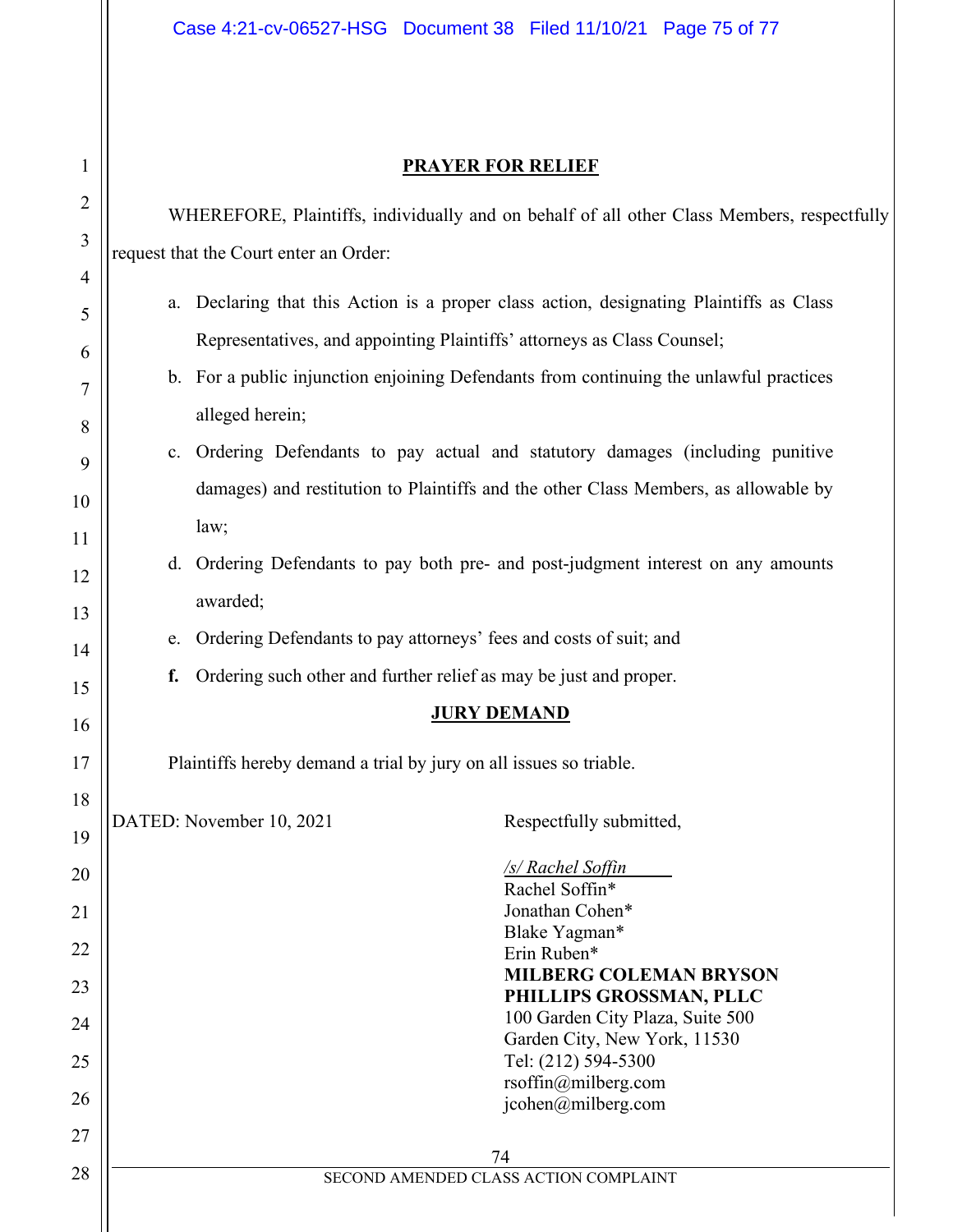# Case 4:21-cv-06527-HSG Document 38 Filed 11/10/21 Page 75 of 77

## **PRAYER FOR RELIEF**

 $\mathbf{I}$ 

| 1              | <b>PRAYER FOR RELIEF</b>                                                                   |                                                                                |                                                                                         |  |
|----------------|--------------------------------------------------------------------------------------------|--------------------------------------------------------------------------------|-----------------------------------------------------------------------------------------|--|
| $\overline{2}$ | WHEREFORE, Plaintiffs, individually and on behalf of all other Class Members, respectfully |                                                                                |                                                                                         |  |
| 3              | request that the Court enter an Order:                                                     |                                                                                |                                                                                         |  |
| 4              |                                                                                            |                                                                                | a. Declaring that this Action is a proper class action, designating Plaintiffs as Class |  |
| 5              |                                                                                            |                                                                                |                                                                                         |  |
| 6              |                                                                                            |                                                                                | Representatives, and appointing Plaintiffs' attorneys as Class Counsel;                 |  |
| 7              |                                                                                            |                                                                                | b. For a public injunction enjoining Defendants from continuing the unlawful practices  |  |
| 8              |                                                                                            | alleged herein;                                                                |                                                                                         |  |
| 9              |                                                                                            | c. Ordering Defendants to pay actual and statutory damages (including punitive |                                                                                         |  |
| 10             |                                                                                            |                                                                                | damages) and restitution to Plaintiffs and the other Class Members, as allowable by     |  |
| 11             |                                                                                            | law;                                                                           |                                                                                         |  |
| 12             |                                                                                            |                                                                                | d. Ordering Defendants to pay both pre- and post-judgment interest on any amounts       |  |
| 13             |                                                                                            | awarded;                                                                       |                                                                                         |  |
| 14             | e.                                                                                         |                                                                                | Ordering Defendants to pay attorneys' fees and costs of suit; and                       |  |
| 15             | f.                                                                                         |                                                                                | Ordering such other and further relief as may be just and proper.                       |  |
| 16             |                                                                                            |                                                                                | <b>JURY DEMAND</b>                                                                      |  |
| 17             |                                                                                            |                                                                                | Plaintiffs hereby demand a trial by jury on all issues so triable.                      |  |
| 18             |                                                                                            |                                                                                |                                                                                         |  |
| 19             |                                                                                            | DATED: November 10, 2021                                                       | Respectfully submitted,                                                                 |  |
| 20             |                                                                                            |                                                                                | <u>/s/ Rachel Soffin</u>                                                                |  |
| 21             |                                                                                            |                                                                                | Rachel Soffin*<br>Jonathan Cohen*                                                       |  |
| 22             |                                                                                            |                                                                                | Blake Yagman*<br>Erin Ruben*                                                            |  |
| 23             |                                                                                            |                                                                                | <b>MILBERG COLEMAN BRYSON</b>                                                           |  |
| 24             |                                                                                            |                                                                                | PHILLIPS GROSSMAN, PLLC<br>100 Garden City Plaza, Suite 500                             |  |
|                |                                                                                            |                                                                                | Garden City, New York, 11530                                                            |  |
| 25             |                                                                                            |                                                                                | Tel: (212) 594-5300<br>rsoffin@milberg.com                                              |  |
| 26             |                                                                                            |                                                                                | icohen@milberg.com                                                                      |  |
| 27             |                                                                                            |                                                                                | 74                                                                                      |  |
| 28             |                                                                                            |                                                                                | SECOND AMENDED CLASS ACTION COMPLAINT                                                   |  |
|                |                                                                                            |                                                                                |                                                                                         |  |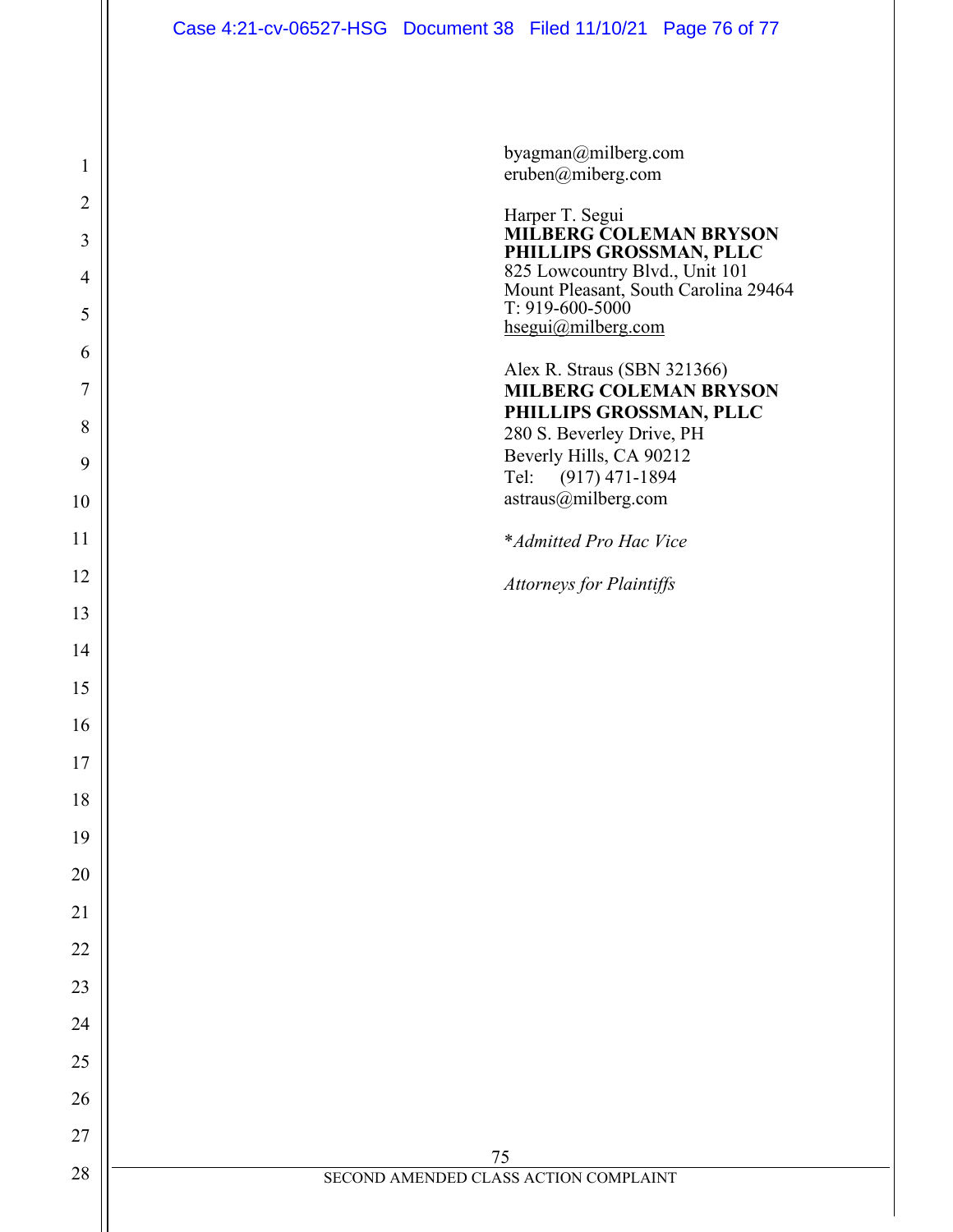byagman@milberg.com eruben@miberg.com

Harper T. Segui **MILBERG COLEMAN BRYSON PHILLIPS GROSSMAN, PLLC** 825 Lowcountry Blvd., Unit 101 Mount Pleasant, South Carolina 29464 T: 919-600-5000 [hsegui@milberg.com](mailto:hsegui@milberg.com)  Alex R. Straus (SBN 321366) **MILBERG COLEMAN BRYSON PHILLIPS GROSSMAN, PLLC**  280 S. Beverley Drive, PH Beverly Hills, CA 90212 Tel: (917) 471-1894 astraus@milberg.com \**Admitted Pro Hac Vice Attorneys for Plaintiffs*